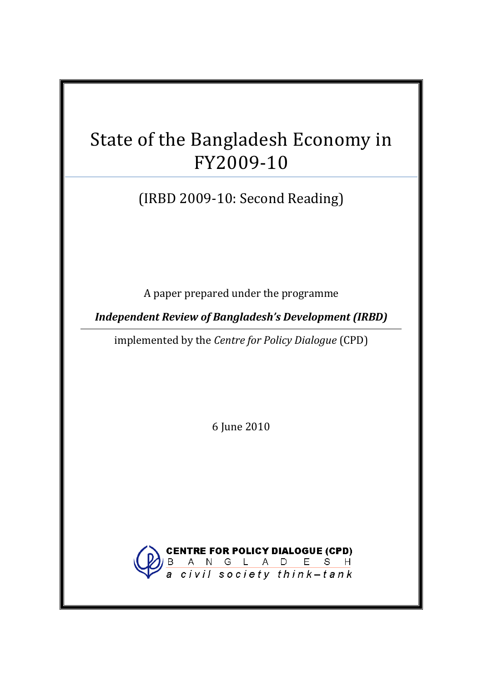# State of the Bangladesh Economy in FY2009-10

(IRBD 2009-10: Second Reading)

A paper prepared under the programme

*Independent Review of Bangladesh's Development (IRBD)*

implemented by the *Centre for Policy Dialogue* (CPD)

6 June 2010

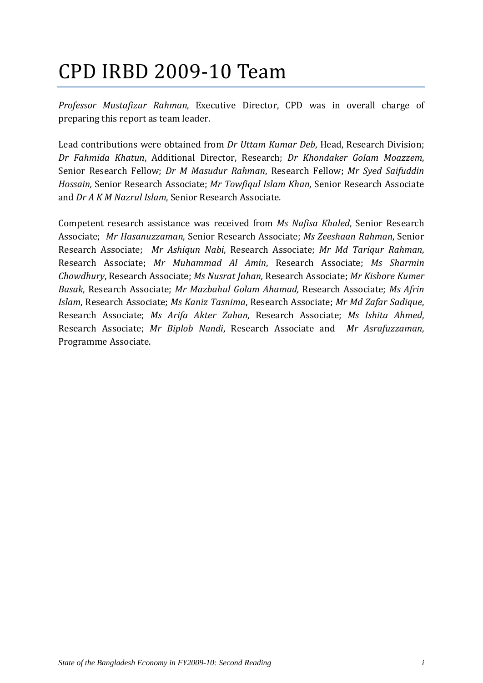# CPD IRBD 2009-10 Team

*Professor Mustafizur Rahman*, Executive Director, CPD was in overall charge of preparing this report as team leader.

Lead contributions were obtained from *Dr Uttam Kumar Deb*, Head, Research Division; *Dr Fahmida Khatun*, Additional Director, Research; *Dr Khondaker Golam Moazzem*, Senior Research Fellow; *Dr M Masudur Rahman*, Research Fellow; *Mr Syed Saifuddin Hossain,* Senior Research Associate; *Mr Towfiqul Islam Khan*, Senior Research Associate and *Dr A K M Nazrul Islam*, Senior Research Associate.

Competent research assistance was received from *Ms Nafisa Khaled*, Senior Research Associate; *Mr Hasanuzzaman*, Senior Research Associate; *Ms Zeeshaan Rahman*, Senior Research Associate; *Mr Ashiqun Nabi*, Research Associate; *Mr Md Tariqur Rahman*, Research Associate; *Mr Muhammad Al Amin*, Research Associate; *Ms Sharmin Chowdhury*, Research Associate; *Ms Nusrat Jahan,* Research Associate; *Mr Kishore Kumer Basak*, Research Associate; *Mr Mazbahul Golam Ahamad,* Research Associate; *Ms Afrin Islam*, Research Associate; *Ms Kaniz Tasnima*, Research Associate; *Mr Md Zafar Sadique*, Research Associate; *Ms Arifa Akter Zahan*, Research Associate; *Ms Ishita Ahmed*, Research Associate; *Mr Biplob Nandi*, Research Associate and *Mr Asrafuzzaman*, Programme Associate.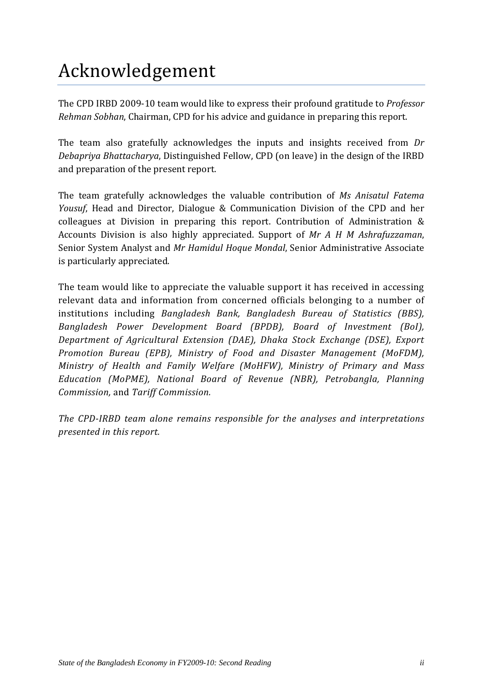# Acknowledgement

The CPD IRBD 2009-10 team would like to express their profound gratitude to *Professor Rehman Sobhan*, Chairman, CPD for his advice and guidance in preparing this report.

The team also gratefully acknowledges the inputs and insights received from *Dr Debapriya Bhattacharya*, Distinguished Fellow, CPD (on leave) in the design of the IRBD and preparation of the present report.

The team gratefully acknowledges the valuable contribution of *Ms Anisatul Fatema Yousuf*, Head and Director, Dialogue & Communication Division of the CPD and her colleagues at Division in preparing this report. Contribution of Administration & Accounts Division is also highly appreciated. Support of *Mr A H M Ashrafuzzaman*, Senior System Analyst and *Mr Hamidul Hoque Mondal*, Senior Administrative Associate is particularly appreciated.

The team would like to appreciate the valuable support it has received in accessing relevant data and information from concerned officials belonging to a number of institutions including *Bangladesh Bank, Bangladesh Bureau of Statistics (BBS), Bangladesh Power Development Board (BPDB), Board of Investment (BoI), Department of Agricultural Extension (DAE), Dhaka Stock Exchange (DSE), Export Promotion Bureau (EPB), Ministry of Food and Disaster Management (MoFDM), Ministry of Health and Family Welfare (MoHFW), Ministry of Primary and Mass Education (MoPME), National Board of Revenue (NBR), Petrobangla, Planning Commission,* and *Tariff Commission.*

*The CPD-IRBD team alone remains responsible for the analyses and interpretations presented in this report.*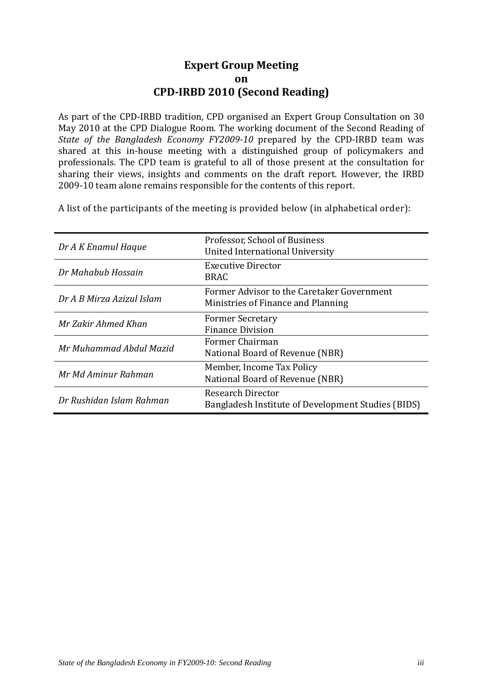# **Expert Group Meeting on CPD-IRBD 2010 (Second Reading)**

As part of the CPD-IRBD tradition, CPD organised an Expert Group Consultation on 30 May 2010 at the CPD Dialogue Room. The working document of the Second Reading of *State of the Bangladesh Economy FY2009-10* prepared by the CPD-IRBD team was shared at this in-house meeting with a distinguished group of policymakers and professionals. The CPD team is grateful to all of those present at the consultation for sharing their views, insights and comments on the draft report. However, the IRBD 2009-10 team alone remains responsible for the contents of this report.

A list of the participants of the meeting is provided below (in alphabetical order):

| Dr A K Enamul Haque       | Professor, School of Business<br>United International University                 |
|---------------------------|----------------------------------------------------------------------------------|
| Dr Mahabub Hossain        | <b>Executive Director</b><br><b>BRAC</b>                                         |
| Dr A B Mirza Azizul Islam | Former Advisor to the Caretaker Government<br>Ministries of Finance and Planning |
| Mr Zakir Ahmed Khan       | <b>Former Secretary</b><br><b>Finance Division</b>                               |
| Mr Muhammad Abdul Mazid   | Former Chairman<br>National Board of Revenue (NBR)                               |
| Mr Md Aminur Rahman       | Member, Income Tax Policy<br>National Board of Revenue (NBR)                     |
| Dr Rushidan Islam Rahman  | Research Director<br>Bangladesh Institute of Development Studies (BIDS)          |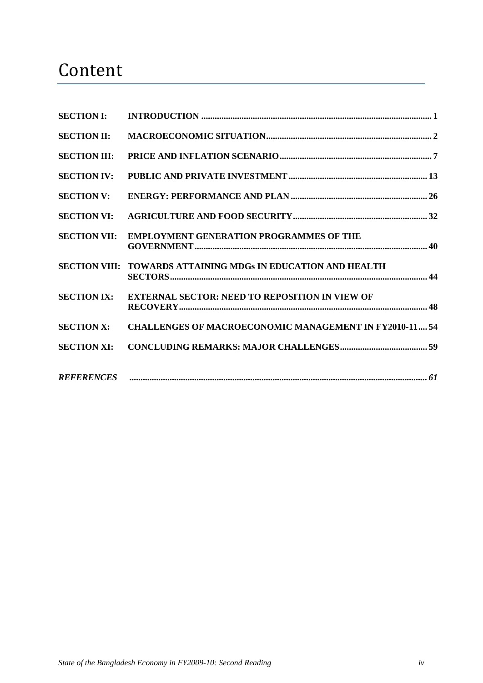# Content

| <b>SECTION I:</b>   |                                                               |
|---------------------|---------------------------------------------------------------|
| <b>SECTION II:</b>  |                                                               |
| <b>SECTION III:</b> |                                                               |
| <b>SECTION IV:</b>  |                                                               |
| <b>SECTION V:</b>   |                                                               |
| <b>SECTION VI:</b>  |                                                               |
| <b>SECTION VII:</b> | <b>EMPLOYMENT GENERATION PROGRAMMES OF THE</b>                |
|                     | SECTION VIII: TOWARDS ATTAINING MDGs IN EDUCATION AND HEALTH  |
| <b>SECTION IX:</b>  | <b>EXTERNAL SECTOR: NEED TO REPOSITION IN VIEW OF</b>         |
| <b>SECTION X:</b>   | <b>CHALLENGES OF MACROECONOMIC MANAGEMENT IN FY2010-11 54</b> |
| <b>SECTION XI:</b>  |                                                               |
|                     |                                                               |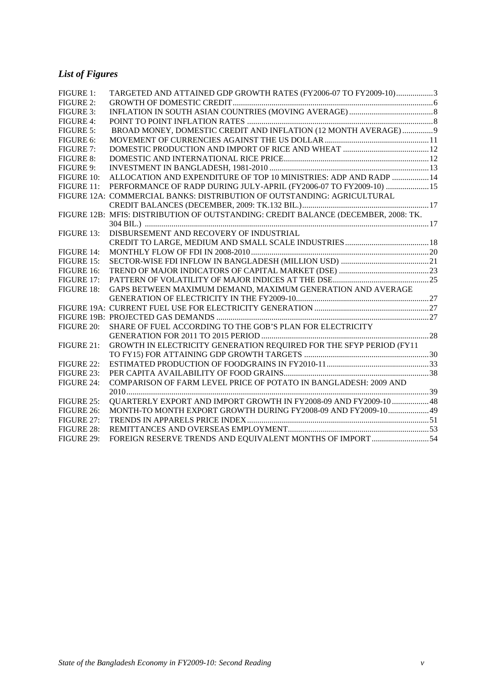# *List of Figures*

| <b>FIGURE 1:</b>  | TARGETED AND ATTAINED GDP GROWTH RATES (FY2006-07 TO FY2009-10)3                   |  |
|-------------------|------------------------------------------------------------------------------------|--|
| FIGURE 2:         |                                                                                    |  |
| <b>FIGURE 3:</b>  |                                                                                    |  |
| <b>FIGURE 4:</b>  |                                                                                    |  |
| <b>FIGURE 5:</b>  | BROAD MONEY, DOMESTIC CREDIT AND INFLATION (12 MONTH AVERAGE) 9                    |  |
| FIGURE 6:         |                                                                                    |  |
| FIGURE 7:         |                                                                                    |  |
| FIGURE 8:         |                                                                                    |  |
| FIGURE 9:         |                                                                                    |  |
| FIGURE 10:        | ALLOCATION AND EXPENDITURE OF TOP 10 MINISTRIES: ADP AND RADP  14                  |  |
| FIGURE 11:        | PERFORMANCE OF RADP DURING JULY-APRIL (FY2006-07 TO FY2009-10)  15                 |  |
|                   | FIGURE 12A: COMMERCIAL BANKS: DISTRIBUTION OF OUTSTANDING: AGRICULTURAL            |  |
|                   |                                                                                    |  |
|                   | FIGURE 12B: MFIS: DISTRIBUTION OF OUTSTANDING: CREDIT BALANCE (DECEMBER, 2008: TK. |  |
|                   |                                                                                    |  |
| FIGURE 13:        | DISBURSEMENT AND RECOVERY OF INDUSTRIAL                                            |  |
|                   |                                                                                    |  |
| <b>FIGURE 14:</b> |                                                                                    |  |
| FIGURE 15:        |                                                                                    |  |
| FIGURE 16:        |                                                                                    |  |
| FIGURE 17:        |                                                                                    |  |
| FIGURE 18:        | GAPS BETWEEN MAXIMUM DEMAND, MAXIMUM GENERATION AND AVERAGE                        |  |
|                   |                                                                                    |  |
|                   |                                                                                    |  |
|                   |                                                                                    |  |
| FIGURE 20:        | SHARE OF FUEL ACCORDING TO THE GOB'S PLAN FOR ELECTRICITY                          |  |
|                   |                                                                                    |  |
| FIGURE 21:        | GROWTH IN ELECTRICITY GENERATION REQUIRED FOR THE SFYP PERIOD (FY11                |  |
|                   |                                                                                    |  |
| FIGURE 22:        |                                                                                    |  |
| FIGURE 23:        |                                                                                    |  |
| FIGURE 24:        | COMPARISON OF FARM LEVEL PRICE OF POTATO IN BANGLADESH: 2009 AND                   |  |
|                   |                                                                                    |  |
| FIGURE 25:        | OUARTERLY EXPORT AND IMPORT GROWTH IN FY2008-09 AND FY2009-10 48                   |  |
| FIGURE 26:        | MONTH-TO MONTH EXPORT GROWTH DURING FY2008-09 AND FY2009-1049                      |  |
| FIGURE 27:        |                                                                                    |  |
| FIGURE 28:        |                                                                                    |  |
| FIGURE 29:        | FOREIGN RESERVE TRENDS AND EQUIVALENT MONTHS OF IMPORT 54                          |  |
|                   |                                                                                    |  |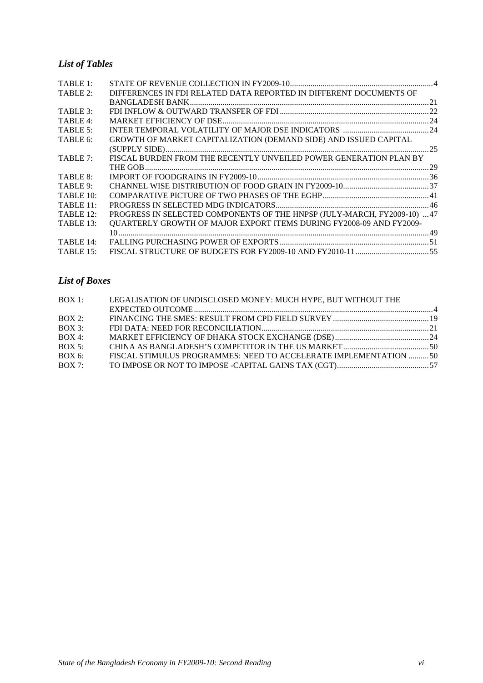# *List of Tables*

| DIFFERENCES IN FDI RELATED DATA REPORTED IN DIFFERENT DOCUMENTS OF       |  |
|--------------------------------------------------------------------------|--|
|                                                                          |  |
|                                                                          |  |
|                                                                          |  |
|                                                                          |  |
| GROWTH OF MARKET CAPITALIZATION (DEMAND SIDE) AND ISSUED CAPITAL         |  |
|                                                                          |  |
| FISCAL BURDEN FROM THE RECENTLY UNVEILED POWER GENERATION PLAN BY        |  |
|                                                                          |  |
|                                                                          |  |
|                                                                          |  |
|                                                                          |  |
|                                                                          |  |
| PROGRESS IN SELECTED COMPONENTS OF THE HNPSP (JULY-MARCH, FY2009-10)  47 |  |
| QUARTERLY GROWTH OF MAJOR EXPORT ITEMS DURING FY2008-09 AND FY2009-      |  |
|                                                                          |  |
|                                                                          |  |
|                                                                          |  |
|                                                                          |  |

# *List of Boxes*

| $\overline{A}$ BOX 1: | LEGALISATION OF UNDISCLOSED MONEY: MUCH HYPE, BUT WITHOUT THE    |  |
|-----------------------|------------------------------------------------------------------|--|
|                       |                                                                  |  |
| $\overline{BOX}$ 2:   |                                                                  |  |
| $\overline{A}$ BOX 3: |                                                                  |  |
| $\overline{A}$ BOX 4: |                                                                  |  |
| $\overline{BOX}$ 5:   |                                                                  |  |
| $BOX$ 6:              | FISCAL STIMULUS PROGRAMMES: NEED TO ACCELERATE IMPLEMENTATION 50 |  |
| $\rm{BOX}$ 7:         |                                                                  |  |
|                       |                                                                  |  |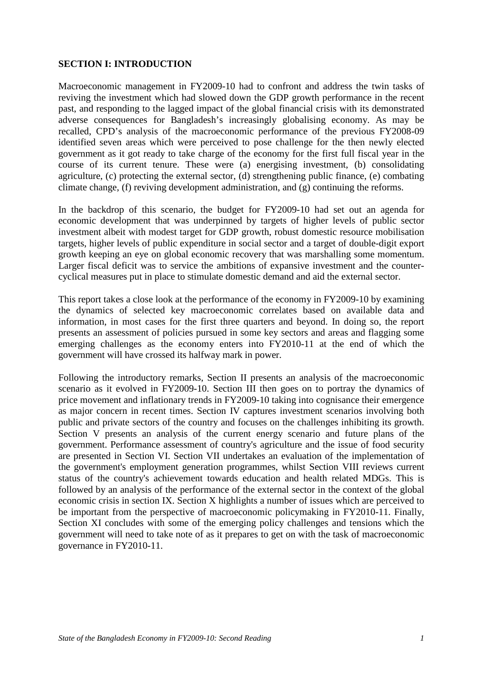#### **SECTION I: INTRODUCTION**

Macroeconomic management in FY2009-10 had to confront and address the twin tasks of reviving the investment which had slowed down the GDP growth performance in the recent past, and responding to the lagged impact of the global financial crisis with its demonstrated adverse consequences for Bangladesh's increasingly globalising economy. As may be recalled, CPD's analysis of the macroeconomic performance of the previous FY2008-09 identified seven areas which were perceived to pose challenge for the then newly elected government as it got ready to take charge of the economy for the first full fiscal year in the course of its current tenure. These were (a) energising investment, (b) consolidating agriculture, (c) protecting the external sector, (d) strengthening public finance, (e) combating climate change, (f) reviving development administration, and (g) continuing the reforms.

In the backdrop of this scenario, the budget for FY2009-10 had set out an agenda for economic development that was underpinned by targets of higher levels of public sector investment albeit with modest target for GDP growth, robust domestic resource mobilisation targets, higher levels of public expenditure in social sector and a target of double-digit export growth keeping an eye on global economic recovery that was marshalling some momentum. Larger fiscal deficit was to service the ambitions of expansive investment and the countercyclical measures put in place to stimulate domestic demand and aid the external sector.

This report takes a close look at the performance of the economy in FY2009-10 by examining the dynamics of selected key macroeconomic correlates based on available data and information, in most cases for the first three quarters and beyond. In doing so, the report presents an assessment of policies pursued in some key sectors and areas and flagging some emerging challenges as the economy enters into FY2010-11 at the end of which the government will have crossed its halfway mark in power.

Following the introductory remarks, Section II presents an analysis of the macroeconomic scenario as it evolved in FY2009-10. Section III then goes on to portray the dynamics of price movement and inflationary trends in FY2009-10 taking into cognisance their emergence as major concern in recent times. Section IV captures investment scenarios involving both public and private sectors of the country and focuses on the challenges inhibiting its growth. Section V presents an analysis of the current energy scenario and future plans of the government. Performance assessment of country's agriculture and the issue of food security are presented in Section VI. Section VII undertakes an evaluation of the implementation of the government's employment generation programmes, whilst Section VIII reviews current status of the country's achievement towards education and health related MDGs. This is followed by an analysis of the performance of the external sector in the context of the global economic crisis in section IX. Section X highlights a number of issues which are perceived to be important from the perspective of macroeconomic policymaking in FY2010-11. Finally, Section XI concludes with some of the emerging policy challenges and tensions which the government will need to take note of as it prepares to get on with the task of macroeconomic governance in FY2010-11.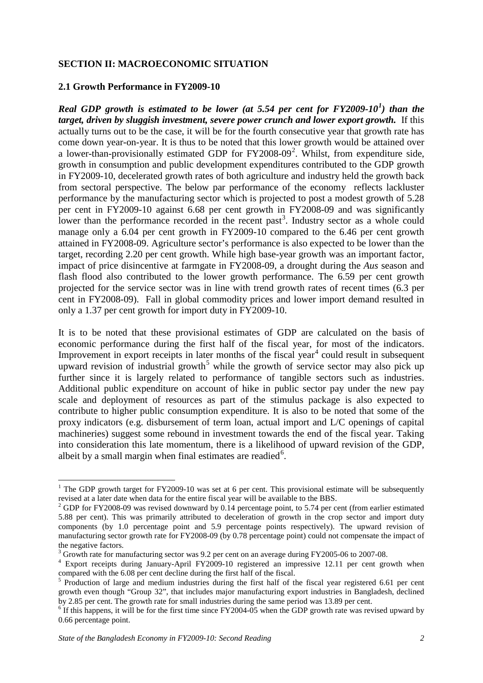#### **SECTION II: MACROECONOMIC SITUATION**

#### **2.1 Growth Performance in FY2009-10**

*Real GDP growth is estimated to be lower (at 5.54 per cent for FY2009-10[1](#page-8-0) ) than the target, driven by sluggish investment, severe power crunch and lower export growth.* If this actually turns out to be the case, it will be for the fourth consecutive year that growth rate has come down year-on-year. It is thus to be noted that this lower growth would be attained over a lower-than-provisionally estimated GDP for  $FY2008-09^2$  $FY2008-09^2$  $FY2008-09^2$ . Whilst, from expenditure side, growth in consumption and public development expenditures contributed to the GDP growth in FY2009-10, decelerated growth rates of both agriculture and industry held the growth back from sectoral perspective. The below par performance of the economy reflects lackluster performance by the manufacturing sector which is projected to post a modest growth of 5.28 per cent in FY2009-10 against 6.68 per cent growth in FY2008-09 and was significantly lower than the performance recorded in the recent past<sup>[3](#page-8-2)</sup>. Industry sector as a whole could manage only a 6.04 per cent growth in FY2009-10 compared to the 6.46 per cent growth attained in FY2008-09. Agriculture sector's performance is also expected to be lower than the target, recording 2.20 per cent growth. While high base-year growth was an important factor, impact of price disincentive at farmgate in FY2008-09, a drought during the *Aus* season and flash flood also contributed to the lower growth performance. The 6.59 per cent growth projected for the service sector was in line with trend growth rates of recent times (6.3 per cent in FY2008-09). Fall in global commodity prices and lower import demand resulted in only a 1.37 per cent growth for import duty in FY2009-10.

It is to be noted that these provisional estimates of GDP are calculated on the basis of economic performance during the first half of the fiscal year, for most of the indicators. Improvement in export receipts in later months of the fiscal year<sup>[4](#page-8-3)</sup> could result in subsequent upward revision of industrial growth<sup>[5](#page-8-4)</sup> while the growth of service sector may also pick up further since it is largely related to performance of tangible sectors such as industries. Additional public expenditure on account of hike in public sector pay under the new pay scale and deployment of resources as part of the stimulus package is also expected to contribute to higher public consumption expenditure. It is also to be noted that some of the proxy indicators (e.g. disbursement of term loan, actual import and L/C openings of capital machineries) suggest some rebound in investment towards the end of the fiscal year. Taking into consideration this late momentum, there is a likelihood of upward revision of the GDP, albeit by a small margin when final estimates are readied $6$ .

<span id="page-8-0"></span><sup>&</sup>lt;sup>1</sup> The GDP growth target for FY2009-10 was set at 6 per cent. This provisional estimate will be subsequently revised at a later date when data for the entire fiscal year will be available to the BBS.

<span id="page-8-1"></span> $2$  GDP for FY2008-09 was revised downward by 0.14 percentage point, to 5.74 per cent (from earlier estimated 5.88 per cent). This was primarily attributed to deceleration of growth in the crop sector and import duty components (by 1.0 percentage point and 5.9 percentage points respectively). The upward revision of manufacturing sector growth rate for FY2008-09 (by 0.78 percentage point) could not compensate the impact of the negative factors.<br> $3$  Growth rate for manufacturing sector was 9.2 per cent on an average during FY2005-06 to 2007-08.

<span id="page-8-3"></span><span id="page-8-2"></span><sup>&</sup>lt;sup>4</sup> Export receipts during January-April FY2009-10 registered an impressive 12.11 per cent growth when compared with the 6.08 per cent decline during the first half of the fiscal.

<span id="page-8-4"></span> $<sup>5</sup>$  Production of large and medium industries during the first half of the fiscal year registered 6.61 per cent</sup> growth even though "Group 32", that includes major manufacturing export industries in Bangladesh, declined by 2.85 per cent. The growth rate for small industries during the same period was 13.89 per cent.

<span id="page-8-5"></span> $6$  If this happens, it will be for the first time since FY2004-05 when the GDP growth rate was revised upward by 0.66 percentage point.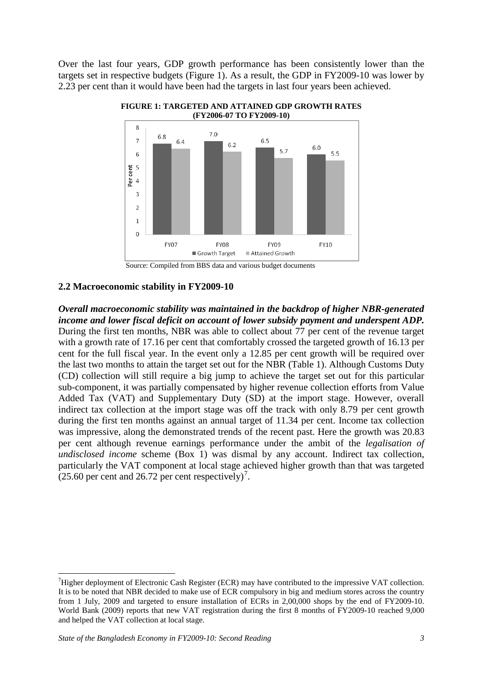Over the last four years, GDP growth performance has been consistently lower than the targets set in respective budgets (Figure 1). As a result, the GDP in FY2009-10 was lower by 2.23 per cent than it would have been had the targets in last four years been achieved.



**FIGURE 1: TARGETED AND ATTAINED GDP GROWTH RATES (FY2006-07 TO FY2009-10)**

#### **2.2 Macroeconomic stability in FY2009-10**

*Overall macroeconomic stability was maintained in the backdrop of higher NBR-generated income and lower fiscal deficit on account of lower subsidy payment and underspent ADP.* During the first ten months, NBR was able to collect about 77 per cent of the revenue target with a growth rate of 17.16 per cent that comfortably crossed the targeted growth of 16.13 per cent for the full fiscal year. In the event only a 12.85 per cent growth will be required over the last two months to attain the target set out for the NBR (Table 1). Although Customs Duty (CD) collection will still require a big jump to achieve the target set out for this particular sub-component, it was partially compensated by higher revenue collection efforts from Value Added Tax (VAT) and Supplementary Duty (SD) at the import stage. However, overall indirect tax collection at the import stage was off the track with only 8.79 per cent growth during the first ten months against an annual target of 11.34 per cent. Income tax collection was impressive, along the demonstrated trends of the recent past. Here the growth was 20.83 per cent although revenue earnings performance under the ambit of the *legalisation of undisclosed income* scheme (Box 1) was dismal by any account. Indirect tax collection, particularly the VAT component at local stage achieved higher growth than that was targeted  $(25.60 \text{ per cent and } 26.72 \text{ per cent respectively})^7$  $(25.60 \text{ per cent and } 26.72 \text{ per cent respectively})^7$  $(25.60 \text{ per cent and } 26.72 \text{ per cent respectively})^7$ .

<u>.</u>

<span id="page-9-0"></span><sup>&</sup>lt;sup>7</sup>Higher deployment of Electronic Cash Register (ECR) may have contributed to the impressive VAT collection. It is to be noted that NBR decided to make use of ECR compulsory in big and medium stores across the country from 1 July, 2009 and targeted to ensure installation of ECRs in 2,00,000 shops by the end of FY2009-10. World Bank (2009) reports that new VAT registration during the first 8 months of FY2009-10 reached 9,000 and helped the VAT collection at local stage.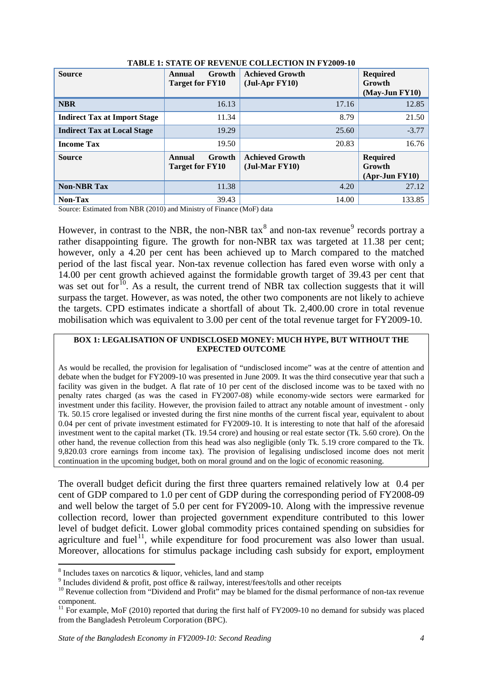| <b>Source</b>                       | Growth<br>Annual<br><b>Target for FY10</b> | <b>Achieved Growth</b><br>$(Jul-Apr FY10)$ | <b>Required</b><br>Growth<br>(May-Jun FY10)   |
|-------------------------------------|--------------------------------------------|--------------------------------------------|-----------------------------------------------|
| <b>NBR</b>                          | 16.13                                      | 17.16                                      | 12.85                                         |
| <b>Indirect Tax at Import Stage</b> | 11.34                                      | 8.79                                       | 21.50                                         |
| <b>Indirect Tax at Local Stage</b>  | 19.29                                      | 25.60                                      | $-3.77$                                       |
| <b>Income Tax</b>                   | 19.50                                      | 20.83                                      | 16.76                                         |
| <b>Source</b>                       | Growth<br>Annual<br><b>Target for FY10</b> | <b>Achieved Growth</b><br>$(Jul-Mar FY10)$ | <b>Required</b><br>Growth<br>$(Apr-Jun FY10)$ |
| <b>Non-NBR Tax</b>                  | 11.38                                      | 4.20                                       | 27.12                                         |
| Non-Tax                             | 39.43                                      | 14.00                                      | 133.85                                        |

#### **TABLE 1: STATE OF REVENUE COLLECTION IN FY2009-10**

Source: Estimated from NBR (2010) and Ministry of Finance (MoF) data

However, in contrast to the NBR, the non-NBR  $\text{tax}^8$  $\text{tax}^8$  and non-tax revenue<sup>[9](#page-10-1)</sup> records portray a rather disappointing figure. The growth for non-NBR tax was targeted at 11.38 per cent; however, only a 4.20 per cent has been achieved up to March compared to the matched period of the last fiscal year. Non-tax revenue collection has fared even worse with only a 14.00 per cent growth achieved against the formidable growth target of 39.43 per cent that was set out for<sup>[10](#page-10-2)</sup>. As a result, the current trend of NBR tax collection suggests that it will surpass the target. However, as was noted, the other two components are not likely to achieve the targets. CPD estimates indicate a shortfall of about Tk. 2,400.00 crore in total revenue mobilisation which was equivalent to 3.00 per cent of the total revenue target for FY2009-10.

#### **BOX 1: LEGALISATION OF UNDISCLOSED MONEY: MUCH HYPE, BUT WITHOUT THE EXPECTED OUTCOME**

As would be recalled, the provision for legalisation of "undisclosed income" was at the centre of attention and debate when the budget for FY2009-10 was presented in June 2009. It was the third consecutive year that such a facility was given in the budget. A flat rate of 10 per cent of the disclosed income was to be taxed with no penalty rates charged (as was the cased in FY2007-08) while economy-wide sectors were earmarked for investment under this facility. However, the provision failed to attract any notable amount of investment - only Tk. 50.15 crore legalised or invested during the first nine months of the current fiscal year, equivalent to about 0.04 per cent of private investment estimated for FY2009-10. It is interesting to note that half of the aforesaid investment went to the capital market (Tk. 19.54 crore) and housing or real estate sector (Tk. 5.60 crore). On the other hand, the revenue collection from this head was also negligible (only Tk. 5.19 crore compared to the Tk. 9,820.03 crore earnings from income tax). The provision of legalising undisclosed income does not merit continuation in the upcoming budget, both on moral ground and on the logic of economic reasoning.

The overall budget deficit during the first three quarters remained relatively low at 0.4 per cent of GDP compared to 1.0 per cent of GDP during the corresponding period of FY2008-09 and well below the target of 5.0 per cent for FY2009-10. Along with the impressive revenue collection record, lower than projected government expenditure contributed to this lower level of budget deficit. Lower global commodity prices contained spending on subsidies for agriculture and fuel<sup>[11](#page-10-3)</sup>, while expenditure for food procurement was also lower than usual. Moreover, allocations for stimulus package including cash subsidy for export, employment

<sup>8</sup> Includes taxes on narcotics & liquor, vehicles, land and stamp

<span id="page-10-1"></span><span id="page-10-0"></span><sup>&</sup>lt;sup>9</sup> Includes dividend & profit, post office & railway, interest/fees/tolls and other receipts

<span id="page-10-2"></span><sup>&</sup>lt;sup>10</sup> Revenue collection from "Dividend and Profit" may be blamed for the dismal performance of non-tax revenue component.

<span id="page-10-3"></span><sup>&</sup>lt;sup>11</sup> For example, MoF (2010) reported that during the first half of FY2009-10 no demand for subsidy was placed from the Bangladesh Petroleum Corporation (BPC).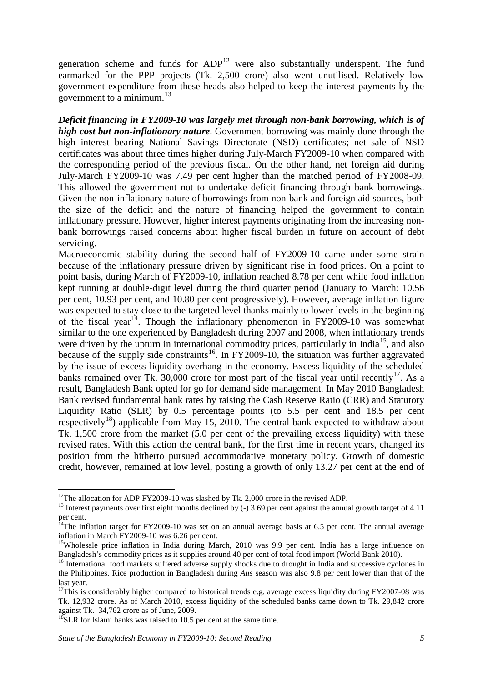generation scheme and funds for  $ADP<sup>12</sup>$  $ADP<sup>12</sup>$  $ADP<sup>12</sup>$  were also substantially underspent. The fund earmarked for the PPP projects (Tk. 2,500 crore) also went unutilised. Relatively low government expenditure from these heads also helped to keep the interest payments by the government to a minimum.<sup>[13](#page-11-1)</sup>

*Deficit financing in FY2009-10 was largely met through non-bank borrowing, which is of high cost but non-inflationary nature*. Government borrowing was mainly done through the high interest bearing National Savings Directorate (NSD) certificates; net sale of NSD certificates was about three times higher during July-March FY2009-10 when compared with the corresponding period of the previous fiscal. On the other hand, net foreign aid during July-March FY2009-10 was 7.49 per cent higher than the matched period of FY2008-09. This allowed the government not to undertake deficit financing through bank borrowings. Given the non-inflationary nature of borrowings from non-bank and foreign aid sources, both the size of the deficit and the nature of financing helped the government to contain inflationary pressure. However, higher interest payments originating from the increasing nonbank borrowings raised concerns about higher fiscal burden in future on account of debt servicing.

Macroeconomic stability during the second half of FY2009-10 came under some strain because of the inflationary pressure driven by significant rise in food prices. On a point to point basis, during March of FY2009-10, inflation reached 8.78 per cent while food inflation kept running at double-digit level during the third quarter period (January to March: 10.56 per cent, 10.93 per cent, and 10.80 per cent progressively). However, average inflation figure was expected to stay close to the targeted level thanks mainly to lower levels in the beginning of the fiscal year<sup>[14](#page-11-2)</sup>. Though the inflationary phenomenon in FY2009-10 was somewhat similar to the one experienced by Bangladesh during 2007 and 2008, when inflationary trends were driven by the upturn in international commodity prices, particularly in India<sup>15</sup>, and also because of the supply side constraints<sup>16</sup>. In FY2009-10, the situation was further aggravated by the issue of excess liquidity overhang in the economy. Excess liquidity of the scheduled banks remained over Tk. 30,000 crore for most part of the fiscal year until recently<sup>17</sup>. As a result, Bangladesh Bank opted for go for demand side management. In May 2010 Bangladesh Bank revised fundamental bank rates by raising the Cash Reserve Ratio (CRR) and Statutory Liquidity Ratio (SLR) by 0.5 percentage points (to 5.5 per cent and 18.5 per cent respectively<sup>[18](#page-11-6)</sup>) applicable from May 15, 2010. The central bank expected to withdraw about Tk. 1,500 crore from the market (5.0 per cent of the prevailing excess liquidity) with these revised rates. With this action the central bank, for the first time in recent years, changed its position from the hitherto pursued accommodative monetary policy. Growth of domestic credit, however, remained at low level, posting a growth of only 13.27 per cent at the end of

<span id="page-11-1"></span><span id="page-11-0"></span><sup>&</sup>lt;sup>12</sup>The allocation for ADP FY2009-10 was slashed by Tk. 2,000 crore in the revised ADP.<br><sup>13</sup> Interest payments over first eight months declined by (-) 3.69 per cent against the annual growth target of 4.11 per cent.

<span id="page-11-2"></span> $14$ The inflation target for FY2009-10 was set on an annual average basis at 6.5 per cent. The annual average

<span id="page-11-3"></span>inflation in March FY2009-10 was 6.26 per cent.<br><sup>15</sup>Wholesale price inflation in India during March, 2010 was 9.9 per cent. India has a large influence on Bangladesh's commodity prices as it supplies around 40 per cent of

<span id="page-11-4"></span><sup>&</sup>lt;sup>16</sup> International food markets suffered adverse supply shocks due to drought in India and successive cyclones in the Philippines. Rice production in Bangladesh during *Aus* season was also 9.8 per cent lower than that of the last year.

<span id="page-11-5"></span> $17$ This is considerably higher compared to historical trends e.g. average excess liquidity during FY2007-08 was Tk. 12,932 crore. As of March 2010, excess liquidity of the scheduled banks came down to Tk. 29,842 crore

<span id="page-11-6"></span><sup>&</sup>lt;sup>18</sup>SLR for Islami banks was raised to 10.5 per cent at the same time.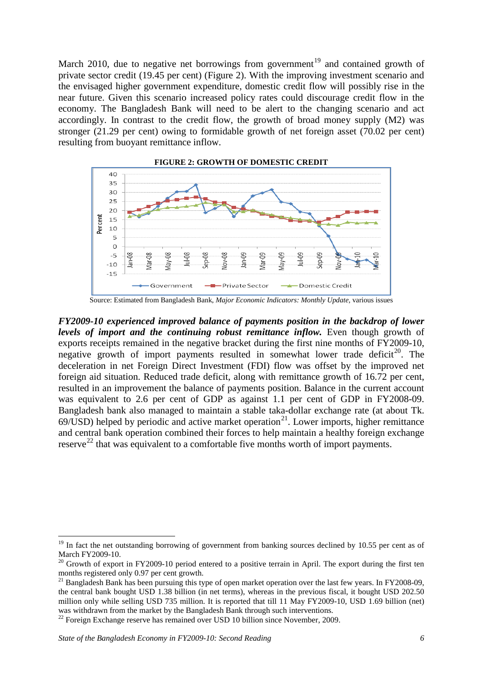March 2010, due to negative net borrowings from government<sup>[19](#page-12-0)</sup> and contained growth of private sector credit (19.45 per cent) (Figure 2). With the improving investment scenario and the envisaged higher government expenditure, domestic credit flow will possibly rise in the near future. Given this scenario increased policy rates could discourage credit flow in the economy. The Bangladesh Bank will need to be alert to the changing scenario and act accordingly. In contrast to the credit flow, the growth of broad money supply (M2) was stronger (21.29 per cent) owing to formidable growth of net foreign asset (70.02 per cent) resulting from buoyant remittance inflow.



Source: Estimated from Bangladesh Bank, *Major Economic Indicators: Monthly Update,* various issues

*FY2009-10 experienced improved balance of payments position in the backdrop of lower levels of import and the continuing robust remittance inflow.* Even though growth of exports receipts remained in the negative bracket during the first nine months of FY2009-10, negative growth of import payments resulted in somewhat lower trade deficit<sup>20</sup>. The deceleration in net Foreign Direct Investment (FDI) flow was offset by the improved net foreign aid situation. Reduced trade deficit, along with remittance growth of 16.72 per cent, resulted in an improvement the balance of payments position. Balance in the current account was equivalent to 2.6 per cent of GDP as against 1.1 per cent of GDP in FY2008-09. Bangladesh bank also managed to maintain a stable taka-dollar exchange rate (at about Tk.  $69$ /USD) helped by periodic and active market operation<sup>[21](#page-12-2)</sup>. Lower imports, higher remittance and central bank operation combined their forces to help maintain a healthy foreign exchange reserve<sup>[22](#page-12-3)</sup> that was equivalent to a comfortable five months worth of import payments.

<span id="page-12-0"></span> $19$  In fact the net outstanding borrowing of government from banking sources declined by 10.55 per cent as of March FY2009-10.

<span id="page-12-1"></span> $20$  Growth of export in FY2009-10 period entered to a positive terrain in April. The export during the first ten months registered only 0.97 per cent growth.

<span id="page-12-2"></span><sup>&</sup>lt;sup>21</sup> Bangladesh Bank has been pursuing this type of open market operation over the last few years. In FY2008-09, the central bank bought USD 1.38 billion (in net terms), whereas in the previous fiscal, it bought USD 202.50 million only while selling USD 735 million. It is reported that till 11 May FY2009-10, USD 1.69 billion (net) was withdrawn from the market by the Bangladesh Bank through such interventions.

<span id="page-12-3"></span>was withdrawn from the market by the  $\frac{20}{2}$  Foreign Exchange reserve has remained over USD 10 billion since November, 2009.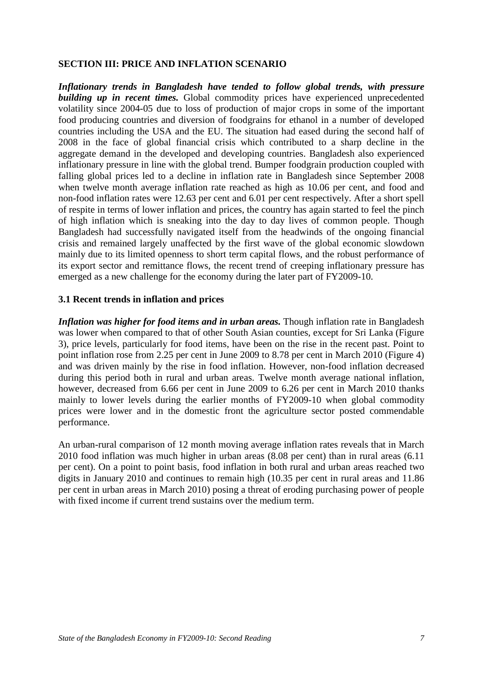#### **SECTION III: PRICE AND INFLATION SCENARIO**

*Inflationary trends in Bangladesh have tended to follow global trends, with pressure building up in recent times.* Global commodity prices have experienced unprecedented volatility since 2004-05 due to loss of production of major crops in some of the important food producing countries and diversion of foodgrains for ethanol in a number of developed countries including the USA and the EU. The situation had eased during the second half of 2008 in the face of global financial crisis which contributed to a sharp decline in the aggregate demand in the developed and developing countries. Bangladesh also experienced inflationary pressure in line with the global trend. Bumper foodgrain production coupled with falling global prices led to a decline in inflation rate in Bangladesh since September 2008 when twelve month average inflation rate reached as high as 10.06 per cent, and food and non-food inflation rates were 12.63 per cent and 6.01 per cent respectively. After a short spell of respite in terms of lower inflation and prices, the country has again started to feel the pinch of high inflation which is sneaking into the day to day lives of common people. Though Bangladesh had successfully navigated itself from the headwinds of the ongoing financial crisis and remained largely unaffected by the first wave of the global economic slowdown mainly due to its limited openness to short term capital flows, and the robust performance of its export sector and remittance flows, the recent trend of creeping inflationary pressure has emerged as a new challenge for the economy during the later part of FY2009-10.

#### **3.1 Recent trends in inflation and prices**

*Inflation was higher for food items and in urban areas.* Though inflation rate in Bangladesh was lower when compared to that of other South Asian counties, except for Sri Lanka (Figure 3), price levels, particularly for food items, have been on the rise in the recent past. Point to point inflation rose from 2.25 per cent in June 2009 to 8.78 per cent in March 2010 (Figure 4) and was driven mainly by the rise in food inflation. However, non-food inflation decreased during this period both in rural and urban areas. Twelve month average national inflation, however, decreased from 6.66 per cent in June 2009 to 6.26 per cent in March 2010 thanks mainly to lower levels during the earlier months of FY2009-10 when global commodity prices were lower and in the domestic front the agriculture sector posted commendable performance.

An urban-rural comparison of 12 month moving average inflation rates reveals that in March 2010 food inflation was much higher in urban areas (8.08 per cent) than in rural areas (6.11 per cent). On a point to point basis, food inflation in both rural and urban areas reached two digits in January 2010 and continues to remain high (10.35 per cent in rural areas and 11.86 per cent in urban areas in March 2010) posing a threat of eroding purchasing power of people with fixed income if current trend sustains over the medium term.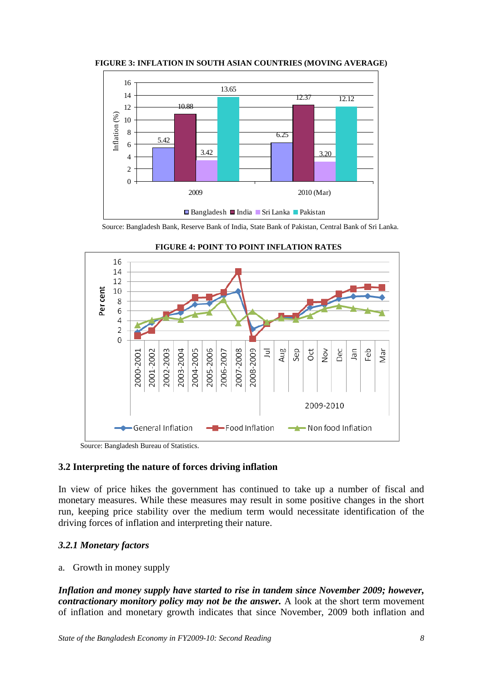



Source: Bangladesh Bank, Reserve Bank of India, State Bank of Pakistan, Central Bank of Sri Lanka.





# **3.2 Interpreting the nature of forces driving inflation**

In view of price hikes the government has continued to take up a number of fiscal and monetary measures. While these measures may result in some positive changes in the short run, keeping price stability over the medium term would necessitate identification of the driving forces of inflation and interpreting their nature.

# *3.2.1 Monetary factors*

# a. Growth in money supply

*Inflation and money supply have started to rise in tandem since November 2009; however, contractionary monitory policy may not be the answer.* A look at the short term movement of inflation and monetary growth indicates that since November, 2009 both inflation and

Source: Bangladesh Bureau of Statistics.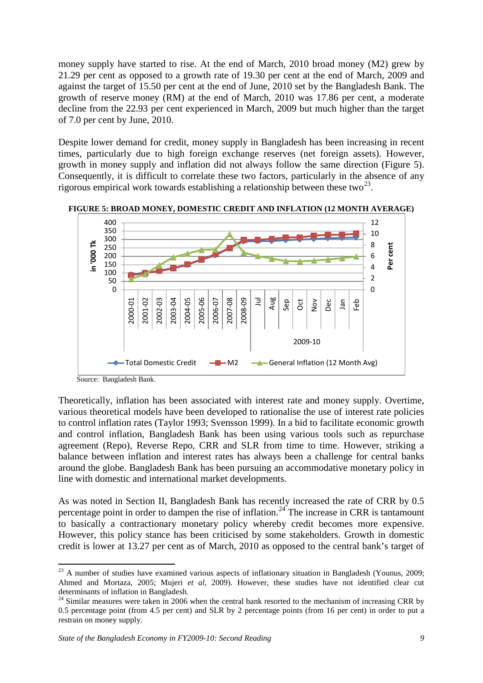money supply have started to rise. At the end of March, 2010 broad money (M2) grew by 21.29 per cent as opposed to a growth rate of 19.30 per cent at the end of March, 2009 and against the target of 15.50 per cent at the end of June, 2010 set by the Bangladesh Bank. The growth of reserve money (RM) at the end of March, 2010 was 17.86 per cent, a moderate decline from the 22.93 per cent experienced in March, 2009 but much higher than the target of 7.0 per cent by June, 2010.

Despite lower demand for credit, money supply in Bangladesh has been increasing in recent times, particularly due to high foreign exchange reserves (net foreign assets). However, growth in money supply and inflation did not always follow the same direction (Figure 5). Consequently, it is difficult to correlate these two factors, particularly in the absence of any rigorous empirical work towards establishing a relationship between these two<sup>[23](#page-15-0)</sup>.



**FIGURE 5: BROAD MONEY, DOMESTIC CREDIT AND INFLATION (12 MONTH AVERAGE)**

Source: Bangladesh Bank.

.<br>-

Theoretically, inflation has been associated with interest rate and money supply. Overtime, various theoretical models have been developed to rationalise the use of interest rate policies to control inflation rates (Taylor 1993; Svensson 1999). In a bid to facilitate economic growth and control inflation, Bangladesh Bank has been using various tools such as repurchase agreement (Repo), Reverse Repo, CRR and SLR from time to time. However, striking a balance between inflation and interest rates has always been a challenge for central banks around the globe. Bangladesh Bank has been pursuing an accommodative monetary policy in line with domestic and international market developments.

As was noted in Section II, Bangladesh Bank has recently increased the rate of CRR by 0.5 percentage point in order to dampen the rise of inflation.<sup>[24](#page-15-1)</sup> The increase in CRR is tantamount to basically a contractionary monetary policy whereby credit becomes more expensive. However, this policy stance has been criticised by some stakeholders. Growth in domestic credit is lower at 13.27 per cent as of March, 2010 as opposed to the central bank's target of

<span id="page-15-0"></span><sup>&</sup>lt;sup>23</sup> A number of studies have examined various aspects of inflationary situation in Bangladesh (Younus, 2009; Ahmed and Mortaza, 2005; Mujeri *et al,* 2009). However, these studies have not identified clear cut determinants of inflation in Bangladesh.

<span id="page-15-1"></span><sup>&</sup>lt;sup>24</sup> Similar measures were taken in 2006 when the central bank resorted to the mechanism of increasing CRR by 0.5 percentage point (from 4.5 per cent) and SLR by 2 percentage points (from 16 per cent) in order to put a restrain on money supply.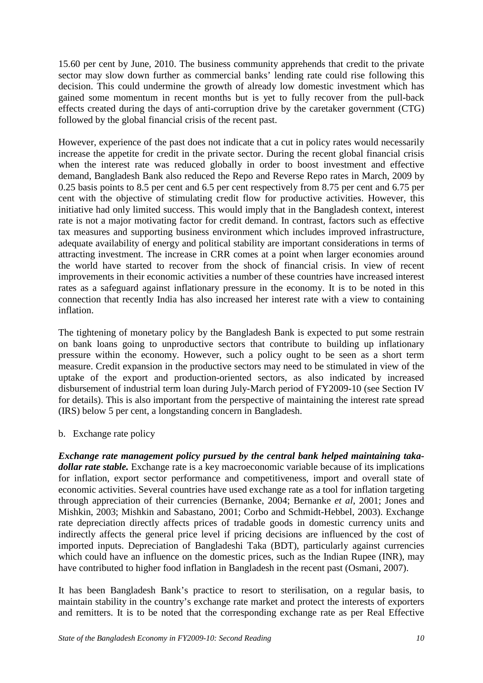15.60 per cent by June, 2010. The business community apprehends that credit to the private sector may slow down further as commercial banks' lending rate could rise following this decision. This could undermine the growth of already low domestic investment which has gained some momentum in recent months but is yet to fully recover from the pull-back effects created during the days of anti-corruption drive by the caretaker government (CTG) followed by the global financial crisis of the recent past.

However, experience of the past does not indicate that a cut in policy rates would necessarily increase the appetite for credit in the private sector. During the recent global financial crisis when the interest rate was reduced globally in order to boost investment and effective demand, Bangladesh Bank also reduced the Repo and Reverse Repo rates in March, 2009 by 0.25 basis points to 8.5 per cent and 6.5 per cent respectively from 8.75 per cent and 6.75 per cent with the objective of stimulating credit flow for productive activities. However, this initiative had only limited success. This would imply that in the Bangladesh context, interest rate is not a major motivating factor for credit demand. In contrast, factors such as effective tax measures and supporting business environment which includes improved infrastructure, adequate availability of energy and political stability are important considerations in terms of attracting investment. The increase in CRR comes at a point when larger economies around the world have started to recover from the shock of financial crisis. In view of recent improvements in their economic activities a number of these countries have increased interest rates as a safeguard against inflationary pressure in the economy. It is to be noted in this connection that recently India has also increased her interest rate with a view to containing inflation.

The tightening of monetary policy by the Bangladesh Bank is expected to put some restrain on bank loans going to unproductive sectors that contribute to building up inflationary pressure within the economy. However, such a policy ought to be seen as a short term measure. Credit expansion in the productive sectors may need to be stimulated in view of the uptake of the export and production-oriented sectors, as also indicated by increased disbursement of industrial term loan during July-March period of FY2009-10 (see Section IV for details). This is also important from the perspective of maintaining the interest rate spread (IRS) below 5 per cent, a longstanding concern in Bangladesh.

#### b. Exchange rate policy

*Exchange rate management policy pursued by the central bank helped maintaining takadollar rate stable.* Exchange rate is a key macroeconomic variable because of its implications for inflation, export sector performance and competitiveness, import and overall state of economic activities. Several countries have used exchange rate as a tool for inflation targeting through appreciation of their currencies (Bernanke, 2004; Bernanke *et al,* 2001; Jones and Mishkin, 2003; Mishkin and Sabastano, 2001; Corbo and Schmidt-Hebbel, 2003). Exchange rate depreciation directly affects prices of tradable goods in domestic currency units and indirectly affects the general price level if pricing decisions are influenced by the cost of imported inputs. Depreciation of Bangladeshi Taka (BDT), particularly against currencies which could have an influence on the domestic prices, such as the Indian Rupee (INR), may have contributed to higher food inflation in Bangladesh in the recent past (Osmani, 2007).

It has been Bangladesh Bank's practice to resort to sterilisation, on a regular basis, to maintain stability in the country's exchange rate market and protect the interests of exporters and remitters. It is to be noted that the corresponding exchange rate as per Real Effective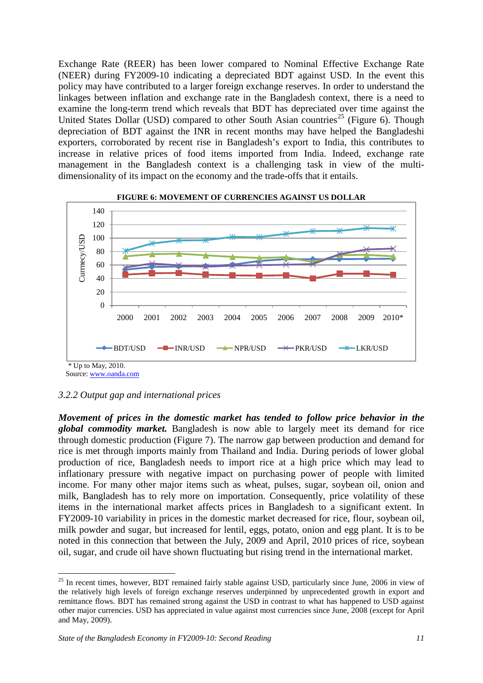Exchange Rate (REER) has been lower compared to Nominal Effective Exchange Rate (NEER) during FY2009-10 indicating a depreciated BDT against USD. In the event this policy may have contributed to a larger foreign exchange reserves. In order to understand the linkages between inflation and exchange rate in the Bangladesh context, there is a need to examine the long-term trend which reveals that BDT has depreciated over time against the United States Dollar (USD) compared to other South Asian countries<sup>[25](#page-17-0)</sup> (Figure 6). Though depreciation of BDT against the INR in recent months may have helped the Bangladeshi exporters, corroborated by recent rise in Bangladesh's export to India, this contributes to increase in relative prices of food items imported from India. Indeed, exchange rate management in the Bangladesh context is a challenging task in view of the multidimensionality of its impact on the economy and the trade-offs that it entails.



#### **FIGURE 6: MOVEMENT OF CURRENCIES AGAINST US DOLLAR**

# *3.2.2 Output gap and international prices*

<u>.</u>

*Movement of prices in the domestic market has tended to follow price behavior in the global commodity market.* Bangladesh is now able to largely meet its demand for rice through domestic production (Figure 7). The narrow gap between production and demand for rice is met through imports mainly from Thailand and India. During periods of lower global production of rice, Bangladesh needs to import rice at a high price which may lead to inflationary pressure with negative impact on purchasing power of people with limited income. For many other major items such as wheat, pulses, sugar, soybean oil, onion and milk, Bangladesh has to rely more on importation. Consequently, price volatility of these items in the international market affects prices in Bangladesh to a significant extent. In FY2009-10 variability in prices in the domestic market decreased for rice, flour, soybean oil, milk powder and sugar, but increased for lentil, eggs, potato, onion and egg plant. It is to be noted in this connection that between the July, 2009 and April, 2010 prices of rice, soybean oil, sugar, and crude oil have shown fluctuating but rising trend in the international market.

<span id="page-17-0"></span> $25$  In recent times, however, BDT remained fairly stable against USD, particularly since June, 2006 in view of the relatively high levels of foreign exchange reserves underpinned by unprecedented growth in export and remittance flows. BDT has remained strong against the USD in contrast to what has happened to USD against other major currencies. USD has appreciated in value against most currencies since June, 2008 (except for April and May, 2009).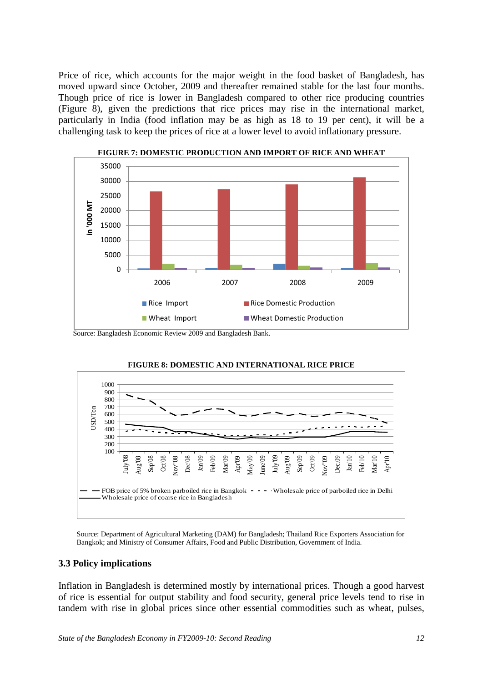Price of rice, which accounts for the major weight in the food basket of Bangladesh, has moved upward since October, 2009 and thereafter remained stable for the last four months. Though price of rice is lower in Bangladesh compared to other rice producing countries (Figure 8), given the predictions that rice prices may rise in the international market, particularly in India (food inflation may be as high as 18 to 19 per cent), it will be a challenging task to keep the prices of rice at a lower level to avoid inflationary pressure.



**FIGURE 7: DOMESTIC PRODUCTION AND IMPORT OF RICE AND WHEAT**

Source: Bangladesh Economic Review 2009 and Bangladesh Bank.



#### **FIGURE 8: DOMESTIC AND INTERNATIONAL RICE PRICE**

Source: Department of Agricultural Marketing (DAM) for Bangladesh; Thailand Rice Exporters Association for Bangkok; and Ministry of Consumer Affairs, Food and Public Distribution, Government of India.

#### **3.3 Policy implications**

Inflation in Bangladesh is determined mostly by international prices. Though a good harvest of rice is essential for output stability and food security, general price levels tend to rise in tandem with rise in global prices since other essential commodities such as wheat, pulses,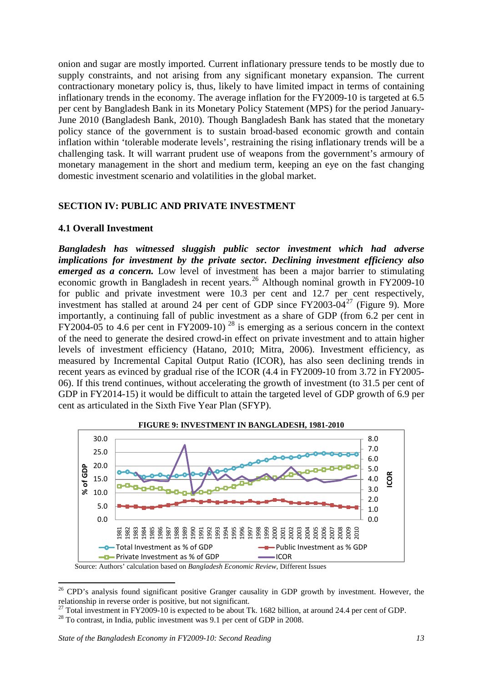onion and sugar are mostly imported. Current inflationary pressure tends to be mostly due to supply constraints, and not arising from any significant monetary expansion. The current contractionary monetary policy is, thus, likely to have limited impact in terms of containing inflationary trends in the economy. The average inflation for the FY2009-10 is targeted at 6.5 per cent by Bangladesh Bank in its Monetary Policy Statement (MPS) for the period January-June 2010 (Bangladesh Bank, 2010). Though Bangladesh Bank has stated that the monetary policy stance of the government is to sustain broad-based economic growth and contain inflation within 'tolerable moderate levels', restraining the rising inflationary trends will be a challenging task. It will warrant prudent use of weapons from the government's armoury of monetary management in the short and medium term, keeping an eye on the fast changing domestic investment scenario and volatilities in the global market.

#### **SECTION IV: PUBLIC AND PRIVATE INVESTMENT**

#### **4.1 Overall Investment**

<u>.</u>

*Bangladesh has witnessed sluggish public sector investment which had adverse implications for investment by the private sector. Declining investment efficiency also emerged as a concern.* Low level of investment has been a major barrier to stimulating economic growth in Bangladesh in recent years.<sup>[26](#page-19-0)</sup> Although nominal growth in FY2009-10 for public and private investment were 10.3 per cent and 12.7 per cent respectively, investment has stalled at around 24 per cent of GDP since  $FY2003-04^{27}$  $FY2003-04^{27}$  $FY2003-04^{27}$  (Figure 9). More importantly, a continuing fall of public investment as a share of GDP (from 6.2 per cent in  $FY2004-05$  to 4.6 per cent in  $FY2009-10)$  <sup>[28](#page-19-2)</sup> is emerging as a serious concern in the context of the need to generate the desired crowd-in effect on private investment and to attain higher levels of investment efficiency (Hatano, 2010; Mitra, 2006). Investment efficiency, as measured by Incremental Capital Output Ratio (ICOR), has also seen declining trends in recent years as evinced by gradual rise of the ICOR (4.4 in FY2009-10 from 3.72 in FY2005- 06). If this trend continues, without accelerating the growth of investment (to 31.5 per cent of GDP in FY2014-15) it would be difficult to attain the targeted level of GDP growth of 6.9 per cent as articulated in the Sixth Five Year Plan (SFYP).



#### **FIGURE 9: INVESTMENT IN BANGLADESH, 1981-2010**

Source: Authors' calculation based on *Bangladesh Economic Review*, Different Issues

<span id="page-19-0"></span><sup>&</sup>lt;sup>26</sup> CPD's analysis found significant positive Granger causality in GDP growth by investment. However, the relationship in reverse order is positive, but not significant.

<span id="page-19-2"></span><span id="page-19-1"></span><sup>&</sup>lt;sup>27</sup> Total investment in FY2009-10 is expected to be about Tk. 1682 billion, at around 24.4 per cent of GDP. <sup>28</sup> To contrast, in India, public investment was 9.1 per cent of GDP in 2008.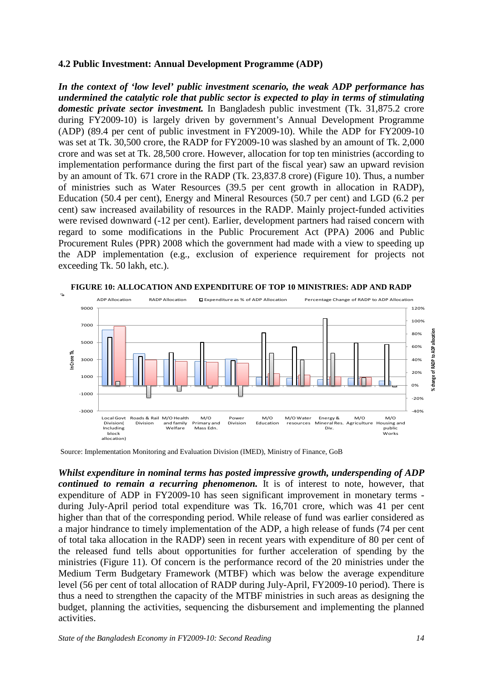#### **4.2 Public Investment: Annual Development Programme (ADP)**

*In the context of 'low level' public investment scenario, the weak ADP performance has undermined the catalytic role that public sector is expected to play in terms of stimulating domestic private sector investment.* In Bangladesh public investment (Tk. 31,875.2 crore during FY2009-10) is largely driven by government's Annual Development Programme (ADP) (89.4 per cent of public investment in FY2009-10). While the ADP for FY2009-10 was set at Tk. 30,500 crore, the RADP for FY2009-10 was slashed by an amount of Tk. 2,000 crore and was set at Tk. 28,500 crore. However, allocation for top ten ministries (according to implementation performance during the first part of the fiscal year) saw an upward revision by an amount of Tk. 671 crore in the RADP (Tk. 23,837.8 crore) (Figure 10). Thus, a number of ministries such as Water Resources (39.5 per cent growth in allocation in RADP), Education (50.4 per cent), Energy and Mineral Resources (50.7 per cent) and LGD (6.2 per cent) saw increased availability of resources in the RADP. Mainly project-funded activities were revised downward (-12 per cent). Earlier, development partners had raised concern with regard to some modifications in the Public Procurement Act (PPA) 2006 and Public Procurement Rules (PPR) 2008 which the government had made with a view to speeding up the ADP implementation (e.g., exclusion of experience requirement for projects not exceeding Tk. 50 lakh, etc.).

**FIGURE 10: ALLOCATION AND EXPENDITURE OF TOP 10 MINISTRIES: ADP AND RADP**



Source: Implementation Monitoring and Evaluation Division (IMED), Ministry of Finance, GoB

*Whilst expenditure in nominal terms has posted impressive growth, underspending of ADP continued to remain a recurring phenomenon.* It is of interest to note, however, that expenditure of ADP in FY2009-10 has seen significant improvement in monetary terms during July-April period total expenditure was Tk. 16,701 crore, which was 41 per cent higher than that of the corresponding period. While release of fund was earlier considered as a major hindrance to timely implementation of the ADP, a high release of funds (74 per cent of total taka allocation in the RADP) seen in recent years with expenditure of 80 per cent of the released fund tells about opportunities for further acceleration of spending by the ministries (Figure 11). Of concern is the performance record of the 20 ministries under the Medium Term Budgetary Framework (MTBF) which was below the average expenditure level (56 per cent of total allocation of RADP during July-April, FY2009-10 period). There is thus a need to strengthen the capacity of the MTBF ministries in such areas as designing the budget, planning the activities, sequencing the disbursement and implementing the planned activities.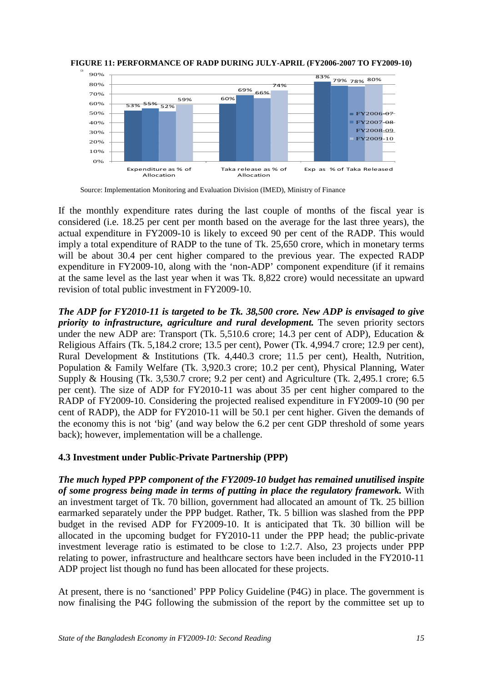

**FIGURE 11: PERFORMANCE OF RADP DURING JULY-APRIL (FY2006-2007 TO FY2009-10)**



If the monthly expenditure rates during the last couple of months of the fiscal year is considered (i.e. 18.25 per cent per month based on the average for the last three years), the actual expenditure in FY2009-10 is likely to exceed 90 per cent of the RADP. This would imply a total expenditure of RADP to the tune of Tk. 25,650 crore, which in monetary terms will be about 30.4 per cent higher compared to the previous year. The expected RADP expenditure in FY2009-10, along with the 'non-ADP' component expenditure (if it remains at the same level as the last year when it was Tk. 8,822 crore) would necessitate an upward revision of total public investment in FY2009-10.

*The ADP for FY2010-11 is targeted to be Tk. 38,500 crore. New ADP is envisaged to give priority to infrastructure, agriculture and rural development.* The seven priority sectors under the new ADP are: Transport (Tk. 5,510.6 crore; 14.3 per cent of ADP), Education  $\&$ Religious Affairs (Tk. 5,184.2 crore; 13.5 per cent), Power (Tk. 4,994.7 crore; 12.9 per cent), Rural Development & Institutions (Tk. 4,440.3 crore; 11.5 per cent), Health, Nutrition, Population & Family Welfare (Tk. 3,920.3 crore; 10.2 per cent), Physical Planning, Water Supply & Housing (Tk. 3,530.7 crore; 9.2 per cent) and Agriculture (Tk. 2,495.1 crore; 6.5 per cent). The size of ADP for FY2010-11 was about 35 per cent higher compared to the RADP of FY2009-10. Considering the projected realised expenditure in FY2009-10 (90 per cent of RADP), the ADP for FY2010-11 will be 50.1 per cent higher. Given the demands of the economy this is not 'big' (and way below the 6.2 per cent GDP threshold of some years back); however, implementation will be a challenge.

# **4.3 Investment under Public-Private Partnership (PPP)**

*The much hyped PPP component of the FY2009-10 budget has remained unutilised inspite of some progress being made in terms of putting in place the regulatory framework.* With an investment target of Tk. 70 billion, government had allocated an amount of Tk. 25 billion earmarked separately under the PPP budget. Rather, Tk. 5 billion was slashed from the PPP budget in the revised ADP for FY2009-10. It is anticipated that Tk. 30 billion will be allocated in the upcoming budget for FY2010-11 under the PPP head; the public-private investment leverage ratio is estimated to be close to 1:2.7. Also, 23 projects under PPP relating to power, infrastructure and healthcare sectors have been included in the FY2010-11 ADP project list though no fund has been allocated for these projects.

At present, there is no 'sanctioned' PPP Policy Guideline (P4G) in place. The government is now finalising the P4G following the submission of the report by the committee set up to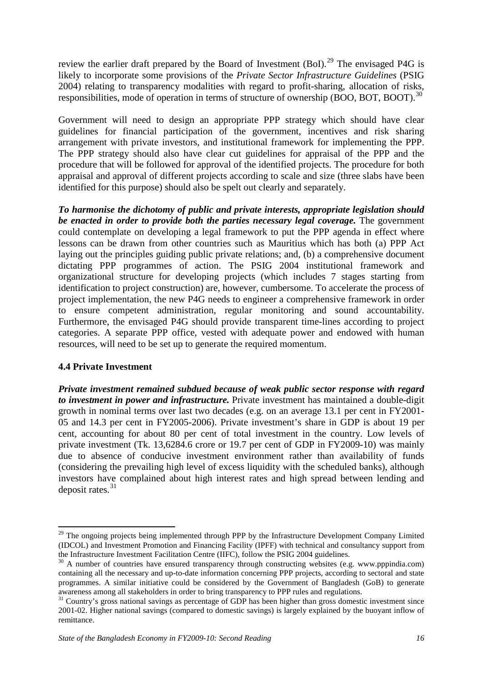review the earlier draft prepared by the Board of Investment  $(BoI)$ <sup>[29](#page-22-0)</sup>. The envisaged P4G is likely to incorporate some provisions of the *Private Sector Infrastructure Guidelines* (PSIG 2004) relating to transparency modalities with regard to profit-sharing, allocation of risks, responsibilities, mode of operation in terms of structure of ownership (BOO, BOT, BOOT).<sup>[30](#page-22-1)</sup>

Government will need to design an appropriate PPP strategy which should have clear guidelines for financial participation of the government, incentives and risk sharing arrangement with private investors, and institutional framework for implementing the PPP. The PPP strategy should also have clear cut guidelines for appraisal of the PPP and the procedure that will be followed for approval of the identified projects. The procedure for both appraisal and approval of different projects according to scale and size (three slabs have been identified for this purpose) should also be spelt out clearly and separately.

*To harmonise the dichotomy of public and private interests, appropriate legislation should be enacted in order to provide both the parties necessary legal coverage.* The government could contemplate on developing a legal framework to put the PPP agenda in effect where lessons can be drawn from other countries such as Mauritius which has both (a) PPP Act laying out the principles guiding public private relations; and, (b) a comprehensive document dictating PPP programmes of action. The PSIG 2004 institutional framework and organizational structure for developing projects (which includes 7 stages starting from identification to project construction) are, however, cumbersome. To accelerate the process of project implementation, the new P4G needs to engineer a comprehensive framework in order to ensure competent administration, regular monitoring and sound accountability. Furthermore, the envisaged P4G should provide transparent time-lines according to project categories. A separate PPP office, vested with adequate power and endowed with human resources, will need to be set up to generate the required momentum.

# **4.4 Private Investment**

<u>.</u>

*Private investment remained subdued because of weak public sector response with regard to investment in power and infrastructure.* Private investment has maintained a double-digit growth in nominal terms over last two decades (e.g. on an average 13.1 per cent in FY2001- 05 and 14.3 per cent in FY2005-2006). Private investment's share in GDP is about 19 per cent, accounting for about 80 per cent of total investment in the country. Low levels of private investment (Tk. 13,6284.6 crore or 19.7 per cent of GDP in FY2009-10) was mainly due to absence of conducive investment environment rather than availability of funds (considering the prevailing high level of excess liquidity with the scheduled banks), although investors have complained about high interest rates and high spread between lending and deposit rates. [31](#page-22-2)

<span id="page-22-0"></span><sup>&</sup>lt;sup>29</sup> The ongoing projects being implemented through PPP by the Infrastructure Development Company Limited (IDCOL) and Investment Promotion and Financing Facility (IPFF) with technical and consultancy support from the Infrastructure Investment Facilitation Centre (IIFC), follow the PSIG 2004 guidelines.

<span id="page-22-1"></span><sup>&</sup>lt;sup>30</sup> A number of countries have ensured transparency through constructing websites (e.g. www.pppindia.com) containing all the necessary and up-to-date information concerning PPP projects, according to sectoral and state programmes. A similar initiative could be considered by the Government of Bangladesh (GoB) to generate awareness among all stakeholders in order to bring transparency to PPP rules and regulations.<br><sup>31</sup> Country's gross national savings as percentage of GDP has been higher than gross domestic investment since

<span id="page-22-2"></span><sup>2001-02.</sup> Higher national savings (compared to domestic savings) is largely explained by the buoyant inflow of remittance.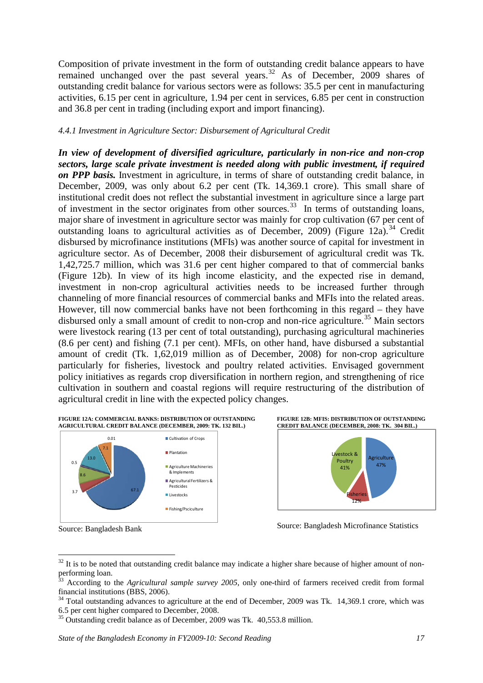Composition of private investment in the form of outstanding credit balance appears to have remained unchanged over the past several years.<sup>[32](#page-23-0)</sup> As of December, 2009 shares of outstanding credit balance for various sectors were as follows: 35.5 per cent in manufacturing activities, 6.15 per cent in agriculture, 1.94 per cent in services, 6.85 per cent in construction and 36.8 per cent in trading (including export and import financing).

#### *4.4.1 Investment in Agriculture Sector: Disbursement of Agricultural Credit*

*In view of development of diversified agriculture, particularly in non-rice and non-crop sectors, large scale private investment is needed along with public investment, if required on PPP basis.* Investment in agriculture, in terms of share of outstanding credit balance, in December, 2009, was only about 6.2 per cent (Tk. 14,369.1 crore). This small share of institutional credit does not reflect the substantial investment in agriculture since a large part of investment in the sector originates from other sources.<sup>33</sup> In terms of outstanding loans, major share of investment in agriculture sector was mainly for crop cultivation (67 per cent of outstanding loans to agricultural activities as of December, 2009) (Figure 12a).<sup>[34](#page-23-2)</sup> Credit disbursed by microfinance institutions (MFIs) was another source of capital for investment in agriculture sector. As of December, 2008 their disbursement of agricultural credit was Tk. 1,42,725.7 million, which was 31.6 per cent higher compared to that of commercial banks (Figure 12b). In view of its high income elasticity, and the expected rise in demand, investment in non-crop agricultural activities needs to be increased further through channeling of more financial resources of commercial banks and MFIs into the related areas. However, till now commercial banks have not been forthcoming in this regard – they have disbursed only a small amount of credit to non-crop and non-rice agriculture.<sup>[35](#page-23-3)</sup> Main sectors were livestock rearing (13 per cent of total outstanding), purchasing agricultural machineries (8.6 per cent) and fishing (7.1 per cent). MFIs, on other hand, have disbursed a substantial amount of credit (Tk. 1,62,019 million as of December, 2008) for non-crop agriculture particularly for fisheries, livestock and poultry related activities. Envisaged government policy initiatives as regards crop diversification in northern region, and strengthening of rice cultivation in southern and coastal regions will require restructuring of the distribution of agricultural credit in line with the expected policy changes.







-





Source: Bangladesh Microfinance Statistics

<span id="page-23-0"></span> $32$  It is to be noted that outstanding credit balance may indicate a higher share because of higher amount of nonperforming loan.

<span id="page-23-1"></span><sup>33</sup> According to the *Agricultural sample survey 2005*, only one-third of farmers received credit from formal financial institutions (BBS, 2006).

<span id="page-23-2"></span><sup>&</sup>lt;sup>34</sup> Total outstanding advances to agriculture at the end of December, 2009 was Tk. 14,369.1 crore, which was 6.5 per cent higher compared to December, 2008.

<span id="page-23-3"></span> $35$  Outstanding credit balance as of December, 2009 was Tk. 40,553.8 million.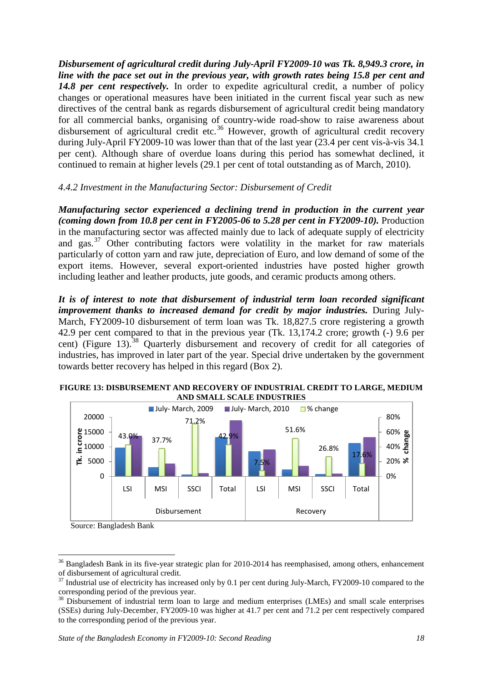*Disbursement of agricultural credit during July-April FY2009-10 was Tk. 8,949.3 crore, in line with the pace set out in the previous year, with growth rates being 15.8 per cent and 14.8 per cent respectively.* In order to expedite agricultural credit, a number of policy changes or operational measures have been initiated in the current fiscal year such as new directives of the central bank as regards disbursement of agricultural credit being mandatory for all commercial banks, organising of country-wide road-show to raise awareness about disbursement of agricultural credit etc.<sup>[36](#page-24-0)</sup> However, growth of agricultural credit recovery during July-April FY2009-10 was lower than that of the last year (23.4 per cent vis-à-vis 34.1 per cent). Although share of overdue loans during this period has somewhat declined, it continued to remain at higher levels (29.1 per cent of total outstanding as of March, 2010).

# *4.4.2 Investment in the Manufacturing Sector: Disbursement of Credit*

*Manufacturing sector experienced a declining trend in production in the current year (coming down from 10.8 per cent in FY2005-06 to 5.28 per cent in FY2009-10).* Production in the manufacturing sector was affected mainly due to lack of adequate supply of electricity and gas.<sup>[37](#page-24-1)</sup> Other contributing factors were volatility in the market for raw materials particularly of cotton yarn and raw jute, depreciation of Euro, and low demand of some of the export items. However, several export-oriented industries have posted higher growth including leather and leather products, jute goods, and ceramic products among others.

*It is of interest to note that disbursement of industrial term loan recorded significant improvement thanks to increased demand for credit by major industries.* During July-March, FY2009-10 disbursement of term loan was Tk. 18,827.5 crore registering a growth 42.9 per cent compared to that in the previous year (Tk. 13,174.2 crore; growth (-) 9.6 per cent) (Figure 13).<sup>[38](#page-24-2)</sup> Quarterly disbursement and recovery of credit for all categories of industries, has improved in later part of the year. Special drive undertaken by the government towards better recovery has helped in this regard (Box 2).





Source: Bangladesh Bank

-

<span id="page-24-0"></span><sup>&</sup>lt;sup>36</sup> Bangladesh Bank in its five-year strategic plan for 2010-2014 has reemphasised, among others, enhancement of disbursement of agricultural credit.

<span id="page-24-1"></span><sup>&</sup>lt;sup>37</sup> Industrial use of electricity has increased only by 0.1 per cent during July-March, FY2009-10 compared to the corresponding period of the previous year.

<span id="page-24-2"></span><sup>&</sup>lt;sup>38</sup> Disbursement of industrial term loan to large and medium enterprises (LMEs) and small scale enterprises (SSEs) during July-December, FY2009-10 was higher at 41.7 per cent and 71.2 per cent respectively compared to the corresponding period of the previous year.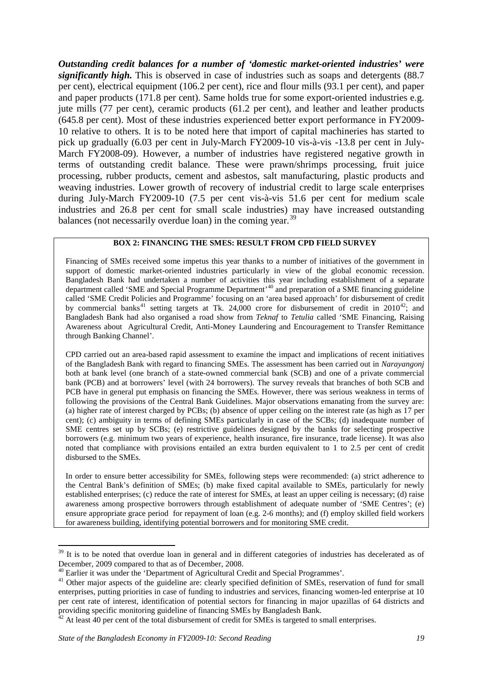*Outstanding credit balances for a number of 'domestic market-oriented industries' were significantly high.* This is observed in case of industries such as soaps and detergents (88.7) per cent), electrical equipment (106.2 per cent), rice and flour mills (93.1 per cent), and paper and paper products (171.8 per cent). Same holds true for some export-oriented industries e.g. jute mills (77 per cent), ceramic products (61.2 per cent), and leather and leather products (645.8 per cent). Most of these industries experienced better export performance in FY2009- 10 relative to others. It is to be noted here that import of capital machineries has started to pick up gradually (6.03 per cent in July-March FY2009-10 vis-à-vis -13.8 per cent in July-March FY2008-09). However, a number of industries have registered negative growth in terms of outstanding credit balance. These were prawn/shrimps processing, fruit juice processing, rubber products, cement and asbestos, salt manufacturing, plastic products and weaving industries. Lower growth of recovery of industrial credit to large scale enterprises during July-March FY2009-10 (7.5 per cent vis-à-vis 51.6 per cent for medium scale industries and 26.8 per cent for small scale industries) may have increased outstanding balances (not necessarily overdue loan) in the coming year.<sup>[39](#page-25-0)</sup>

#### **BOX 2: FINANCING THE SMES: RESULT FROM CPD FIELD SURVEY**

Financing of SMEs received some impetus this year thanks to a number of initiatives of the government in support of domestic market-oriented industries particularly in view of the global economic recession. Bangladesh Bank had undertaken a number of activities this year including establishment of a separate department called 'SME and Special Programme Department'[40](#page-25-1) and preparation of a SME financing guideline called 'SME Credit Policies and Programme' focusing on an 'area based approach' for disbursement of credit by commercial banks<sup>[41](#page-25-2)</sup> setting targets at Tk. 24,000 crore for disbursement of credit in  $2010^{42}$ ; and Bangladesh Bank had also organised a road show from *Teknaf* to *Tetulia* called 'SME Financing, Raising Awareness about Agricultural Credit, Anti-Money Laundering and Encouragement to Transfer Remittance through Banking Channel'.

CPD carried out an area-based rapid assessment to examine the impact and implications of recent initiatives of the Bangladesh Bank with regard to financing SMEs. The assessment has been carried out in *Narayangonj* both at bank level (one branch of a state-owned commercial bank (SCB) and one of a private commercial bank (PCB) and at borrowers' level (with 24 borrowers). The survey reveals that branches of both SCB and PCB have in general put emphasis on financing the SMEs. However, there was serious weakness in terms of following the provisions of the Central Bank Guidelines. Major observations emanating from the survey are: (a) higher rate of interest charged by PCBs; (b) absence of upper ceiling on the interest rate (as high as 17 per cent); (c) ambiguity in terms of defining SMEs particularly in case of the SCBs; (d) inadequate number of SME centres set up by SCBs; (e) restrictive guidelines designed by the banks for selecting prospective borrowers (e.g. minimum two years of experience, health insurance, fire insurance, trade license). It was also noted that compliance with provisions entailed an extra burden equivalent to 1 to 2.5 per cent of credit disbursed to the SMEs.

In order to ensure better accessibility for SMEs, following steps were recommended: (a) strict adherence to the Central Bank's definition of SMEs; (b) make fixed capital available to SMEs, particularly for newly established enterprises; (c) reduce the rate of interest for SMEs, at least an upper ceiling is necessary; (d) raise awareness among prospective borrowers through establishment of adequate number of 'SME Centres'; (e) ensure appropriate grace period for repayment of loan (e.g. 2-6 months); and (f) employ skilled field workers for awareness building, identifying potential borrowers and for monitoring SME credit.

<span id="page-25-0"></span><sup>&</sup>lt;sup>39</sup> It is to be noted that overdue loan in general and in different categories of industries has decelerated as of December, 2009 compared to that as of December, 2008.<br><sup>40</sup> Earlier it was under the 'Department of Agricultural Credit and Special Programmes'.

<span id="page-25-2"></span><span id="page-25-1"></span><sup>&</sup>lt;sup>41</sup> Other major aspects of the guideline are: clearly specified definition of SMEs, reservation of fund for small enterprises, putting priorities in case of funding to industries and services, financing women-led enterprise at 10 per cent rate of interest, identification of potential sectors for financing in major upazillas of 64 districts and providing specific monitoring guideline of financing SMEs by Bangladesh Bank.

<span id="page-25-3"></span>At least 40 per cent of the total disbursement of credit for SMEs is targeted to small enterprises.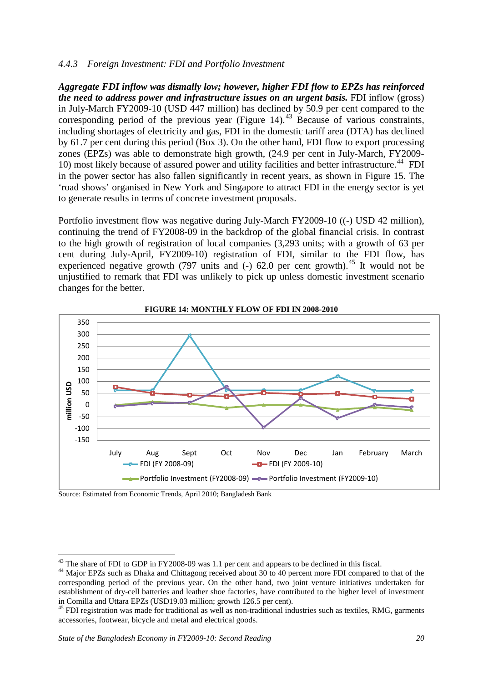#### *4.4.3 Foreign Investment: FDI and Portfolio Investment*

*Aggregate FDI inflow was dismally low; however, higher FDI flow to EPZs has reinforced the need to address power and infrastructure issues on an urgent basis.* FDI inflow (gross) in July-March FY2009-10 (USD 447 million) has declined by 50.9 per cent compared to the corresponding period of the previous year (Figure  $14$ ).<sup>[43](#page-26-0)</sup> Because of various constraints, including shortages of electricity and gas, FDI in the domestic tariff area (DTA) has declined by 61.7 per cent during this period (Box 3). On the other hand, FDI flow to export processing zones (EPZs) was able to demonstrate high growth, (24.9 per cent in July-March, FY2009- 10) most likely because of assured power and utility facilities and better infrastructure.<sup>[44](#page-26-1)</sup> FDI in the power sector has also fallen significantly in recent years, as shown in Figure 15. The 'road shows' organised in New York and Singapore to attract FDI in the energy sector is yet to generate results in terms of concrete investment proposals.

Portfolio investment flow was negative during July-March FY2009-10 ( $\left(-\right)$  USD 42 million), continuing the trend of FY2008-09 in the backdrop of the global financial crisis. In contrast to the high growth of registration of local companies (3,293 units; with a growth of 63 per cent during July-April, FY2009-10) registration of FDI, similar to the FDI flow, has experienced negative growth  $(797 \text{ units}$  and  $(-)$  62.0 per cent growth).<sup>[45](#page-26-2)</sup> It would not be unjustified to remark that FDI was unlikely to pick up unless domestic investment scenario changes for the better.



**FIGURE 14: MONTHLY FLOW OF FDI IN 2008-2010**

Source: Estimated from Economic Trends, April 2010; Bangladesh Bank

<span id="page-26-0"></span> $43$  The share of FDI to GDP in FY2008-09 was 1.1 per cent and appears to be declined in this fiscal.

<span id="page-26-1"></span><sup>&</sup>lt;sup>44</sup> Major EPZs such as Dhaka and Chittagong received about 30 to 40 percent more FDI compared to that of the corresponding period of the previous year. On the other hand, two joint venture initiatives undertaken for establishment of dry-cell batteries and leather shoe factories, have contributed to the higher level of investment

<span id="page-26-2"></span>in Comilla and Uttara EPZs (USD19.03 million; growth 126.5 per cent). <sup>45</sup> FDI registration was made for traditional as well as non-traditional industries such as textiles, RMG, garments accessories, footwear, bicycle and metal and electrical goods.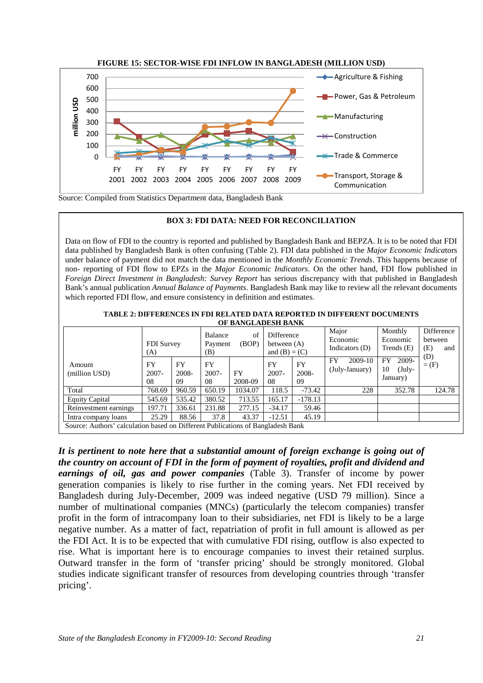

**FIGURE 15: SECTOR-WISE FDI INFLOW IN BANGLADESH (MILLION USD)**

Source: Compiled from Statistics Department data, Bangladesh Bank

#### **BOX 3: FDI DATA: NEED FOR RECONCILIATION**

Data on flow of FDI to the country is reported and published by Bangladesh Bank and BEPZA. It is to be noted that FDI data published by Bangladesh Bank is often confusing (Table 2). FDI data published in the *Major Economic Indica*tors under balance of payment did not match the data mentioned in the *Monthly Economic Trends*. This happens because of non- reporting of FDI flow to EPZs in the *Major Economic Indicators*. On the other hand, FDI flow published in *Foreign Direct Investment in Bangladesh: Survey Report* has serious discrepancy with that published in Bangladesh Bank's annual publication *Annual Balance of Payments*. Bangladesh Bank may like to review all the relevant documents which reported FDI flow, and ensure consistency in definition and estimates.

| <b>TABLE 2: DIFFERENCES IN FDI RELATED DATA REPORTED IN DIFFERENT DOCUMENTS</b> |
|---------------------------------------------------------------------------------|
| OF BANGLADESH BANK                                                              |

|                                                                                 | <b>FDI</b> Survey<br>(A) |                   | Balance<br>Payment<br>(B)   | of<br>(BOP)          | Difference<br>between $(A)$<br>and $(B) = (C)$ |                   | Major<br>Monthly<br>Economic<br>Economic<br>Indicators $(D)$<br>Trends $(E)$ |                                                  | Difference<br>between<br>(E)<br>and<br>(D) |  |
|---------------------------------------------------------------------------------|--------------------------|-------------------|-----------------------------|----------------------|------------------------------------------------|-------------------|------------------------------------------------------------------------------|--------------------------------------------------|--------------------------------------------|--|
| Amount<br>(million USD)                                                         | FY<br>$2007 -$<br>08     | FY<br>2008-<br>09 | <b>FY</b><br>$2007 -$<br>08 | <b>FY</b><br>2008-09 | FY<br>$2007 -$<br>08                           | FY<br>2008-<br>09 | FY<br>2009-10<br>(July-January)                                              | 2009-<br><b>FY</b><br>$(July-$<br>10<br>January) | $=$ (F)                                    |  |
| Total                                                                           | 768.69                   | 960.59            | 650.19                      | 1034.07              | 118.5                                          | $-73.42$          | 228                                                                          | 352.78                                           | 124.78                                     |  |
| <b>Equity Capital</b>                                                           | 545.69                   | 535.42            | 380.52                      | 713.55               | 165.17                                         | $-178.13$         |                                                                              |                                                  |                                            |  |
| Reinvestment earnings                                                           | 197.71                   | 336.61            | 231.88                      | 277.15               | $-34.17$                                       | 59.46             |                                                                              |                                                  |                                            |  |
| Intra company loans                                                             | 25.29                    | 88.56             | 37.8                        | 43.37                | $-12.51$                                       | 45.19             |                                                                              |                                                  |                                            |  |
| Source: Authors' calculation based on Different Publications of Bangladesh Bank |                          |                   |                             |                      |                                                |                   |                                                                              |                                                  |                                            |  |

Source: Authors' calculation based on Different Publications of Bangladesh Bank

*It is pertinent to note here that a substantial amount of foreign exchange is going out of the country on account of FDI in the form of payment of royalties, profit and dividend and earnings of oil, gas and power companies* (Table 3). Transfer of income by power generation companies is likely to rise further in the coming years. Net FDI received by Bangladesh during July-December, 2009 was indeed negative (USD 79 million). Since a number of multinational companies (MNCs) (particularly the telecom companies) transfer profit in the form of intracompany loan to their subsidiaries, net FDI is likely to be a large negative number. As a matter of fact, repatriation of profit in full amount is allowed as per the FDI Act. It is to be expected that with cumulative FDI rising, outflow is also expected to rise. What is important here is to encourage companies to invest their retained surplus. Outward transfer in the form of 'transfer pricing' should be strongly monitored. Global studies indicate significant transfer of resources from developing countries through 'transfer pricing'.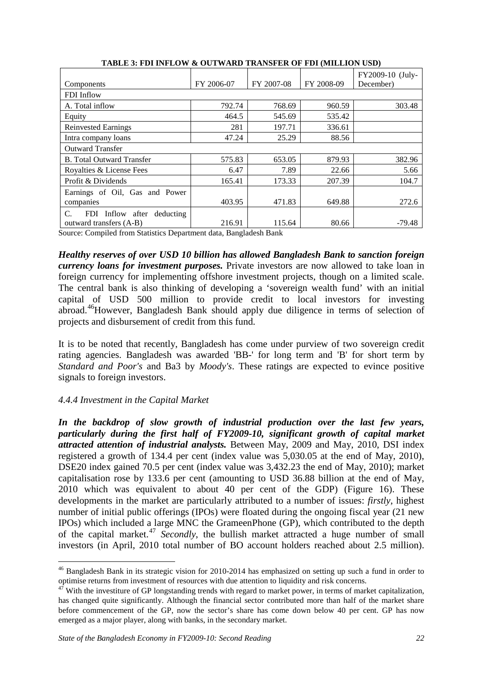| Components                                                     | FY 2006-07 | FY 2007-08 | FY 2008-09 | FY2009-10 (July-<br>December) |
|----------------------------------------------------------------|------------|------------|------------|-------------------------------|
| FDI Inflow                                                     |            |            |            |                               |
| A. Total inflow                                                | 792.74     | 768.69     | 960.59     | 303.48                        |
| Equity                                                         | 464.5      | 545.69     | 535.42     |                               |
| <b>Reinvested Earnings</b>                                     | 281        | 197.71     | 336.61     |                               |
| Intra company loans                                            | 47.24      | 25.29      | 88.56      |                               |
| <b>Outward Transfer</b>                                        |            |            |            |                               |
| <b>B.</b> Total Outward Transfer                               | 575.83     | 653.05     | 879.93     | 382.96                        |
| Royalties & License Fees                                       | 6.47       | 7.89       | 22.66      | 5.66                          |
| Profit & Dividends                                             | 165.41     | 173.33     | 207.39     | 104.7                         |
| Earnings of Oil, Gas and Power                                 |            |            |            |                               |
| companies                                                      | 403.95     | 471.83     | 649.88     | 272.6                         |
| FDI Inflow after<br>C.<br>deducting<br>outward transfers (A-B) | 216.91     | 115.64     | 80.66      | $-79.48$                      |

**TABLE 3: FDI INFLOW & OUTWARD TRANSFER OF FDI (MILLION USD)**

Source: Compiled from Statistics Department data, Bangladesh Bank

*Healthy reserves of over USD 10 billion has allowed Bangladesh Bank to sanction foreign currency loans for investment purposes.* Private investors are now allowed to take loan in foreign currency for implementing offshore investment projects, though on a limited scale. The central bank is also thinking of developing a 'sovereign wealth fund' with an initial capital of USD 500 million to provide credit to local investors for investing abroad.<sup>[46](#page-28-0)</sup>However, Bangladesh Bank should apply due diligence in terms of selection of projects and disbursement of credit from this fund.

It is to be noted that recently, Bangladesh has come under purview of two sovereign credit rating agencies. Bangladesh was awarded 'BB-' for long term and 'B' for short term by *Standard and Poor's* and Ba3 by *Moody's*. These ratings are expected to evince positive signals to foreign investors.

# *4.4.4 Investment in the Capital Market*

.<br>-

*In the backdrop of slow growth of industrial production over the last few years, particularly during the first half of FY2009-10, significant growth of capital market attracted attention of industrial analysts.* Between May, 2009 and May, 2010, DSI index registered a growth of 134.4 per cent (index value was 5,030.05 at the end of May, 2010), DSE20 index gained 70.5 per cent (index value was 3,432.23 the end of May, 2010); market capitalisation rose by 133.6 per cent (amounting to USD 36.88 billion at the end of May, 2010 which was equivalent to about 40 per cent of the GDP) (Figure 16). These developments in the market are particularly attributed to a number of issues: *firstly*, highest number of initial public offerings (IPOs) were floated during the ongoing fiscal year (21 new IPOs) which included a large MNC the GrameenPhone (GP), which contributed to the depth of the capital market. [47](#page-28-0) *Secondly*, the bullish market attracted a huge number of small investors (in April, 2010 total number of BO account holders reached about 2.5 million).

<span id="page-28-0"></span><sup>&</sup>lt;sup>46</sup> Bangladesh Bank in its strategic vision for 2010-2014 has emphasized on setting up such a fund in order to optimise returns from investment of resources with due attention to liquidity and risk concerns.

 $4^7$  With the investiture of GP longstanding trends with regard to market power, in terms of market capitalization, has changed quite significantly. Although the financial sector contributed more than half of the market share before commencement of the GP, now the sector's share has come down below 40 per cent. GP has now emerged as a major player, along with banks, in the secondary market.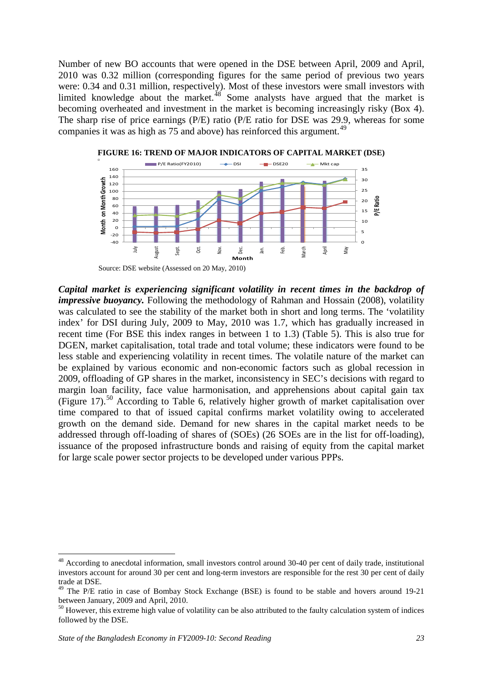Number of new BO accounts that were opened in the DSE between April, 2009 and April, 2010 was 0.32 million (corresponding figures for the same period of previous two years were: 0.34 and 0.31 million, respectively). Most of these investors were small investors with limited knowledge about the market. $48$  Some analysts have argued that the market is becoming overheated and investment in the market is becoming increasingly risky (Box 4). The sharp rise of price earnings (P/E) ratio (P/E ratio for DSE was 29.9, whereas for some companies it was as high as 75 and above) has reinforced this argument.<sup>[49](#page-29-1)</sup>



*Capital market is experiencing significant volatility in recent times in the backdrop of impressive buoyancy.* Following the methodology of Rahman and Hossain (2008), volatility was calculated to see the stability of the market both in short and long terms. The 'volatility index' for DSI during July, 2009 to May, 2010 was 1.7, which has gradually increased in recent time (For BSE this index ranges in between 1 to 1.3) (Table 5). This is also true for DGEN, market capitalisation, total trade and total volume; these indicators were found to be less stable and experiencing volatility in recent times. The volatile nature of the market can be explained by various economic and non-economic factors such as global recession in 2009, offloading of GP shares in the market, inconsistency in SEC's decisions with regard to margin loan facility, face value harmonisation, and apprehensions about capital gain tax (Figure 17). [50](#page-29-2) According to Table 6, relatively higher growth of market capitalisation over time compared to that of issued capital confirms market volatility owing to accelerated growth on the demand side. Demand for new shares in the capital market needs to be addressed through off-loading of shares of (SOEs) (26 SOEs are in the list for off-loading), issuance of the proposed infrastructure bonds and raising of equity from the capital market for large scale power sector projects to be developed under various PPPs.

<span id="page-29-0"></span><sup>&</sup>lt;sup>48</sup> According to anecdotal information, small investors control around 30-40 per cent of daily trade, institutional investors account for around 30 per cent and long-term investors are responsible for the rest 30 per cent of daily trade at DSE.

<span id="page-29-1"></span><sup>&</sup>lt;sup>49</sup> The P/E ratio in case of Bombay Stock Exchange (BSE) is found to be stable and hovers around 19-21 between January, 2009 and April, 2010.<br><sup>50</sup> However, this extreme high value of volatility can be also attributed to the faulty calculation system of indices

<span id="page-29-2"></span>followed by the DSE.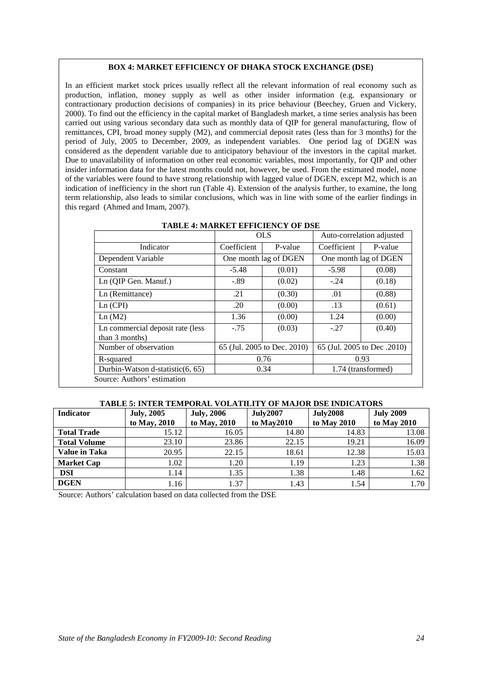#### **BOX 4: MARKET EFFICIENCY OF DHAKA STOCK EXCHANGE (DSE)**

In an efficient market stock prices usually reflect all the relevant information of real economy such as production, inflation, money supply as well as other insider information (e.g. expansionary or contractionary production decisions of companies) in its price behaviour (Beechey, Gruen and Vickery, 2000). To find out the efficiency in the capital market of Bangladesh market, a time series analysis has been carried out using various secondary data such as monthly data of QIP for general manufacturing, flow of remittances, CPI, broad money supply (M2), and commercial deposit rates (less than for 3 months) for the period of July, 2005 to December, 2009, as independent variables. One period lag of DGEN was considered as the dependent variable due to anticipatory behaviour of the investors in the capital market. Due to unavailability of information on other real economic variables, most importantly, for QIP and other insider information data for the latest months could not, however, be used. From the estimated model, none of the variables were found to have strong relationship with lagged value of DGEN, except M2, which is an indication of inefficiency in the short run (Table 4). Extension of the analysis further, to examine, the long term relationship, also leads to similar conclusions, which was in line with some of the earlier findings in this regard (Ahmed and Imam, 2007).

|                                                    |                             | <b>OLS</b>            | Auto-correlation adjusted |                             |  |
|----------------------------------------------------|-----------------------------|-----------------------|---------------------------|-----------------------------|--|
| Indicator                                          | Coefficient                 | P-value               | Coefficient               | P-value                     |  |
| Dependent Variable                                 |                             | One month lag of DGEN | One month lag of DGEN     |                             |  |
| Constant                                           | $-5.48$                     | (0.01)                | $-5.98$                   | (0.08)                      |  |
| Ln (QIP Gen. Manuf.)                               | $-.89$                      | (0.02)                | $-.24$                    | (0.18)                      |  |
| Ln (Remittance)                                    | .21                         | (0.30)                | .01                       | (0.88)                      |  |
| Ln (CPI)                                           | .20                         | (0.00)                | .13                       | (0.61)                      |  |
| Ln(M2)                                             | 1.36                        | (0.00)                | 1.24                      | (0.00)                      |  |
| Ln commercial deposit rate (less<br>than 3 months) | $-.75$                      | (0.03)                | $-.27$                    | (0.40)                      |  |
| Number of observation                              | 65 (Jul. 2005 to Dec. 2010) |                       |                           | 65 (Jul. 2005 to Dec. 2010) |  |
| R-squared                                          | 0.76                        |                       | 0.93                      |                             |  |
| Durbin-Watson d-statistic(6, 65)                   | 0.34                        |                       | 1.74 (transformed)        |                             |  |
| Source: Authors' estimation                        |                             |                       |                           |                             |  |

#### **TABLE 4: MARKET EFFICIENCY OF DSE**

#### **TABLE 5: INTER TEMPORAL VOLATILITY OF MAJOR DSE INDICATORS**

| <b>Indicator</b>     | <b>July, 2005</b> | <b>July, 2006</b> | <b>July2007</b> | <b>July2008</b> | <b>July 2009</b> |
|----------------------|-------------------|-------------------|-----------------|-----------------|------------------|
|                      | to May, 2010      | to May, 2010      | to May2010      | to May 2010     | to May 2010      |
| <b>Total Trade</b>   | 15.12             | 16.05             | 14.80           | 14.83           | 13.08            |
| <b>Total Volume</b>  | 23.10             | 23.86             | 22.15           | 19.21           | 16.09            |
| <b>Value in Taka</b> | 20.95             | 22.15             | 18.61           | 12.38           | 15.03            |
| <b>Market Cap</b>    | 1.02              | 1.20              | 1.19            | 1.23            | 1.38             |
| <b>DSI</b>           | 1.14              | 1.35              | 1.38            | 1.48            | 1.62             |
| <b>DGEN</b>          | 1.16              | 1.37              | 1.43            | 1.54            | 1.70             |

Source: Authors' calculation based on data collected from the DSE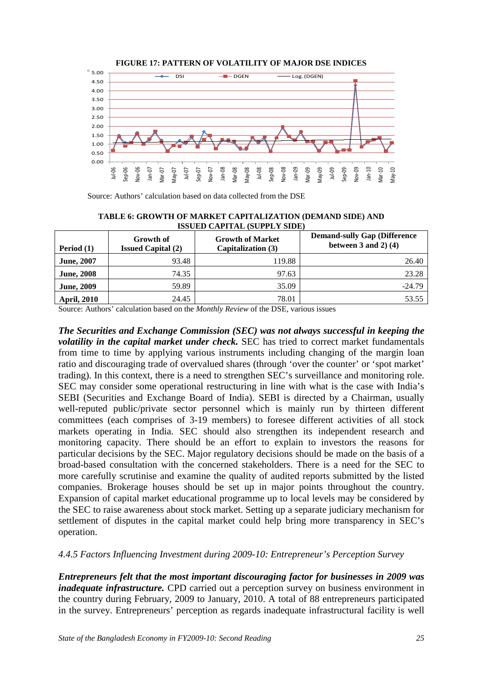

**FIGURE 17: PATTERN OF VOLATILITY OF MAJOR DSE INDICES**

Source: Authors' calculation based on data collected from the DSE

**TABLE 6: GROWTH OF MARKET CAPITALIZATION (DEMAND SIDE) AND ISSUED CAPITAL (SUPPLY SIDE)**

| Period $(1)$       | Growth of<br><b>Issued Capital (2)</b> | <b>Growth of Market</b><br>Capitalization (3) | <b>Demand-sully Gap (Difference</b><br>between 3 and 2 $(4)$ |  |  |  |  |
|--------------------|----------------------------------------|-----------------------------------------------|--------------------------------------------------------------|--|--|--|--|
| <b>June</b> , 2007 | 93.48                                  | 119.88                                        | 26.40                                                        |  |  |  |  |
| <b>June, 2008</b>  | 74.35                                  | 97.63                                         | 23.28                                                        |  |  |  |  |
| <b>June, 2009</b>  | 59.89                                  | 35.09                                         | $-24.79$                                                     |  |  |  |  |
| <b>April, 2010</b> | 24.45                                  | 78.01                                         | 53.55                                                        |  |  |  |  |

Source: Authors' calculation based on the *Monthly Review* of the DSE, various issues

*The Securities and Exchange Commission (SEC) was not always successful in keeping the volatility in the capital market under check.* SEC has tried to correct market fundamentals from time to time by applying various instruments including changing of the margin loan ratio and discouraging trade of overvalued shares (through 'over the counter' or 'spot market' trading). In this context, there is a need to strengthen SEC's surveillance and monitoring role. SEC may consider some operational restructuring in line with what is the case with India's SEBI (Securities and Exchange Board of India). SEBI is directed by a Chairman, usually well-reputed public/private sector personnel which is mainly run by thirteen different committees (each comprises of 3-19 members) to foresee different activities of all stock markets operating in India. SEC should also strengthen its independent research and monitoring capacity. There should be an effort to explain to investors the reasons for particular decisions by the SEC. Major regulatory decisions should be made on the basis of a broad-based consultation with the concerned stakeholders. There is a need for the SEC to more carefully scrutinise and examine the quality of audited reports submitted by the listed companies. Brokerage houses should be set up in major points throughout the country. Expansion of capital market educational programme up to local levels may be considered by the SEC to raise awareness about stock market. Setting up a separate judiciary mechanism for settlement of disputes in the capital market could help bring more transparency in SEC's operation.

#### *4.4.5 Factors Influencing Investment during 2009-10: Entrepreneur's Perception Survey*

*Entrepreneurs felt that the most important discouraging factor for businesses in 2009 was inadequate infrastructure*. CPD carried out a perception survey on business environment in the country during February, 2009 to January, 2010. A total of 88 entrepreneurs participated in the survey. Entrepreneurs' perception as regards inadequate infrastructural facility is well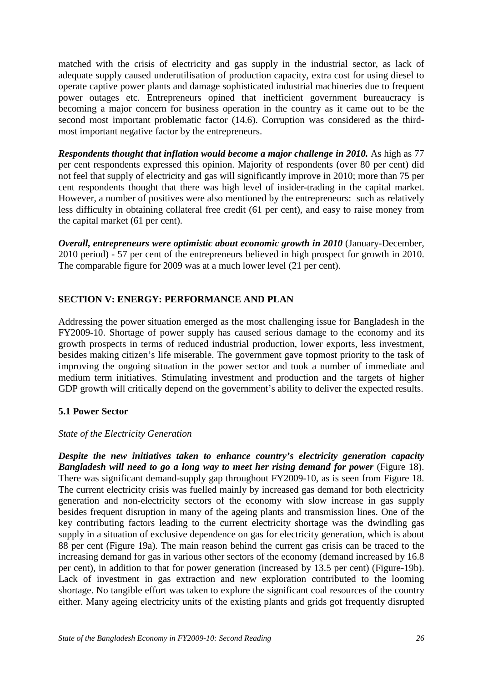matched with the crisis of electricity and gas supply in the industrial sector, as lack of adequate supply caused underutilisation of production capacity, extra cost for using diesel to operate captive power plants and damage sophisticated industrial machineries due to frequent power outages etc. Entrepreneurs opined that inefficient government bureaucracy is becoming a major concern for business operation in the country as it came out to be the second most important problematic factor (14.6). Corruption was considered as the thirdmost important negative factor by the entrepreneurs.

*Respondents thought that inflation would become a major challenge in 2010.* As high as 77 per cent respondents expressed this opinion. Majority of respondents (over 80 per cent) did not feel that supply of electricity and gas will significantly improve in 2010; more than 75 per cent respondents thought that there was high level of insider-trading in the capital market. However, a number of positives were also mentioned by the entrepreneurs: such as relatively less difficulty in obtaining collateral free credit (61 per cent), and easy to raise money from the capital market (61 per cent).

*Overall, entrepreneurs were optimistic about economic growth in 2010* (January-December, 2010 period) - 57 per cent of the entrepreneurs believed in high prospect for growth in 2010. The comparable figure for 2009 was at a much lower level (21 per cent).

# **SECTION V: ENERGY: PERFORMANCE AND PLAN**

Addressing the power situation emerged as the most challenging issue for Bangladesh in the FY2009-10. Shortage of power supply has caused serious damage to the economy and its growth prospects in terms of reduced industrial production, lower exports, less investment, besides making citizen's life miserable. The government gave topmost priority to the task of improving the ongoing situation in the power sector and took a number of immediate and medium term initiatives. Stimulating investment and production and the targets of higher GDP growth will critically depend on the government's ability to deliver the expected results.

# **5.1 Power Sector**

#### *State of the Electricity Generation*

*Despite the new initiatives taken to enhance country's electricity generation capacity Bangladesh will need to go a long way to meet her rising demand for power* (Figure 18). There was significant demand-supply gap throughout FY2009-10, as is seen from Figure 18. The current electricity crisis was fuelled mainly by increased gas demand for both electricity generation and non-electricity sectors of the economy with slow increase in gas supply besides frequent disruption in many of the ageing plants and transmission lines. One of the key contributing factors leading to the current electricity shortage was the dwindling gas supply in a situation of exclusive dependence on gas for electricity generation, which is about 88 per cent (Figure 19a). The main reason behind the current gas crisis can be traced to the increasing demand for gas in various other sectors of the economy (demand increased by 16.8 per cent), in addition to that for power generation (increased by 13.5 per cent) (Figure-19b). Lack of investment in gas extraction and new exploration contributed to the looming shortage. No tangible effort was taken to explore the significant coal resources of the country either. Many ageing electricity units of the existing plants and grids got frequently disrupted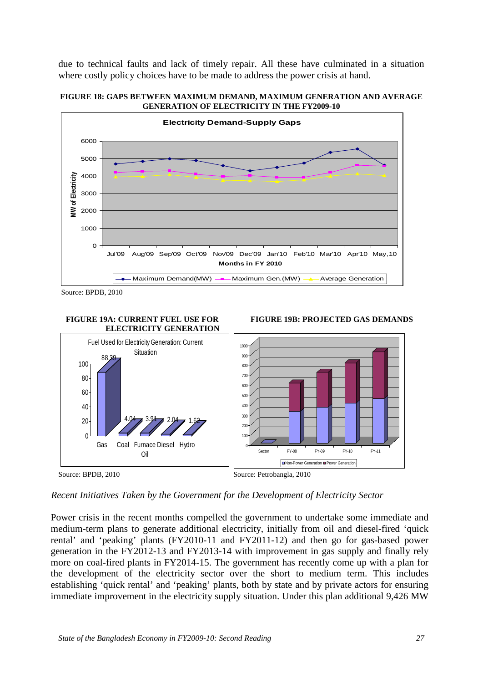due to technical faults and lack of timely repair. All these have culminated in a situation where costly policy choices have to be made to address the power crisis at hand.





Source: BPDB, 2010



*Recent Initiatives Taken by the Government for the Development of Electricity Sector* 

Power crisis in the recent months compelled the government to undertake some immediate and medium-term plans to generate additional electricity, initially from oil and diesel-fired 'quick rental' and 'peaking' plants (FY2010-11 and FY2011-12) and then go for gas-based power generation in the FY2012-13 and FY2013-14 with improvement in gas supply and finally rely more on coal-fired plants in FY2014-15. The government has recently come up with a plan for the development of the electricity sector over the short to medium term. This includes establishing 'quick rental' and 'peaking' plants, both by state and by private actors for ensuring immediate improvement in the electricity supply situation. Under this plan additional 9,426 MW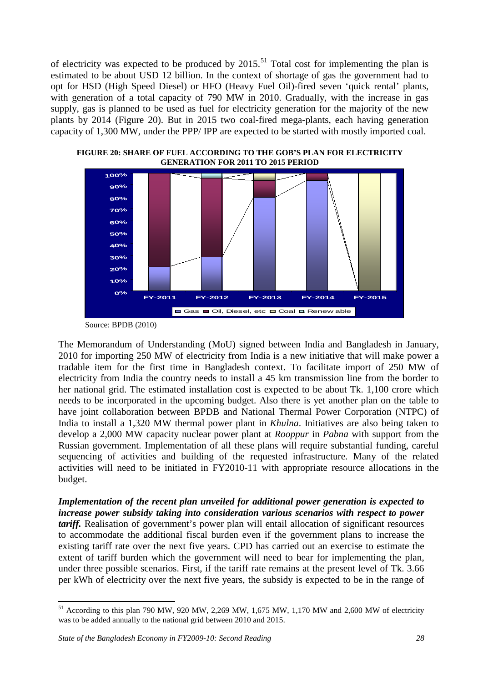of electricity was expected to be produced by  $2015$ .<sup>[51](#page-34-0)</sup> Total cost for implementing the plan is estimated to be about USD 12 billion. In the context of shortage of gas the government had to opt for HSD (High Speed Diesel) or HFO (Heavy Fuel Oil)-fired seven 'quick rental' plants, with generation of a total capacity of 790 MW in 2010. Gradually, with the increase in gas supply, gas is planned to be used as fuel for electricity generation for the majority of the new plants by 2014 (Figure 20). But in 2015 two coal-fired mega-plants, each having generation capacity of 1,300 MW, under the PPP/ IPP are expected to be started with mostly imported coal.



**FIGURE 20: SHARE OF FUEL ACCORDING TO THE GOB'S PLAN FOR ELECTRICITY GENERATION FOR 2011 TO 2015 PERIOD**

The Memorandum of Understanding (MoU) signed between India and Bangladesh in January, 2010 for importing 250 MW of electricity from India is a new initiative that will make power a tradable item for the first time in Bangladesh context. To facilitate import of 250 MW of electricity from India the country needs to install a 45 km transmission line from the border to her national grid. The estimated installation cost is expected to be about Tk. 1,100 crore which needs to be incorporated in the upcoming budget. Also there is yet another plan on the table to have joint collaboration between BPDB and National Thermal Power Corporation (NTPC) of India to install a 1,320 MW thermal power plant in *Khulna*. Initiatives are also being taken to develop a 2,000 MW capacity nuclear power plant at *Rooppur* in *Pabna* with support from the Russian government. Implementation of all these plans will require substantial funding, careful sequencing of activities and building of the requested infrastructure. Many of the related activities will need to be initiated in FY2010-11 with appropriate resource allocations in the budget.

*Implementation of the recent plan unveiled for additional power generation is expected to increase power subsidy taking into consideration various scenarios with respect to power tariff.* Realisation of government's power plan will entail allocation of significant resources to accommodate the additional fiscal burden even if the government plans to increase the existing tariff rate over the next five years. CPD has carried out an exercise to estimate the extent of tariff burden which the government will need to bear for implementing the plan, under three possible scenarios. First, if the tariff rate remains at the present level of Tk. 3.66 per kWh of electricity over the next five years, the subsidy is expected to be in the range of

Source: BPDB (2010)

<span id="page-34-0"></span><sup>&</sup>lt;sup>51</sup> According to this plan 790 MW, 920 MW, 2,269 MW, 1,675 MW, 1,170 MW and 2,600 MW of electricity was to be added annually to the national grid between 2010 and 2015.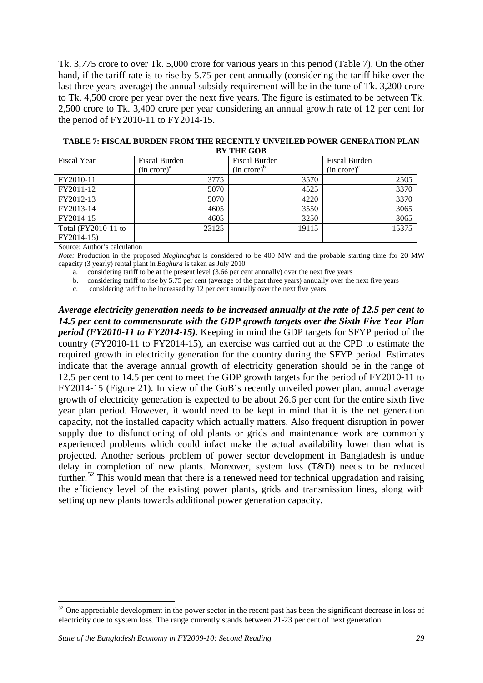Tk. 3,775 crore to over Tk. 5,000 crore for various years in this period (Table 7). On the other hand, if the tariff rate is to rise by 5.75 per cent annually (considering the tariff hike over the last three years average) the annual subsidy requirement will be in the tune of Tk. 3,200 crore to Tk. 4,500 crore per year over the next five years. The figure is estimated to be between Tk. 2,500 crore to Tk. 3,400 crore per year considering an annual growth rate of 12 per cent for the period of FY2010-11 to FY2014-15.

| TABLE 7: FISCAL BURDEN FROM THE RECENTLY UNVEILED POWER GENERATION PLAN |
|-------------------------------------------------------------------------|
| <b>BY THE GOB</b>                                                       |

| <b>Fiscal Year</b>  | <b>Fiscal Burden</b> | <b>Fiscal Burden</b> | <b>Fiscal Burden</b>       |
|---------------------|----------------------|----------------------|----------------------------|
|                     | $(in \, correct)^a$  | $(in \, crore)^b$    | $(in \, c\,)$ <sup>c</sup> |
| FY2010-11           | 3775                 | 3570                 | 2505                       |
| FY2011-12           | 5070                 | 4525                 | 3370                       |
| FY2012-13           | 5070                 | 4220                 | 3370                       |
| FY2013-14           | 4605                 | 3550                 | 3065                       |
| FY2014-15           | 4605                 | 3250                 | 3065                       |
| Total (FY2010-11 to | 23125                | 19115                | 15375                      |
| FY2014-15)          |                      |                      |                            |

Source: Author's calculation

.<br>-

*Note:* Production in the proposed *Meghnaghat* is considered to be 400 MW and the probable starting time for 20 MW capacity (3 yearly) rental plant in *Baghura* is taken as July 2010

a. considering tariff to be at the present level (3.66 per cent annually) over the next five years

b. considering tariff to rise by 5.75 per cent (average of the past three years) annually over the next five years

c. considering tariff to be increased by 12 per cent annually over the next five years

*Average electricity generation needs to be increased annually at the rate of 12.5 per cent to 14.5 per cent to commensurate with the GDP growth targets over the Sixth Five Year Plan period (FY2010-11 to FY2014-15).* Keeping in mind the GDP targets for SFYP period of the country (FY2010-11 to FY2014-15), an exercise was carried out at the CPD to estimate the required growth in electricity generation for the country during the SFYP period. Estimates indicate that the average annual growth of electricity generation should be in the range of 12.5 per cent to 14.5 per cent to meet the GDP growth targets for the period of FY2010-11 to FY2014-15 (Figure 21). In view of the GoB's recently unveiled power plan, annual average growth of electricity generation is expected to be about 26.6 per cent for the entire sixth five year plan period. However, it would need to be kept in mind that it is the net generation capacity, not the installed capacity which actually matters. Also frequent disruption in power supply due to disfunctioning of old plants or grids and maintenance work are commonly experienced problems which could infact make the actual availability lower than what is projected. Another serious problem of power sector development in Bangladesh is undue delay in completion of new plants. Moreover, system loss (T&D) needs to be reduced further.<sup>[52](#page-35-0)</sup> This would mean that there is a renewed need for technical upgradation and raising the efficiency level of the existing power plants, grids and transmission lines, along with setting up new plants towards additional power generation capacity.

<span id="page-35-0"></span> $52$  One appreciable development in the power sector in the recent past has been the significant decrease in loss of electricity due to system loss. The range currently stands between 21-23 per cent of next generation.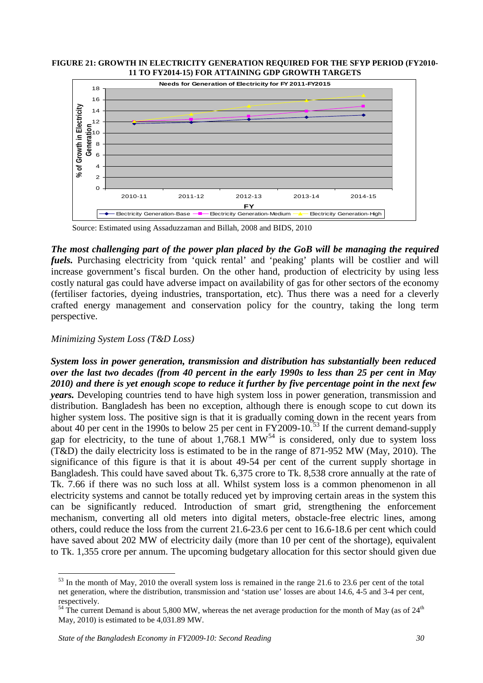#### **FIGURE 21: GROWTH IN ELECTRICITY GENERATION REQUIRED FOR THE SFYP PERIOD (FY2010- 11 TO FY2014-15) FOR ATTAINING GDP GROWTH TARGETS**



Source: Estimated using Assaduzzaman and Billah, 2008 and BIDS, 2010

*The most challenging part of the power plan placed by the GoB will be managing the required fuels.* Purchasing electricity from 'quick rental' and 'peaking' plants will be costlier and will increase government's fiscal burden. On the other hand, production of electricity by using less costly natural gas could have adverse impact on availability of gas for other sectors of the economy (fertiliser factories, dyeing industries, transportation, etc). Thus there was a need for a cleverly crafted energy management and conservation policy for the country, taking the long term perspective.

### *Minimizing System Loss (T&D Loss)*

<u>.</u>

*System loss in power generation, transmission and distribution has substantially been reduced over the last two decades (from 40 percent in the early 1990s to less than 25 per cent in May 2010) and there is yet enough scope to reduce it further by five percentage point in the next few years.* Developing countries tend to have high system loss in power generation, transmission and distribution. Bangladesh has been no exception, although there is enough scope to cut down its higher system loss. The positive sign is that it is gradually coming down in the recent years from about 40 per cent in the 1990s to below 25 per cent in  $FY2009-10.53$  $FY2009-10.53$  If the current demand-supply gap for electricity, to the tune of about  $1,768.1$  MW<sup>[54](#page-36-1)</sup> is considered, only due to system loss (T&D) the daily electricity loss is estimated to be in the range of 871-952 MW (May, 2010). The significance of this figure is that it is about 49-54 per cent of the current supply shortage in Bangladesh. This could have saved about Tk. 6,375 crore to Tk. 8,538 crore annually at the rate of Tk. 7.66 if there was no such loss at all. Whilst system loss is a common phenomenon in all electricity systems and cannot be totally reduced yet by improving certain areas in the system this can be significantly reduced. Introduction of smart grid, strengthening the enforcement mechanism, converting all old meters into digital meters, obstacle-free electric lines, among others, could reduce the loss from the current 21.6-23.6 per cent to 16.6-18.6 per cent which could have saved about 202 MW of electricity daily (more than 10 per cent of the shortage), equivalent to Tk. 1,355 crore per annum. The upcoming budgetary allocation for this sector should given due

<span id="page-36-0"></span> $53$  In the month of May, 2010 the overall system loss is remained in the range 21.6 to 23.6 per cent of the total net generation, where the distribution, transmission and 'station use' losses are about 14.6, 4-5 and 3-4 per cent, respectively.

<span id="page-36-1"></span> $54$  The current Demand is about 5,800 MW, whereas the net average production for the month of May (as of  $24<sup>th</sup>$ ) May, 2010) is estimated to be 4,031.89 MW.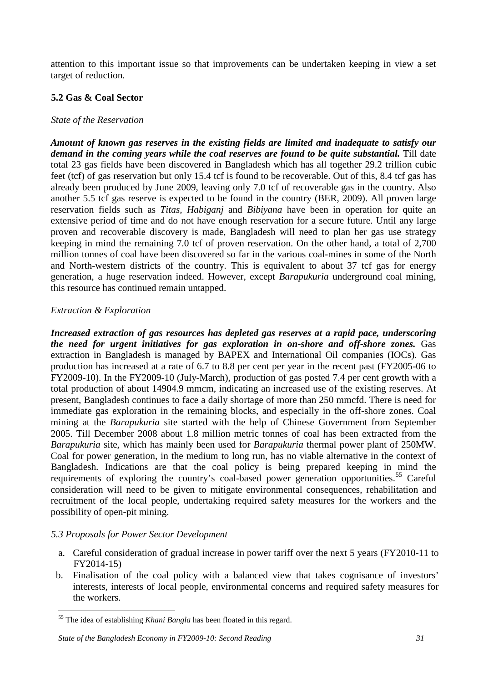attention to this important issue so that improvements can be undertaken keeping in view a set target of reduction.

# **5.2 Gas & Coal Sector**

### *State of the Reservation*

*Amount of known gas reserves in the existing fields are limited and inadequate to satisfy our demand in the coming years while the coal reserves are found to be quite substantial.* Till date total 23 gas fields have been discovered in Bangladesh which has all together 29.2 trillion cubic feet (tcf) of gas reservation but only 15.4 tcf is found to be recoverable. Out of this, 8.4 tcf gas has already been produced by June 2009, leaving only 7.0 tcf of recoverable gas in the country. Also another 5.5 tcf gas reserve is expected to be found in the country (BER, 2009). All proven large reservation fields such as *Titas, Habiganj* and *Bibiyana* have been in operation for quite an extensive period of time and do not have enough reservation for a secure future. Until any large proven and recoverable discovery is made, Bangladesh will need to plan her gas use strategy keeping in mind the remaining 7.0 tcf of proven reservation. On the other hand, a total of 2,700 million tonnes of coal have been discovered so far in the various coal-mines in some of the North and North-western districts of the country. This is equivalent to about 37 tcf gas for energy generation, a huge reservation indeed. However, except *Barapukuria* underground coal mining, this resource has continued remain untapped.

# *Extraction & Exploration*

*Increased extraction of gas resources has depleted gas reserves at a rapid pace, underscoring the need for urgent initiatives for gas exploration in on-shore and off-shore zones.* Gas extraction in Bangladesh is managed by BAPEX and International Oil companies (IOCs). Gas production has increased at a rate of 6.7 to 8.8 per cent per year in the recent past (FY2005-06 to FY2009-10). In the FY2009-10 (July-March), production of gas posted 7.4 per cent growth with a total production of about 14904.9 mmcm, indicating an increased use of the existing reserves. At present, Bangladesh continues to face a daily shortage of more than 250 mmcfd. There is need for immediate gas exploration in the remaining blocks, and especially in the off-shore zones. Coal mining at the *Barapukuria* site started with the help of Chinese Government from September 2005. Till December 2008 about 1.8 million metric tonnes of coal has been extracted from the *Barapukuria* site, which has mainly been used for *Barapukuria* thermal power plant of 250MW. Coal for power generation, in the medium to long run, has no viable alternative in the context of Bangladesh. Indications are that the coal policy is being prepared keeping in mind the requirements of exploring the country's coal-based power generation opportunities.<sup>[55](#page-37-0)</sup> Careful consideration will need to be given to mitigate environmental consequences, rehabilitation and recruitment of the local people, undertaking required safety measures for the workers and the possibility of open-pit mining.

# *5.3 Proposals for Power Sector Development*

.

- a. Careful consideration of gradual increase in power tariff over the next 5 years (FY2010-11 to FY2014-15)
- b. Finalisation of the coal policy with a balanced view that takes cognisance of investors' interests, interests of local people, environmental concerns and required safety measures for the workers.

#### *State of the Bangladesh Economy in FY2009-10: Second Reading 31*

<span id="page-37-0"></span><sup>55</sup> The idea of establishing *Khani Bangla* has been floated in this regard.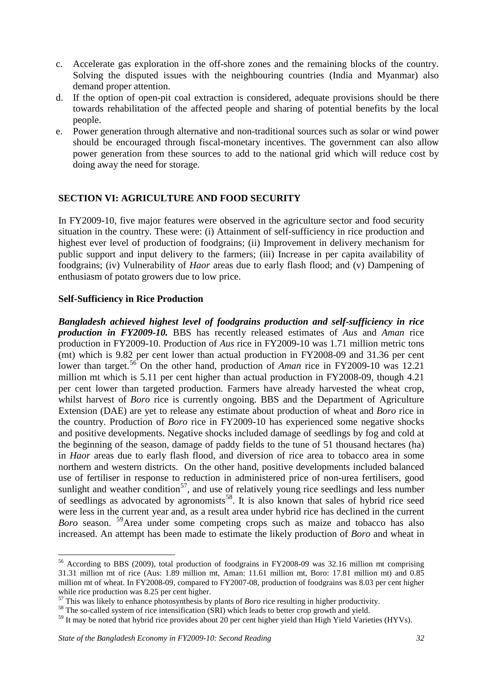- c. Accelerate gas exploration in the off-shore zones and the remaining blocks of the country. Solving the disputed issues with the neighbouring countries (India and Myanmar) also demand proper attention.
- d. If the option of open-pit coal extraction is considered, adequate provisions should be there towards rehabilitation of the affected people and sharing of potential benefits by the local people.
- e. Power generation through alternative and non-traditional sources such as solar or wind power should be encouraged through fiscal-monetary incentives. The government can also allow power generation from these sources to add to the national grid which will reduce cost by doing away the need for storage.

#### **SECTION VI: AGRICULTURE AND FOOD SECURITY**

In FY2009-10, five major features were observed in the agriculture sector and food security situation in the country. These were: (i) Attainment of self-sufficiency in rice production and highest ever level of production of foodgrains; (ii) Improvement in delivery mechanism for public support and input delivery to the farmers; (iii) Increase in per capita availability of foodgrains; (iv) Vulnerability of *Haor* areas due to early flash flood; and (v) Dampening of enthusiasm of potato growers due to low price.

#### **Self-Sufficiency in Rice Production**

-

*Bangladesh achieved highest level of foodgrains production and self-sufficiency in rice production in FY2009-10.* BBS has recently released estimates of *Aus* and *Aman* rice production in FY2009-10. Production of *Aus* rice in FY2009-10 was 1.71 million metric tons (mt) which is 9.82 per cent lower than actual production in FY2008-09 and 31.36 per cent lower than target.<sup>[56](#page-38-0)</sup> On the other hand, production of *Aman* rice in FY2009-10 was 12.21 million mt which is 5.11 per cent higher than actual production in FY2008-09, though 4.21 per cent lower than targeted production. Farmers have already harvested the wheat crop, whilst harvest of *Boro* rice is currently ongoing. BBS and the Department of Agriculture Extension (DAE) are yet to release any estimate about production of wheat and *Boro* rice in the country. Production of *Boro* rice in FY2009-10 has experienced some negative shocks and positive developments. Negative shocks included damage of seedlings by fog and cold at the beginning of the season, damage of paddy fields to the tune of 51 thousand hectares (ha) in *Haor* areas due to early flash flood, and diversion of rice area to tobacco area in some northern and western districts. On the other hand, positive developments included balanced use of fertiliser in response to reduction in administered price of non-urea fertilisers, good sunlight and weather condition<sup>[57](#page-38-1)</sup>, and use of relatively young rice seedlings and less number of seedlings as advocated by agronomists<sup>58</sup>. It is also known that sales of hybrid rice seed were less in the current year and, as a result area under hybrid rice has declined in the current *Boro* season. [59](#page-38-3) Area under some competing crops such as maize and tobacco has also increased. An attempt has been made to estimate the likely production of *Boro* and wheat in

<span id="page-38-0"></span><sup>56</sup> According to BBS (2009), total production of foodgrains in FY2008-09 was 32.16 million mt comprising 31.31 million mt of rice (Aus: 1.89 million mt, Aman: 11.61 million mt, Boro: 17.81 million mt) and 0.85 million mt of wheat. In FY2008-09, compared to FY2007-08, production of foodgrains was 8.03 per cent higher while rice production was 8.25 per cent higher.<br> $57$  This was likely to enhance photosynthesis by plants of *Boro* rice resulting in higher productivity.

<span id="page-38-1"></span>

<span id="page-38-2"></span><sup>&</sup>lt;sup>58</sup> The so-called system of rice intensification (SRI) which leads to better crop growth and yield.

<span id="page-38-3"></span><sup>&</sup>lt;sup>59</sup> It may be noted that hybrid rice provides about 20 per cent higher yield than High Yield Varieties (HYVs).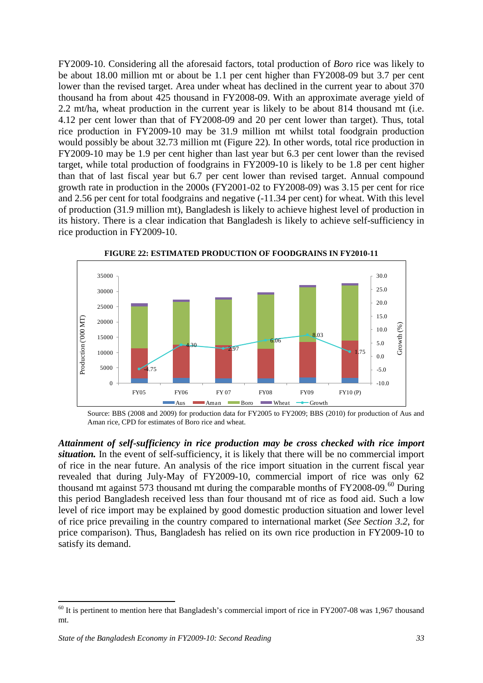FY2009-10. Considering all the aforesaid factors, total production of *Boro* rice was likely to be about 18.00 million mt or about be 1.1 per cent higher than FY2008-09 but 3.7 per cent lower than the revised target. Area under wheat has declined in the current year to about 370 thousand ha from about 425 thousand in FY2008-09. With an approximate average yield of 2.2 mt/ha, wheat production in the current year is likely to be about 814 thousand mt (i.e. 4.12 per cent lower than that of FY2008-09 and 20 per cent lower than target). Thus, total rice production in FY2009-10 may be 31.9 million mt whilst total foodgrain production would possibly be about 32.73 million mt (Figure 22)*.* In other words, total rice production in FY2009-10 may be 1.9 per cent higher than last year but 6.3 per cent lower than the revised target, while total production of foodgrains in FY2009-10 is likely to be 1.8 per cent higher than that of last fiscal year but 6.7 per cent lower than revised target. Annual compound growth rate in production in the 2000s (FY2001-02 to FY2008-09) was 3.15 per cent for rice and 2.56 per cent for total foodgrains and negative (-11.34 per cent) for wheat. With this level of production (31.9 million mt), Bangladesh is likely to achieve highest level of production in its history. There is a clear indication that Bangladesh is likely to achieve self-sufficiency in rice production in FY2009-10.



**FIGURE 22: ESTIMATED PRODUCTION OF FOODGRAINS IN FY2010-11**

Source: BBS (2008 and 2009) for production data for FY2005 to FY2009; BBS (2010) for production of Aus and Aman rice, CPD for estimates of Boro rice and wheat.

*Attainment of self-sufficiency in rice production may be cross checked with rice import situation.* In the event of self-sufficiency, it is likely that there will be no commercial import of rice in the near future. An analysis of the rice import situation in the current fiscal year revealed that during July-May of FY2009-10, commercial import of rice was only 62 thousand mt against 573 thousand mt during the comparable months of  $FY2008-09$ .<sup>[60](#page-39-0)</sup> During this period Bangladesh received less than four thousand mt of rice as food aid. Such a low level of rice import may be explained by good domestic production situation and lower level of rice price prevailing in the country compared to international market (*See Section 3.2*, for price comparison). Thus, Bangladesh has relied on its own rice production in FY2009-10 to satisfy its demand.

<span id="page-39-0"></span> $60$  It is pertinent to mention here that Bangladesh's commercial import of rice in FY2007-08 was 1,967 thousand mt.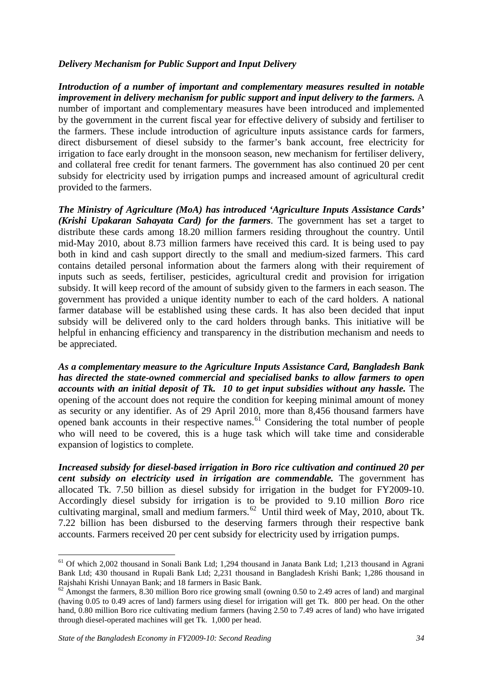#### *Delivery Mechanism for Public Support and Input Delivery*

*Introduction of a number of important and complementary measures resulted in notable improvement in delivery mechanism for public support and input delivery to the farmers.* A number of important and complementary measures have been introduced and implemented by the government in the current fiscal year for effective delivery of subsidy and fertiliser to the farmers. These include introduction of agriculture inputs assistance cards for farmers, direct disbursement of diesel subsidy to the farmer's bank account, free electricity for irrigation to face early drought in the monsoon season, new mechanism for fertiliser delivery, and collateral free credit for tenant farmers. The government has also continued 20 per cent subsidy for electricity used by irrigation pumps and increased amount of agricultural credit provided to the farmers.

*The Ministry of Agriculture (MoA) has introduced 'Agriculture Inputs Assistance Cards' (Krishi Upakaran Sahayata Card) for the farmers*. The government has set a target to distribute these cards among 18.20 million farmers residing throughout the country. Until mid-May 2010, about 8.73 million farmers have received this card. It is being used to pay both in kind and cash support directly to the small and medium-sized farmers. This card contains detailed personal information about the farmers along with their requirement of inputs such as seeds, fertiliser, pesticides, agricultural credit and provision for irrigation subsidy. It will keep record of the amount of subsidy given to the farmers in each season. The government has provided a unique identity number to each of the card holders. A national farmer database will be established using these cards. It has also been decided that input subsidy will be delivered only to the card holders through banks. This initiative will be helpful in enhancing efficiency and transparency in the distribution mechanism and needs to be appreciated.

*As a complementary measure to the Agriculture Inputs Assistance Card, Bangladesh Bank has directed the state-owned commercial and specialised banks to allow farmers to open accounts with an initial deposit of Tk. 10 to get input subsidies without any hassle.* The opening of the account does not require the condition for keeping minimal amount of money as security or any identifier. As of 29 April 2010, more than 8,456 thousand farmers have opened bank accounts in their respective names.<sup>[61](#page-40-0)</sup> Considering the total number of people who will need to be covered, this is a huge task which will take time and considerable expansion of logistics to complete.

*Increased subsidy for diesel-based irrigation in Boro rice cultivation and continued 20 per cent subsidy on electricity used in irrigation are commendable.* The government has allocated Tk. 7.50 billion as diesel subsidy for irrigation in the budget for FY2009-10. Accordingly diesel subsidy for irrigation is to be provided to 9.10 million *Boro* rice cultivating marginal, small and medium farmers.<sup>[62](#page-40-1)</sup> Until third week of May, 2010, about Tk. 7.22 billion has been disbursed to the deserving farmers through their respective bank accounts. Farmers received 20 per cent subsidy for electricity used by irrigation pumps.

-

<span id="page-40-0"></span><sup>61</sup> Of which 2,002 thousand in Sonali Bank Ltd; 1,294 thousand in Janata Bank Ltd; 1,213 thousand in Agrani Bank Ltd; 430 thousand in Rupali Bank Ltd; 2,231 thousand in Bangladesh Krishi Bank; 1,286 thousand in

<span id="page-40-1"></span> $^{62}$  Amongst the farmers, 8.30 million Boro rice growing small (owning 0.50 to 2.49 acres of land) and marginal (having 0.05 to 0.49 acres of land) farmers using diesel for irrigation will get Tk. 800 per head. On the other hand, 0.80 million Boro rice cultivating medium farmers (having 2.50 to 7.49 acres of land) who have irrigated through diesel-operated machines will get Tk. 1,000 per head.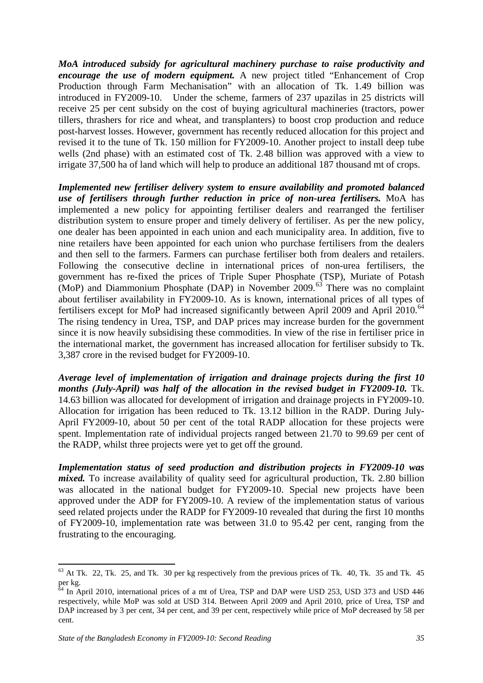*MoA introduced subsidy for agricultural machinery purchase to raise productivity and encourage the use of modern equipment.* A new project titled "Enhancement of Crop Production through Farm Mechanisation" with an allocation of Tk. 1.49 billion was introduced in FY2009-10. Under the scheme, farmers of 237 upazilas in 25 districts will receive 25 per cent subsidy on the cost of buying agricultural machineries (tractors, power tillers, thrashers for rice and wheat, and transplanters) to boost crop production and reduce post-harvest losses. However, government has recently reduced allocation for this project and revised it to the tune of Tk. 150 million for FY2009-10. Another project to install deep tube wells (2nd phase) with an estimated cost of Tk. 2.48 billion was approved with a view to irrigate 37,500 ha of land which will help to produce an additional 187 thousand mt of crops.

*Implemented new fertiliser delivery system to ensure availability and promoted balanced use of fertilisers through further reduction in price of non-urea fertilisers.* MoA has implemented a new policy for appointing fertiliser dealers and rearranged the fertiliser distribution system to ensure proper and timely delivery of fertiliser. As per the new policy, one dealer has been appointed in each union and each municipality area. In addition, five to nine retailers have been appointed for each union who purchase fertilisers from the dealers and then sell to the farmers. Farmers can purchase fertiliser both from dealers and retailers. Following the consecutive decline in international prices of non-urea fertilisers, the government has re-fixed the prices of Triple Super Phosphate (TSP), Muriate of Potash (MoP) and Diammonium Phosphate (DAP) in November 2009. [63](#page-41-0) There was no complaint about fertiliser availability in FY2009-10. As is known, international prices of all types of fertilisers except for MoP had increased significantly between April 2009 and April 2010.<sup>[64](#page-41-1)</sup> The rising tendency in Urea, TSP, and DAP prices may increase burden for the government since it is now heavily subsidising these commodities. In view of the rise in fertiliser price in the international market, the government has increased allocation for fertiliser subsidy to Tk. 3,387 crore in the revised budget for FY2009-10.

*Average level of implementation of irrigation and drainage projects during the first 10 months (July-April) was half of the allocation in the revised budget in FY2009-10.* Tk. 14.63 billion was allocated for development of irrigation and drainage projects in FY2009-10. Allocation for irrigation has been reduced to Tk. 13.12 billion in the RADP. During July-April FY2009-10, about 50 per cent of the total RADP allocation for these projects were spent. Implementation rate of individual projects ranged between 21.70 to 99.69 per cent of the RADP, whilst three projects were yet to get off the ground.

*Implementation status of seed production and distribution projects in FY2009-10 was mixed*. To increase availability of quality seed for agricultural production, Tk. 2.80 billion was allocated in the national budget for FY2009-10. Special new projects have been approved under the ADP for FY2009-10. A review of the implementation status of various seed related projects under the RADP for FY2009-10 revealed that during the first 10 months of FY2009-10, implementation rate was between 31.0 to 95.42 per cent, ranging from the frustrating to the encouraging.

<span id="page-41-0"></span><sup>63</sup> At Tk. 22, Tk. 25, and Tk. 30 per kg respectively from the previous prices of Tk. 40, Tk. 35 and Tk. 45 per kg.

<span id="page-41-1"></span> $^{64}$  In April 2010, international prices of a mt of Urea, TSP and DAP were USD 253, USD 373 and USD 446 respectively, while MoP was sold at USD 314. Between April 2009 and April 2010, price of Urea, TSP and DAP increased by 3 per cent, 34 per cent, and 39 per cent, respectively while price of MoP decreased by 58 per cent.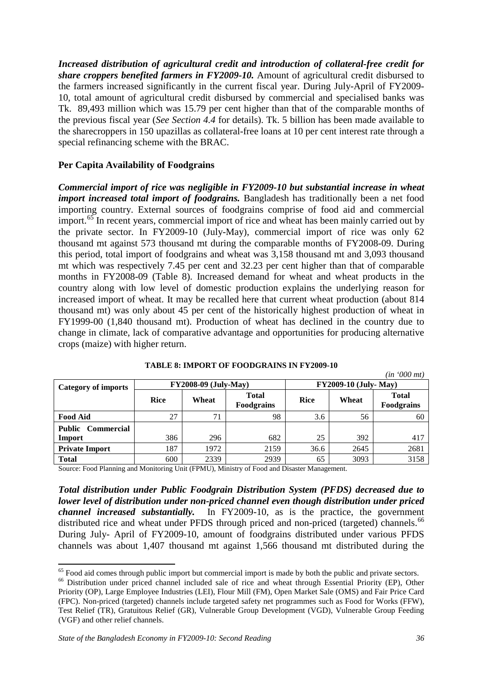*Increased distribution of agricultural credit and introduction of collateral-free credit for share croppers benefited farmers in FY2009-10.* Amount of agricultural credit disbursed to the farmers increased significantly in the current fiscal year. During July-April of FY2009- 10, total amount of agricultural credit disbursed by commercial and specialised banks was Tk. 89,493 million which was 15.79 per cent higher than that of the comparable months of the previous fiscal year (*See Section 4.4* for details). Tk. 5 billion has been made available to the sharecroppers in 150 upazillas as collateral-free loans at 10 per cent interest rate through a special refinancing scheme with the BRAC.

### **Per Capita Availability of Foodgrains**

*Commercial import of rice was negligible in FY2009-10 but substantial increase in wheat import increased total import of foodgrains.* Bangladesh has traditionally been a net food importing country. External sources of foodgrains comprise of food aid and commercial import.<sup>[65](#page-42-0)</sup> In recent years, commercial import of rice and wheat has been mainly carried out by the private sector. In FY2009-10 (July-May), commercial import of rice was only 62 thousand mt against 573 thousand mt during the comparable months of FY2008-09. During this period, total import of foodgrains and wheat was 3,158 thousand mt and 3,093 thousand mt which was respectively 7.45 per cent and 32.23 per cent higher than that of comparable months in FY2008-09 (Table 8). Increased demand for wheat and wheat products in the country along with low level of domestic production explains the underlying reason for increased import of wheat. It may be recalled here that current wheat production (about 814 thousand mt) was only about 45 per cent of the historically highest production of wheat in FY1999-00 (1,840 thousand mt). Production of wheat has declined in the country due to change in climate, lack of comparative advantage and opportunities for producing alternative crops (maize) with higher return.

| $\cdots$ $\circ$ $\circ$ $\cdots$ |                             |       |                            |             |       |                             |  |
|-----------------------------------|-----------------------------|-------|----------------------------|-------------|-------|-----------------------------|--|
| <b>Category of imports</b>        | <b>FY2008-09 (July-May)</b> |       |                            |             |       | <b>FY2009-10 (July-May)</b> |  |
|                                   | <b>Rice</b>                 | Wheat | <b>Total</b><br>Foodgrains | <b>Rice</b> | Wheat | <b>Total</b><br>Foodgrains  |  |
| <b>Food Aid</b>                   | 27                          | 71    | 98                         | 3.6         | 56    | 60                          |  |
| <b>Public Commercial</b>          |                             |       |                            |             |       |                             |  |
| Import                            | 386                         | 296   | 682                        | 25          | 392   | 417                         |  |
| <b>Private Import</b>             | 187                         | 1972  | 2159                       | 36.6        | 2645  | 2681                        |  |
| <b>Total</b>                      | 600                         | 2339  | 2939                       | 65          | 3093  | 3158                        |  |

Source: Food Planning and Monitoring Unit (FPMU), Ministry of Food and Disaster Management.

*Total distribution under Public Foodgrain Distribution System (PFDS) decreased due to lower level of distribution under non-priced channel even though distribution under priced channel increased substantially.* In FY2009-10, as is the practice, the government distributed rice and wheat under PFDS through priced and non-priced (targeted) channels.<sup>[66](#page-42-0)</sup> During July- April of FY2009-10, amount of foodgrains distributed under various PFDS channels was about 1,407 thousand mt against 1,566 thousand mt distributed during the

.<br>-

*(in '000 mt)*

<span id="page-42-0"></span><sup>&</sup>lt;sup>65</sup> Food aid comes through public import but commercial import is made by both the public and private sectors.<br><sup>66</sup> Distribution under priced channel included sale of rice and wheat through Essential Priority (EP), Other

Priority (OP), Large Employee Industries (LEI), Flour Mill (FM), Open Market Sale (OMS) and Fair Price Card (FPC). Non-priced (targeted) channels include targeted safety net programmes such as Food for Works (FFW), Test Relief (TR), Gratuitous Relief (GR), Vulnerable Group Development (VGD), Vulnerable Group Feeding (VGF) and other relief channels.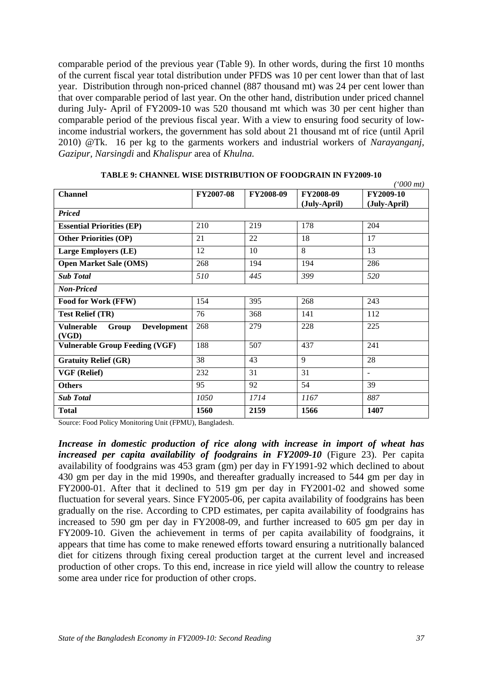comparable period of the previous year (Table 9). In other words, during the first 10 months of the current fiscal year total distribution under PFDS was 10 per cent lower than that of last year. Distribution through non-priced channel (887 thousand mt) was 24 per cent lower than that over comparable period of last year. On the other hand, distribution under priced channel during July- April of FY2009-10 was 520 thousand mt which was 30 per cent higher than comparable period of the previous fiscal year. With a view to ensuring food security of lowincome industrial workers, the government has sold about 21 thousand mt of rice (until April 2010) @Tk. 16 per kg to the garments workers and industrial workers of *Narayanganj, Gazipur, Narsingdi* and *Khalispur* area of *Khulna.*

|                                                           |                  |           |                           | $(5000 \, \text{mt})$     |
|-----------------------------------------------------------|------------------|-----------|---------------------------|---------------------------|
| <b>Channel</b>                                            | <b>FY2007-08</b> | FY2008-09 | FY2008-09<br>(July-April) | FY2009-10<br>(July-April) |
| <b>Priced</b>                                             |                  |           |                           |                           |
| <b>Essential Priorities (EP)</b>                          | 210              | 219       | 178                       | 204                       |
| <b>Other Priorities (OP)</b>                              | 21               | 22        | 18                        | 17                        |
| <b>Large Employers (LE)</b>                               | 12               | 10        | 8                         | 13                        |
| <b>Open Market Sale (OMS)</b>                             | 268              | 194       | 194                       | 286                       |
| <b>Sub Total</b>                                          | 510              | 445       | 399                       | 520                       |
| <b>Non-Priced</b>                                         |                  |           |                           |                           |
| Food for Work (FFW)                                       | 154              | 395       | 268                       | 243                       |
| <b>Test Relief (TR)</b>                                   | 76               | 368       | 141                       | 112                       |
| <b>Vulnerable</b><br><b>Development</b><br>Group<br>(VGD) | 268              | 279       | 228                       | 225                       |
| <b>Vulnerable Group Feeding (VGF)</b>                     | 188              | 507       | 437                       | 241                       |
| <b>Gratuity Relief (GR)</b>                               | 38               | 43        | 9                         | 28                        |
| <b>VGF</b> (Relief)                                       | 232              | 31        | 31                        | $\blacksquare$            |
| <b>Others</b>                                             | 95               | 92        | 54                        | 39                        |
| <b>Sub Total</b>                                          | 1050             | 1714      | 1167                      | 887                       |
| <b>Total</b>                                              | 1560             | 2159      | 1566                      | 1407                      |

**TABLE 9: CHANNEL WISE DISTRIBUTION OF FOODGRAIN IN FY2009-10**

Source: Food Policy Monitoring Unit (FPMU), Bangladesh.

*Increase in domestic production of rice along with increase in import of wheat has increased per capita availability of foodgrains in FY2009-10* (Figure 23). Per capita availability of foodgrains was 453 gram (gm) per day in FY1991-92 which declined to about 430 gm per day in the mid 1990s, and thereafter gradually increased to 544 gm per day in FY2000-01. After that it declined to 519 gm per day in FY2001-02 and showed some fluctuation for several years. Since FY2005-06, per capita availability of foodgrains has been gradually on the rise. According to CPD estimates, per capita availability of foodgrains has increased to 590 gm per day in FY2008-09, and further increased to 605 gm per day in FY2009-10. Given the achievement in terms of per capita availability of foodgrains, it appears that time has come to make renewed efforts toward ensuring a nutritionally balanced diet for citizens through fixing cereal production target at the current level and increased production of other crops. To this end, increase in rice yield will allow the country to release some area under rice for production of other crops.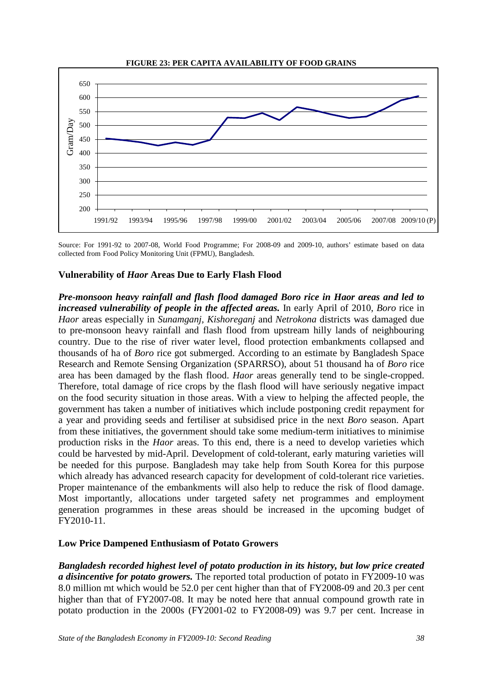

**FIGURE 23: PER CAPITA AVAILABILITY OF FOOD GRAINS**

Source: For 1991-92 to 2007-08, World Food Programme; For 2008-09 and 2009-10, authors' estimate based on data collected from Food Policy Monitoring Unit (FPMU), Bangladesh.

#### **Vulnerability of** *Haor* **Areas Due to Early Flash Flood**

*Pre-monsoon heavy rainfall and flash flood damaged Boro rice in Haor areas and led to increased vulnerability of people in the affected areas.* In early April of 2010, *Boro* rice in *Haor* areas especially in *Sunamganj, Kishoreganj* and *Netrokona* districts was damaged due to pre-monsoon heavy rainfall and flash flood from upstream hilly lands of neighbouring country. Due to the rise of river water level, flood protection embankments collapsed and thousands of ha of *Boro* rice got submerged. According to an estimate by Bangladesh Space Research and Remote Sensing Organization (SPARRSO), about 51 thousand ha of *Boro* rice area has been damaged by the flash flood. *Haor* areas generally tend to be single-cropped. Therefore, total damage of rice crops by the flash flood will have seriously negative impact on the food security situation in those areas. With a view to helping the affected people, the government has taken a number of initiatives which include postponing credit repayment for a year and providing seeds and fertiliser at subsidised price in the next *Boro* season. Apart from these initiatives, the government should take some medium-term initiatives to minimise production risks in the *Haor* areas. To this end, there is a need to develop varieties which could be harvested by mid-April. Development of cold-tolerant, early maturing varieties will be needed for this purpose. Bangladesh may take help from South Korea for this purpose which already has advanced research capacity for development of cold-tolerant rice varieties. Proper maintenance of the embankments will also help to reduce the risk of flood damage. Most importantly, allocations under targeted safety net programmes and employment generation programmes in these areas should be increased in the upcoming budget of FY2010-11.

#### **Low Price Dampened Enthusiasm of Potato Growers**

*Bangladesh recorded highest level of potato production in its history, but low price created a disincentive for potato growers.* The reported total production of potato in FY2009-10 was 8.0 million mt which would be 52.0 per cent higher than that of FY2008-09 and 20.3 per cent higher than that of FY2007-08. It may be noted here that annual compound growth rate in potato production in the 2000s (FY2001-02 to FY2008-09) was 9.7 per cent. Increase in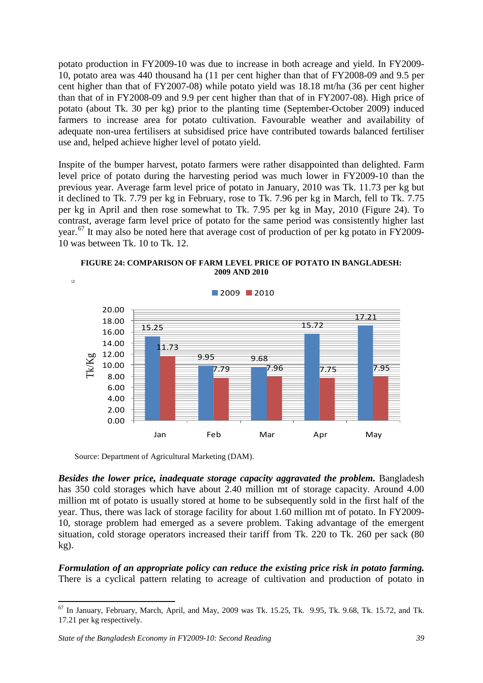potato production in FY2009-10 was due to increase in both acreage and yield. In FY2009- 10, potato area was 440 thousand ha (11 per cent higher than that of FY2008-09 and 9.5 per cent higher than that of FY2007-08) while potato yield was 18.18 mt/ha (36 per cent higher than that of in FY2008-09 and 9.9 per cent higher than that of in FY2007-08). High price of potato (about Tk. 30 per kg) prior to the planting time (September-October 2009) induced farmers to increase area for potato cultivation. Favourable weather and availability of adequate non-urea fertilisers at subsidised price have contributed towards balanced fertiliser use and, helped achieve higher level of potato yield.

Inspite of the bumper harvest, potato farmers were rather disappointed than delighted. Farm level price of potato during the harvesting period was much lower in FY2009-10 than the previous year. Average farm level price of potato in January, 2010 was Tk. 11.73 per kg but it declined to Tk. 7.79 per kg in February, rose to Tk. 7.96 per kg in March, fell to Tk. 7.75 per kg in April and then rose somewhat to Tk. 7.95 per kg in May, 2010 (Figure 24). To contrast, average farm level price of potato for the same period was consistently higher last year.<sup>[67](#page-45-0)</sup> It may also be noted here that average cost of production of per kg potato in FY2009-10 was between Tk. 10 to Tk. 12.



**FIGURE 24: COMPARISON OF FARM LEVEL PRICE OF POTATO IN BANGLADESH: 2009 AND 2010**

Source: Department of Agricultural Marketing (DAM).

*Besides the lower price, inadequate storage capacity aggravated the problem.* Bangladesh has 350 cold storages which have about 2.40 million mt of storage capacity. Around 4.00 million mt of potato is usually stored at home to be subsequently sold in the first half of the year. Thus, there was lack of storage facility for about 1.60 million mt of potato. In FY2009- 10, storage problem had emerged as a severe problem. Taking advantage of the emergent situation, cold storage operators increased their tariff from Tk. 220 to Tk. 260 per sack (80 kg).

*Formulation of an appropriate policy can reduce the existing price risk in potato farming.* There is a cyclical pattern relating to acreage of cultivation and production of potato in

<span id="page-45-0"></span> $^{67}$  In January, February, March, April, and May, 2009 was Tk. 15.25, Tk. 9.95, Tk. 9.68, Tk. 15.72, and Tk. 17.21 per kg respectively.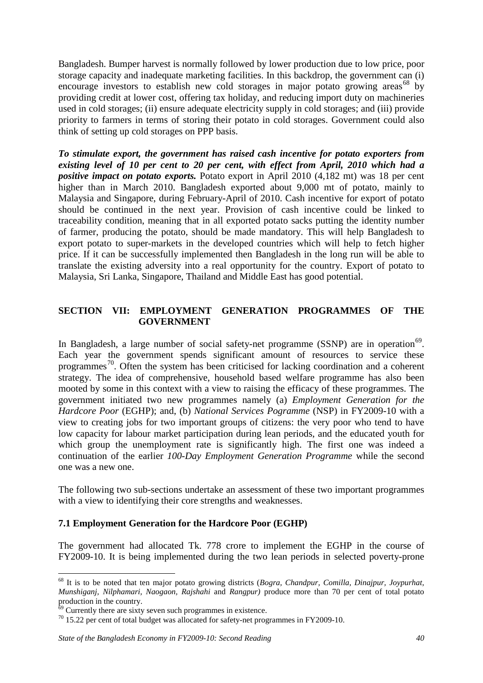Bangladesh. Bumper harvest is normally followed by lower production due to low price, poor storage capacity and inadequate marketing facilities. In this backdrop, the government can (i) encourage investors to establish new cold storages in major potato growing areas<sup>[68](#page-46-0)</sup> by providing credit at lower cost, offering tax holiday, and reducing import duty on machineries used in cold storages; (ii) ensure adequate electricity supply in cold storages; and (iii) provide priority to farmers in terms of storing their potato in cold storages. Government could also think of setting up cold storages on PPP basis.

*To stimulate export, the government has raised cash incentive for potato exporters from existing level of 10 per cent to 20 per cent, with effect from April, 2010 which had a positive impact on potato exports.* Potato export in April 2010 (4,182 mt) was 18 per cent higher than in March 2010. Bangladesh exported about 9,000 mt of potato, mainly to Malaysia and Singapore, during February-April of 2010. Cash incentive for export of potato should be continued in the next year. Provision of cash incentive could be linked to traceability condition, meaning that in all exported potato sacks putting the identity number of farmer, producing the potato, should be made mandatory. This will help Bangladesh to export potato to super-markets in the developed countries which will help to fetch higher price. If it can be successfully implemented then Bangladesh in the long run will be able to translate the existing adversity into a real opportunity for the country. Export of potato to Malaysia, Sri Lanka, Singapore, Thailand and Middle East has good potential.

### **SECTION VII: EMPLOYMENT GENERATION PROGRAMMES OF THE GOVERNMENT**

In Bangladesh, a large number of social safety-net programme (SSNP) are in operation<sup>69</sup>. Each year the government spends significant amount of resources to service these programmes<sup>[70](#page-46-2)</sup>. Often the system has been criticised for lacking coordination and a coherent strategy. The idea of comprehensive, household based welfare programme has also been mooted by some in this context with a view to raising the efficacy of these programmes. The government initiated two new programmes namely (a) *Employment Generation for the Hardcore Poor* (EGHP); and, (b) *National Services Pogramme* (NSP) in FY2009-10 with a view to creating jobs for two important groups of citizens: the very poor who tend to have low capacity for labour market participation during lean periods, and the educated youth for which group the unemployment rate is significantly high. The first one was indeed a continuation of the earlier *100-Day Employment Generation Programme* while the second one was a new one.

The following two sub-sections undertake an assessment of these two important programmes with a view to identifying their core strengths and weaknesses.

#### **7.1 Employment Generation for the Hardcore Poor (EGHP)**

The government had allocated Tk. 778 crore to implement the EGHP in the course of FY2009-10. It is being implemented during the two lean periods in selected poverty-prone

<u>.</u>

<span id="page-46-0"></span><sup>68</sup> It is to be noted that ten major potato growing districts (*Bogra, Chandpur, Comilla, Dinajpur, Joypurhat, Munshiganj, Nilphamari, Naogaon, Rajshahi* and *Rangpur*) produce more than 70 per cent of total potato production in the country.

<span id="page-46-2"></span><span id="page-46-1"></span> $^{69}$  Currently there are sixty seven such programmes in existence.<br><sup>70</sup> 15.22 per cent of total budget was allocated for safety-net programmes in FY2009-10.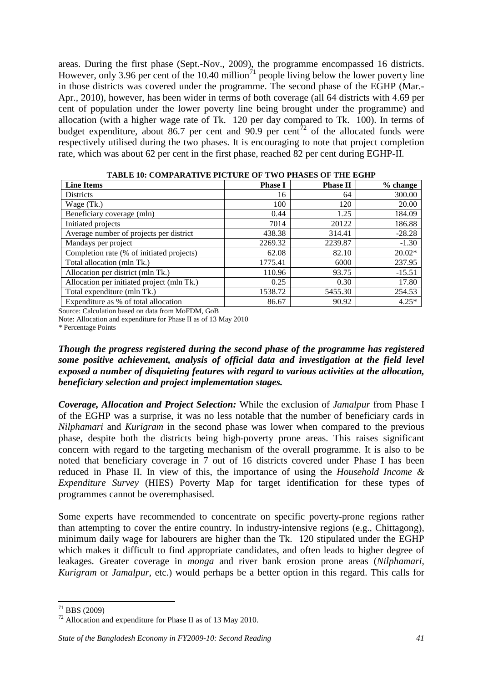areas. During the first phase (Sept.-Nov., 2009), the programme encompassed 16 districts. However, only 3.96 per cent of the 10.40 million<sup>[71](#page-47-0)</sup> people living below the lower poverty line in those districts was covered under the programme. The second phase of the EGHP (Mar.- Apr., 2010), however, has been wider in terms of both coverage (all 64 districts with 4.69 per cent of population under the lower poverty line being brought under the programme) and allocation (with a higher wage rate of Tk. 120 per day compared to Tk. 100). In terms of budget expenditure, about 86.7 per cent and 90.9 per cent<sup>[72](#page-47-1)</sup> of the allocated funds were respectively utilised during the two phases. It is encouraging to note that project completion rate, which was about 62 per cent in the first phase, reached 82 per cent during EGHP-II.

| <b>Line Items</b>                          | <b>Phase I</b> | <b>Phase II</b> | % change |
|--------------------------------------------|----------------|-----------------|----------|
| <b>Districts</b>                           | 16             | 64              | 300.00   |
| Wage (Tk.)                                 | 100            | 120             | 20.00    |
| Beneficiary coverage (mln)                 | 0.44           | 1.25            | 184.09   |
| Initiated projects                         | 7014           | 20122           | 186.88   |
| Average number of projects per district    | 438.38         | 314.41          | $-28.28$ |
| Mandays per project                        | 2269.32        | 2239.87         | $-1.30$  |
| Completion rate (% of initiated projects)  | 62.08          | 82.10           | 20.02*   |
| Total allocation (mln Tk.)                 | 1775.41        | 6000            | 237.95   |
| Allocation per district (mln Tk.)          | 110.96         | 93.75           | $-15.51$ |
| Allocation per initiated project (mln Tk.) | 0.25           | 0.30            | 17.80    |
| Total expenditure (mln Tk.)                | 1538.72        | 5455.30         | 254.53   |
| Expenditure as % of total allocation       | 86.67          | 90.92           | $4.25*$  |

**TABLE 10: COMPARATIVE PICTURE OF TWO PHASES OF THE EGHP**

Source: Calculation based on data from MoFDM, GoB

Note: Allocation and expenditure for Phase II as of 13 May 2010

*\** Percentage Points

*Though the progress registered during the second phase of the programme has registered some positive achievement, analysis of official data and investigation at the field level exposed a number of disquieting features with regard to various activities at the allocation, beneficiary selection and project implementation stages.*

*Coverage, Allocation and Project Selection:* While the exclusion of *Jamalpur* from Phase I of the EGHP was a surprise, it was no less notable that the number of beneficiary cards in *Nilphamari* and *Kurigram* in the second phase was lower when compared to the previous phase, despite both the districts being high-poverty prone areas. This raises significant concern with regard to the targeting mechanism of the overall programme. It is also to be noted that beneficiary coverage in 7 out of 16 districts covered under Phase I has been reduced in Phase II. In view of this, the importance of using the *Household Income & Expenditure Survey* (HIES) Poverty Map for target identification for these types of programmes cannot be overemphasised.

Some experts have recommended to concentrate on specific poverty-prone regions rather than attempting to cover the entire country. In industry-intensive regions (e.g., Chittagong), minimum daily wage for labourers are higher than the Tk. 120 stipulated under the EGHP which makes it difficult to find appropriate candidates, and often leads to higher degree of leakages. Greater coverage in *monga* and river bank erosion prone areas (*Nilphamari, Kurigram* or *Jamalpur*, etc.) would perhaps be a better option in this regard. This calls for

<span id="page-47-0"></span> $71$  BBS (2009)

<span id="page-47-1"></span> $72$  Allocation and expenditure for Phase II as of 13 May 2010.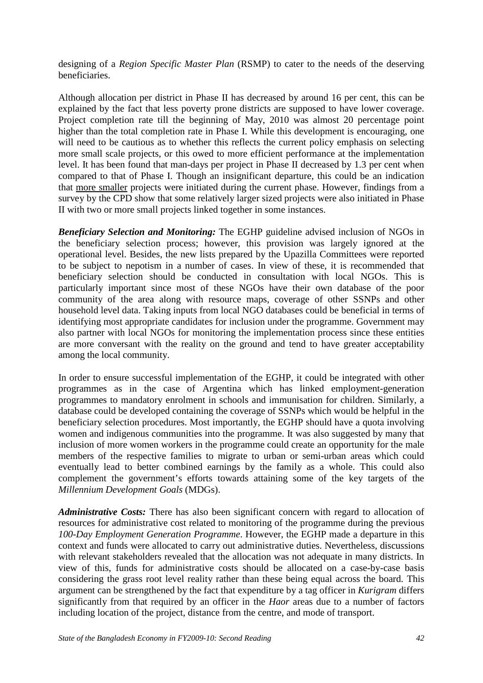designing of a *Region Specific Master Plan* (RSMP) to cater to the needs of the deserving beneficiaries.

Although allocation per district in Phase II has decreased by around 16 per cent, this can be explained by the fact that less poverty prone districts are supposed to have lower coverage. Project completion rate till the beginning of May, 2010 was almost 20 percentage point higher than the total completion rate in Phase I. While this development is encouraging, one will need to be cautious as to whether this reflects the current policy emphasis on selecting more small scale projects, or this owed to more efficient performance at the implementation level. It has been found that man-days per project in Phase II decreased by 1.3 per cent when compared to that of Phase I. Though an insignificant departure, this could be an indication that more smaller projects were initiated during the current phase. However, findings from a survey by the CPD show that some relatively larger sized projects were also initiated in Phase II with two or more small projects linked together in some instances.

*Beneficiary Selection and Monitoring:* The EGHP guideline advised inclusion of NGOs in the beneficiary selection process; however, this provision was largely ignored at the operational level. Besides, the new lists prepared by the Upazilla Committees were reported to be subject to nepotism in a number of cases. In view of these, it is recommended that beneficiary selection should be conducted in consultation with local NGOs. This is particularly important since most of these NGOs have their own database of the poor community of the area along with resource maps, coverage of other SSNPs and other household level data. Taking inputs from local NGO databases could be beneficial in terms of identifying most appropriate candidates for inclusion under the programme. Government may also partner with local NGOs for monitoring the implementation process since these entities are more conversant with the reality on the ground and tend to have greater acceptability among the local community.

In order to ensure successful implementation of the EGHP, it could be integrated with other programmes as in the case of Argentina which has linked employment-generation programmes to mandatory enrolment in schools and immunisation for children. Similarly, a database could be developed containing the coverage of SSNPs which would be helpful in the beneficiary selection procedures. Most importantly, the EGHP should have a quota involving women and indigenous communities into the programme. It was also suggested by many that inclusion of more women workers in the programme could create an opportunity for the male members of the respective families to migrate to urban or semi-urban areas which could eventually lead to better combined earnings by the family as a whole. This could also complement the government's efforts towards attaining some of the key targets of the *Millennium Development Goals* (MDGs).

*Administrative Costs:* There has also been significant concern with regard to allocation of resources for administrative cost related to monitoring of the programme during the previous *100-Day Employment Generation Programme*. However, the EGHP made a departure in this context and funds were allocated to carry out administrative duties. Nevertheless, discussions with relevant stakeholders revealed that the allocation was not adequate in many districts. In view of this, funds for administrative costs should be allocated on a case-by-case basis considering the grass root level reality rather than these being equal across the board. This argument can be strengthened by the fact that expenditure by a tag officer in *Kurigram* differs significantly from that required by an officer in the *Haor* areas due to a number of factors including location of the project, distance from the centre, and mode of transport.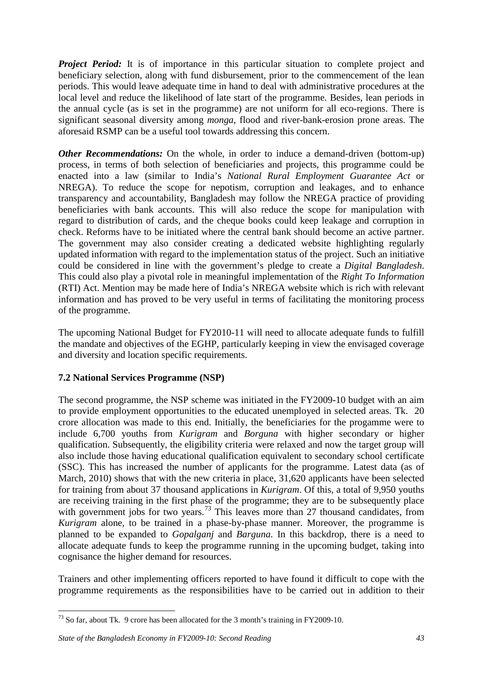*Project Period:* It is of importance in this particular situation to complete project and beneficiary selection, along with fund disbursement, prior to the commencement of the lean periods. This would leave adequate time in hand to deal with administrative procedures at the local level and reduce the likelihood of late start of the programme. Besides, lean periods in the annual cycle (as is set in the programme) are not uniform for all eco-regions. There is significant seasonal diversity among *monga*, flood and river-bank-erosion prone areas. The aforesaid RSMP can be a useful tool towards addressing this concern.

*Other Recommendations:* On the whole, in order to induce a demand-driven (bottom-up) process, in terms of both selection of beneficiaries and projects, this programme could be enacted into a law (similar to India's *National Rural Employment Guarantee Act* or NREGA). To reduce the scope for nepotism, corruption and leakages, and to enhance transparency and accountability, Bangladesh may follow the NREGA practice of providing beneficiaries with bank accounts. This will also reduce the scope for manipulation with regard to distribution of cards, and the cheque books could keep leakage and corruption in check. Reforms have to be initiated where the central bank should become an active partner. The government may also consider creating a dedicated website highlighting regularly updated information with regard to the implementation status of the project. Such an initiative could be considered in line with the government's pledge to create a *Digital Bangladesh*. This could also play a pivotal role in meaningful implementation of the *Right To Information* (RTI) Act. Mention may be made here of India's NREGA website which is rich with relevant information and has proved to be very useful in terms of facilitating the monitoring process of the programme.

The upcoming National Budget for FY2010-11 will need to allocate adequate funds to fulfill the mandate and objectives of the EGHP, particularly keeping in view the envisaged coverage and diversity and location specific requirements.

# **7.2 National Services Programme (NSP)**

The second programme, the NSP scheme was initiated in the FY2009-10 budget with an aim to provide employment opportunities to the educated unemployed in selected areas. Tk. 20 crore allocation was made to this end. Initially, the beneficiaries for the progamme were to include 6,700 youths from *Kurigram* and *Borguna* with higher secondary or higher qualification. Subsequently, the eligibility criteria were relaxed and now the target group will also include those having educational qualification equivalent to secondary school certificate (SSC). This has increased the number of applicants for the programme. Latest data (as of March, 2010) shows that with the new criteria in place, 31,620 applicants have been selected for training from about 37 thousand applications in *Kurigram*. Of this, a total of 9,950 youths are receiving training in the first phase of the programme; they are to be subsequently place with government jobs for two years.<sup>[73](#page-49-0)</sup> This leaves more than  $27$  thousand candidates, from *Kurigram* alone, to be trained in a phase-by-phase manner. Moreover, the programme is planned to be expanded to *Gopalganj* and *Barguna*. In this backdrop, there is a need to allocate adequate funds to keep the programme running in the upcoming budget, taking into cognisance the higher demand for resources.

Trainers and other implementing officers reported to have found it difficult to cope with the programme requirements as the responsibilities have to be carried out in addition to their

.

<span id="page-49-0"></span> $^{73}$  So far, about Tk. 9 crore has been allocated for the 3 month's training in FY2009-10.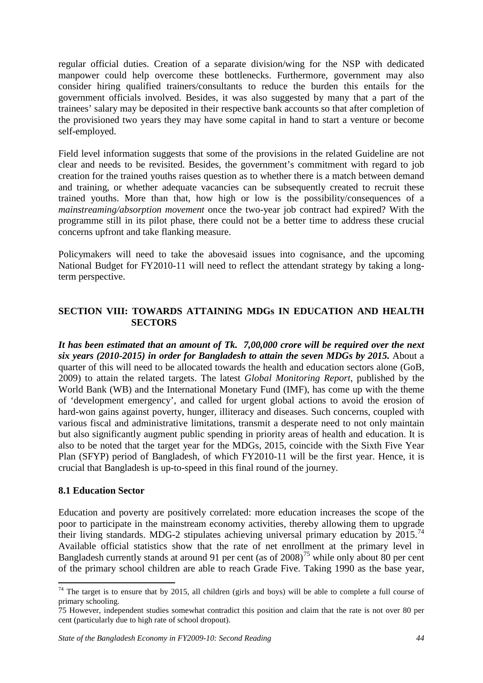regular official duties. Creation of a separate division/wing for the NSP with dedicated manpower could help overcome these bottlenecks. Furthermore, government may also consider hiring qualified trainers/consultants to reduce the burden this entails for the government officials involved. Besides, it was also suggested by many that a part of the trainees' salary may be deposited in their respective bank accounts so that after completion of the provisioned two years they may have some capital in hand to start a venture or become self-employed.

Field level information suggests that some of the provisions in the related Guideline are not clear and needs to be revisited. Besides, the government's commitment with regard to job creation for the trained youths raises question as to whether there is a match between demand and training, or whether adequate vacancies can be subsequently created to recruit these trained youths. More than that, how high or low is the possibility/consequences of a *mainstreaming/absorption movement* once the two-year job contract had expired? With the programme still in its pilot phase, there could not be a better time to address these crucial concerns upfront and take flanking measure.

Policymakers will need to take the abovesaid issues into cognisance, and the upcoming National Budget for FY2010-11 will need to reflect the attendant strategy by taking a longterm perspective.

# **SECTION VIII: TOWARDS ATTAINING MDGs IN EDUCATION AND HEALTH SECTORS**

*It has been estimated that an amount of Tk. 7,00,000 crore will be required over the next six years (2010-2015) in order for Bangladesh to attain the seven MDGs by 2015.* About a quarter of this will need to be allocated towards the health and education sectors alone (GoB, 2009) to attain the related targets. The latest *Global Monitoring Report*, published by the World Bank (WB) and the International Monetary Fund (IMF), has come up with the theme of 'development emergency', and called for urgent global actions to avoid the erosion of hard-won gains against poverty, hunger, illiteracy and diseases. Such concerns, coupled with various fiscal and administrative limitations, transmit a desperate need to not only maintain but also significantly augment public spending in priority areas of health and education. It is also to be noted that the target year for the MDGs, 2015, coincide with the Sixth Five Year Plan (SFYP) period of Bangladesh, of which FY2010-11 will be the first year. Hence, it is crucial that Bangladesh is up-to-speed in this final round of the journey.

#### **8.1 Education Sector**

<u>.</u>

Education and poverty are positively correlated: more education increases the scope of the poor to participate in the mainstream economy activities, thereby allowing them to upgrade their living standards. MDG-2 stipulates achieving universal primary education by  $2015.^{74}$  $2015.^{74}$  $2015.^{74}$ Available official statistics show that the rate of net enrollment at the primary level in Bangladesh currently stands at around 91 per cent (as of 2008)<sup>[75](#page-50-1)</sup> while only about 80 per cent of the primary school children are able to reach Grade Five. Taking 1990 as the base year,

<span id="page-50-0"></span> $74$  The target is to ensure that by 2015, all children (girls and boys) will be able to complete a full course of primary schooling.

<span id="page-50-1"></span><sup>75</sup> However, independent studies somewhat contradict this position and claim that the rate is not over 80 per cent (particularly due to high rate of school dropout).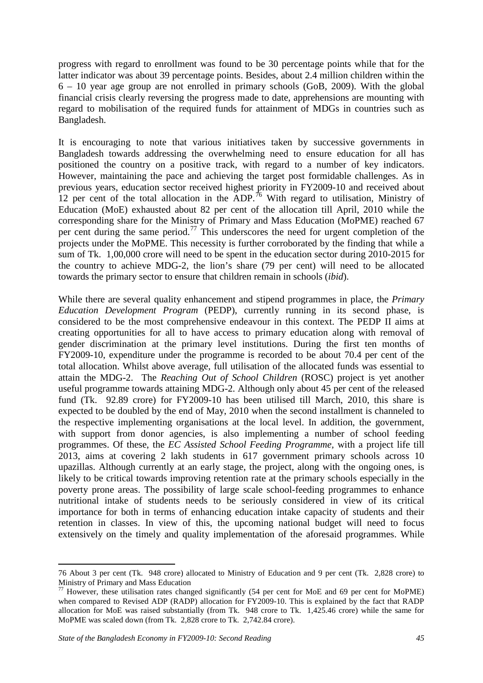progress with regard to enrollment was found to be 30 percentage points while that for the latter indicator was about 39 percentage points. Besides, about 2.4 million children within the 6 – 10 year age group are not enrolled in primary schools (GoB, 2009). With the global financial crisis clearly reversing the progress made to date, apprehensions are mounting with regard to mobilisation of the required funds for attainment of MDGs in countries such as Bangladesh.

It is encouraging to note that various initiatives taken by successive governments in Bangladesh towards addressing the overwhelming need to ensure education for all has positioned the country on a positive track, with regard to a number of key indicators. However, maintaining the pace and achieving the target post formidable challenges. As in previous years, education sector received highest priority in FY2009-10 and received about 12 per cent of the total allocation in the ADP.<sup>[76](#page-51-0)</sup> With regard to utilisation, Ministry of Education (MoE) exhausted about 82 per cent of the allocation till April, 2010 while the corresponding share for the Ministry of Primary and Mass Education (MoPME) reached 67 per cent during the same period.<sup>[77](#page-51-1)</sup> This underscores the need for urgent completion of the projects under the MoPME. This necessity is further corroborated by the finding that while a sum of Tk. 1,00,000 crore will need to be spent in the education sector during 2010-2015 for the country to achieve MDG-2, the lion's share (79 per cent) will need to be allocated towards the primary sector to ensure that children remain in schools (*ibid*).

While there are several quality enhancement and stipend programmes in place, the *Primary Education Development Program* (PEDP), currently running in its second phase, is considered to be the most comprehensive endeavour in this context. The PEDP II aims at creating opportunities for all to have access to primary education along with removal of gender discrimination at the primary level institutions. During the first ten months of FY2009-10, expenditure under the programme is recorded to be about 70.4 per cent of the total allocation. Whilst above average, full utilisation of the allocated funds was essential to attain the MDG-2. The *Reaching Out of School Children* (ROSC) project is yet another useful programme towards attaining MDG-2. Although only about 45 per cent of the released fund (Tk. 92.89 crore) for FY2009-10 has been utilised till March, 2010, this share is expected to be doubled by the end of May, 2010 when the second installment is channeled to the respective implementing organisations at the local level. In addition, the government, with support from donor agencies, is also implementing a number of school feeding programmes. Of these, the *EC Assisted School Feeding Programme,* with a project life till 2013, aims at covering 2 lakh students in 617 government primary schools across 10 upazillas. Although currently at an early stage, the project, along with the ongoing ones, is likely to be critical towards improving retention rate at the primary schools especially in the poverty prone areas. The possibility of large scale school-feeding programmes to enhance nutritional intake of students needs to be seriously considered in view of its critical importance for both in terms of enhancing education intake capacity of students and their retention in classes. In view of this, the upcoming national budget will need to focus extensively on the timely and quality implementation of the aforesaid programmes. While

<span id="page-51-0"></span><sup>76</sup> About 3 per cent (Tk. 948 crore) allocated to Ministry of Education and 9 per cent (Tk. 2,828 crore) to Ministry of Primary and Mass Education

<span id="page-51-1"></span> $77$  However, these utilisation rates changed significantly (54 per cent for MoE and 69 per cent for MoPME) when compared to Revised ADP (RADP) allocation for FY2009-10. This is explained by the fact that RADP allocation for MoE was raised substantially (from Tk. 948 crore to Tk. 1,425.46 crore) while the same for MoPME was scaled down (from Tk. 2,828 crore to Tk. 2,742.84 crore).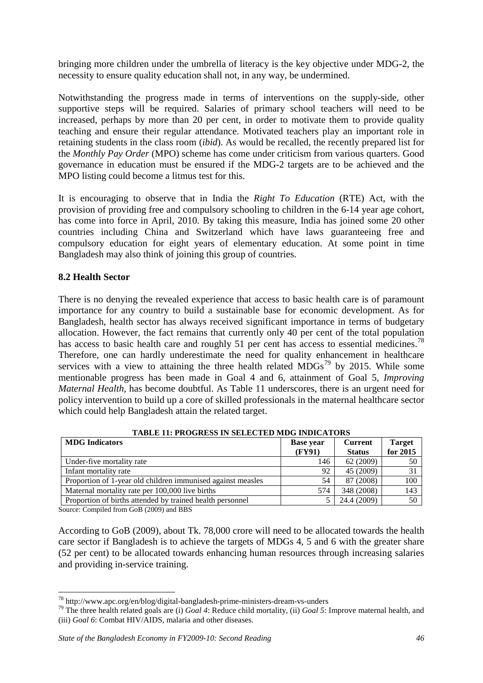bringing more children under the umbrella of literacy is the key objective under MDG-2, the necessity to ensure quality education shall not, in any way, be undermined.

Notwithstanding the progress made in terms of interventions on the supply-side, other supportive steps will be required. Salaries of primary school teachers will need to be increased, perhaps by more than 20 per cent, in order to motivate them to provide quality teaching and ensure their regular attendance. Motivated teachers play an important role in retaining students in the class room (*ibid*). As would be recalled, the recently prepared list for the *Monthly Pay Order* (MPO) scheme has come under criticism from various quarters. Good governance in education must be ensured if the MDG-2 targets are to be achieved and the MPO listing could become a litmus test for this.

It is encouraging to observe that in India the *Right To Education* (RTE) Act, with the provision of providing free and compulsory schooling to children in the 6-14 year age cohort, has come into force in April, 2010. By taking this measure, India has joined some 20 other countries including China and Switzerland which have laws guaranteeing free and compulsory education for eight years of elementary education. At some point in time Bangladesh may also think of joining this group of countries.

#### **8.2 Health Sector**

There is no denying the revealed experience that access to basic health care is of paramount importance for any country to build a sustainable base for economic development. As for Bangladesh, health sector has always received significant importance in terms of budgetary allocation. However, the fact remains that currently only 40 per cent of the total population has access to basic health care and roughly 51 per cent has access to essential medicines.<sup>[78](#page-52-0)</sup> Therefore, one can hardly underestimate the need for quality enhancement in healthcare services with a view to attaining the three health related  $MDGs^{79}$  $MDGs^{79}$  $MDGs^{79}$  by 2015. While some mentionable progress has been made in Goal 4 and 6, attainment of Goal 5, *Improving Maternal Health,* has become doubtful. As Table 11 underscores, there is an urgent need for policy intervention to build up a core of skilled professionals in the maternal healthcare sector which could help Bangladesh attain the related target.

| <b>MDG</b> Indicators                                       | <b>Base year</b> | <b>Current</b> | <b>Target</b> |
|-------------------------------------------------------------|------------------|----------------|---------------|
|                                                             | (FY91)           | <b>Status</b>  | for 2015      |
| Under-five mortality rate                                   | 146              | 62 (2009)      | 50            |
| Infant mortality rate                                       | 92               | 45 (2009)      | 31            |
| Proportion of 1-year old children immunised against measles | 54               | 87 (2008)      | 100           |
| Maternal mortality rate per 100,000 live births             | 574              | 348 (2008)     | 143           |
| Proportion of births attended by trained health personnel   |                  | 24.4 (2009)    | 50            |

**TABLE 11: PROGRESS IN SELECTED MDG INDICATORS**

Source: Compiled from GoB (2009) and BBS

.<br>-

According to GoB (2009), about Tk. 78,000 crore will need to be allocated towards the health care sector if Bangladesh is to achieve the targets of MDGs 4, 5 and 6 with the greater share (52 per cent) to be allocated towards enhancing human resources through increasing salaries and providing in-service training.

<span id="page-52-1"></span><span id="page-52-0"></span><sup>78</sup> http://www.apc.org/en/blog/digital-bangladesh-prime-ministers-dream-vs-unders <sup>79</sup> The three health related goals are (i) *Goal 4*: Reduce child mortality, (ii) *Goal 5*: Improve maternal health, and (iii) *Goal 6*: Combat HIV/AIDS, malaria and other diseases.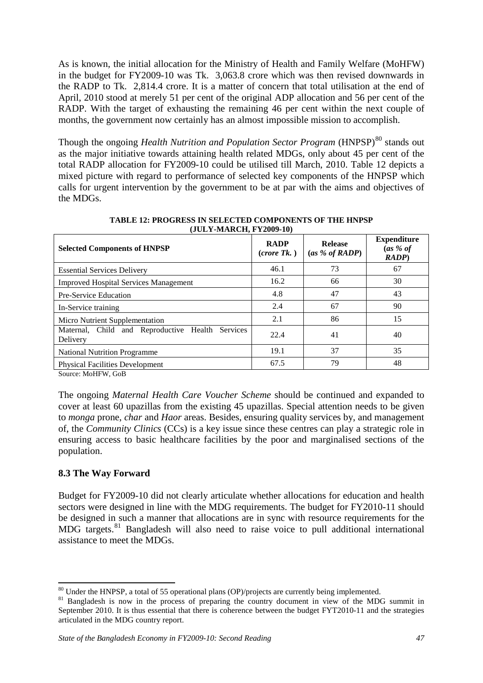As is known, the initial allocation for the Ministry of Health and Family Welfare (MoHFW) in the budget for FY2009-10 was Tk. 3,063.8 crore which was then revised downwards in the RADP to Tk. 2,814.4 crore. It is a matter of concern that total utilisation at the end of April, 2010 stood at merely 51 per cent of the original ADP allocation and 56 per cent of the RADP. With the target of exhausting the remaining 46 per cent within the next couple of months, the government now certainly has an almost impossible mission to accomplish.

Though the ongoing *Health Nutrition and Population Sector Program* (HNPSP)<sup>[80](#page-53-0)</sup> stands out as the major initiative towards attaining health related MDGs, only about 45 per cent of the total RADP allocation for FY2009-10 could be utilised till March, 2010. Table 12 depicts a mixed picture with regard to performance of selected key components of the HNPSP which calls for urgent intervention by the government to be at par with the aims and objectives of the MDGs.

| <b>Selected Components of HNPSP</b>                          | <b>RADP</b><br>(crore Tk.) | <b>Release</b><br>(as % of RADP) | <b>Expenditure</b><br>(as % of<br>RADP |
|--------------------------------------------------------------|----------------------------|----------------------------------|----------------------------------------|
| <b>Essential Services Delivery</b>                           | 46.1                       | 73                               | 67                                     |
| <b>Improved Hospital Services Management</b>                 | 16.2                       | 66                               | 30                                     |
| Pre-Service Education                                        | 4.8                        | 47                               | 43                                     |
| In-Service training                                          | 2.4                        | 67                               | 90                                     |
| Micro Nutrient Supplementation                               | 2.1                        | 86                               | 15                                     |
| Maternal, Child and Reproductive Health Services<br>Delivery | 22.4                       | 41                               | 40                                     |
| <b>National Nutrition Programme</b>                          | 19.1                       | 37                               | 35                                     |
| <b>Physical Facilities Development</b>                       | 67.5                       | 79                               | 48                                     |

**TABLE 12: PROGRESS IN SELECTED COMPONENTS OF THE HNPSP (JULY-MARCH, FY2009-10)**

Source: MoHFW, GoB

The ongoing *Maternal Health Care Voucher Scheme* should be continued and expanded to cover at least 60 upazillas from the existing 45 upazillas. Special attention needs to be given to *monga* prone, *char* and *Haor* areas. Besides, ensuring quality services by, and management of, the *Community Clinics* (CCs) is a key issue since these centres can play a strategic role in ensuring access to basic healthcare facilities by the poor and marginalised sections of the population.

#### **8.3 The Way Forward**

<u>.</u>

Budget for FY2009-10 did not clearly articulate whether allocations for education and health sectors were designed in line with the MDG requirements. The budget for FY2010-11 should be designed in such a manner that allocations are in sync with resource requirements for the MDG targets.<sup>[81](#page-53-0)</sup> Bangladesh will also need to raise voice to pull additional international assistance to meet the MDGs.

<span id="page-53-0"></span><sup>&</sup>lt;sup>80</sup> Under the HNPSP, a total of 55 operational plans (OP)/projects are currently being implemented.<br><sup>81</sup> Bangladesh is now in the process of preparing the country document in view of the MDG summit in September 2010. It is thus essential that there is coherence between the budget FYT2010-11 and the strategies articulated in the MDG country report.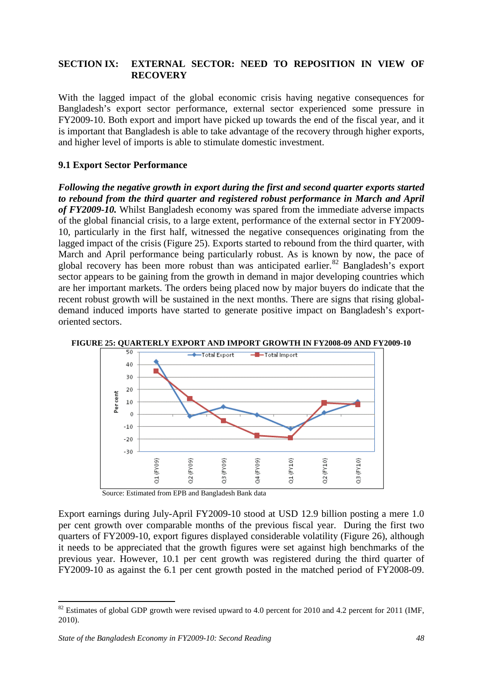#### **SECTION IX: EXTERNAL SECTOR: NEED TO REPOSITION IN VIEW OF RECOVERY**

With the lagged impact of the global economic crisis having negative consequences for Bangladesh's export sector performance, external sector experienced some pressure in FY2009-10. Both export and import have picked up towards the end of the fiscal year, and it is important that Bangladesh is able to take advantage of the recovery through higher exports, and higher level of imports is able to stimulate domestic investment.

#### **9.1 Export Sector Performance**

*Following the negative growth in export during the first and second quarter exports started to rebound from the third quarter and registered robust performance in March and April of FY2009-10.* Whilst Bangladesh economy was spared from the immediate adverse impacts of the global financial crisis, to a large extent, performance of the external sector in FY2009- 10, particularly in the first half, witnessed the negative consequences originating from the lagged impact of the crisis (Figure 25). Exports started to rebound from the third quarter, with March and April performance being particularly robust. As is known by now, the pace of global recovery has been more robust than was anticipated earlier.<sup>[82](#page-54-0)</sup> Bangladesh's export sector appears to be gaining from the growth in demand in major developing countries which are her important markets. The orders being placed now by major buyers do indicate that the recent robust growth will be sustained in the next months. There are signs that rising globaldemand induced imports have started to generate positive impact on Bangladesh's exportoriented sectors.



Source: Estimated from EPB and Bangladesh Bank data

Export earnings during July-April FY2009-10 stood at USD 12.9 billion posting a mere 1.0 per cent growth over comparable months of the previous fiscal year. During the first two quarters of FY2009-10, export figures displayed considerable volatility (Figure 26), although it needs to be appreciated that the growth figures were set against high benchmarks of the previous year. However, 10.1 per cent growth was registered during the third quarter of FY2009-10 as against the 6.1 per cent growth posted in the matched period of FY2008-09.

<span id="page-54-0"></span> $82$  Estimates of global GDP growth were revised upward to 4.0 percent for 2010 and 4.2 percent for 2011 (IMF, 2010).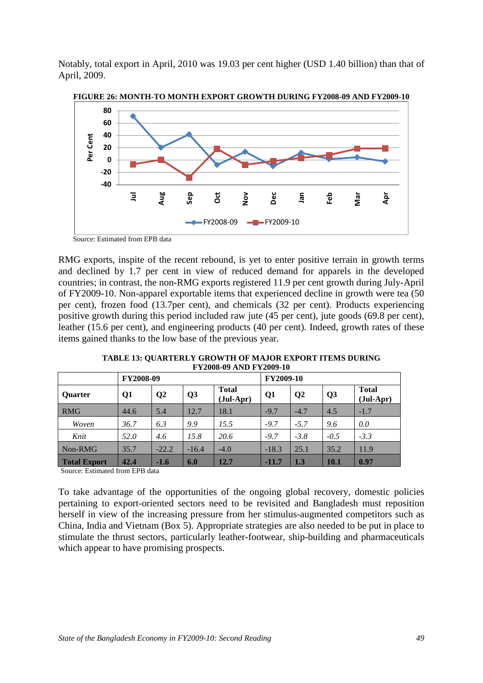Notably, total export in April, 2010 was 19.03 per cent higher (USD 1.40 billion) than that of April, 2009.



**FIGURE 26: MONTH-TO MONTH EXPORT GROWTH DURING FY2008-09 AND FY2009-10**

Source: Estimated from EPB data

RMG exports, inspite of the recent rebound, is yet to enter positive terrain in growth terms and declined by 1.7 per cent in view of reduced demand for apparels in the developed countries; in contrast, the non-RMG exports registered 11.9 per cent growth during July-April of FY2009-10. Non-apparel exportable items that experienced decline in growth were tea (50 per cent), frozen food (13.7per cent), and chemicals (32 per cent). Products experiencing positive growth during this period included raw jute (45 per cent), jute goods (69.8 per cent), leather (15.6 per cent), and engineering products (40 per cent). Indeed, growth rates of these items gained thanks to the low base of the previous year.

**TABLE 13: QUARTERLY GROWTH OF MAJOR EXPORT ITEMS DURING FY2008-09 AND FY2009-10**

|                     | FY2008-09 |                |         |                             | FY2009-10 |                |        |                             |
|---------------------|-----------|----------------|---------|-----------------------------|-----------|----------------|--------|-----------------------------|
| <b>Ouarter</b>      | Q1        | Q <sub>2</sub> | Q3      | <b>Total</b><br>$(Jul-Apr)$ | Q1        | Q <sub>2</sub> | Q3     | <b>Total</b><br>$(Jul-Apr)$ |
| <b>RMG</b>          | 44.6      | 5.4            | 12.7    | 18.1                        | $-9.7$    | $-4.7$         | 4.5    | $-1.7$                      |
| Woven               | 36.7      | 6.3            | 9.9     | 15.5                        | $-9.7$    | $-5.7$         | 9.6    | 0.0                         |
| Knit                | 52.0      | 4.6            | 15.8    | 20.6                        | $-9.7$    | $-3.8$         | $-0.5$ | $-3.3$                      |
| Non-RMG             | 35.7      | $-22.2$        | $-16.4$ | $-4.0$                      | $-18.3$   | 25.1           | 35.2   | 11.9                        |
| <b>Total Export</b> | 42.4      | $-1.6$         | 6.0     | 12.7                        | $-11.7$   | 1.3            | 10.1   | 0.97                        |

Source: Estimated from EPB data

To take advantage of the opportunities of the ongoing global recovery, domestic policies pertaining to export-oriented sectors need to be revisited and Bangladesh must reposition herself in view of the increasing pressure from her stimulus-augmented competitors such as China, India and Vietnam (Box 5). Appropriate strategies are also needed to be put in place to stimulate the thrust sectors, particularly leather-footwear, ship-building and pharmaceuticals which appear to have promising prospects.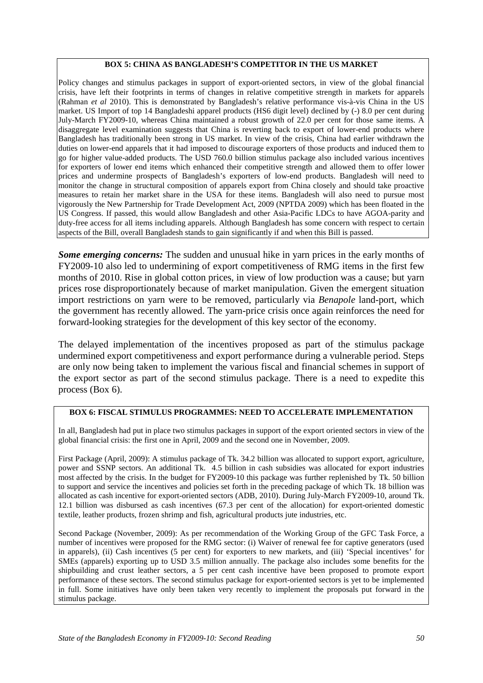#### **BOX 5: CHINA AS BANGLADESH'S COMPETITOR IN THE US MARKET**

Policy changes and stimulus packages in support of export-oriented sectors, in view of the global financial crisis, have left their footprints in terms of changes in relative competitive strength in markets for apparels (Rahman *et al* 2010). This is demonstrated by Bangladesh's relative performance vis-à-vis China in the US market. US Import of top 14 Bangladeshi apparel products (HS6 digit level) declined by (-) 8.0 per cent during July-March FY2009-10, whereas China maintained a robust growth of 22.0 per cent for those same items. A disaggregate level examination suggests that China is reverting back to export of lower-end products where Bangladesh has traditionally been strong in US market. In view of the crisis, China had earlier withdrawn the duties on lower-end apparels that it had imposed to discourage exporters of those products and induced them to go for higher value-added products. The USD 760.0 billion stimulus package also included various incentives for exporters of lower end items which enhanced their competitive strength and allowed them to offer lower prices and undermine prospects of Bangladesh's exporters of low-end products. Bangladesh will need to monitor the change in structural composition of apparels export from China closely and should take proactive measures to retain her market share in the USA for these items. Bangladesh will also need to pursue most vigorously the New Partnership for Trade Development Act, 2009 (NPTDA 2009) which has been floated in the US Congress. If passed, this would allow Bangladesh and other Asia-Pacific LDCs to have AGOA-parity and duty-free access for all items including apparels. Although Bangladesh has some concern with respect to certain aspects of the Bill, overall Bangladesh stands to gain significantly if and when this Bill is passed.

*Some emerging concerns:* The sudden and unusual hike in varn prices in the early months of FY2009-10 also led to undermining of export competitiveness of RMG items in the first few months of 2010. Rise in global cotton prices, in view of low production was a cause; but yarn prices rose disproportionately because of market manipulation. Given the emergent situation import restrictions on yarn were to be removed, particularly via *Benapole* land-port, which the government has recently allowed. The yarn-price crisis once again reinforces the need for forward-looking strategies for the development of this key sector of the economy.

The delayed implementation of the incentives proposed as part of the stimulus package undermined export competitiveness and export performance during a vulnerable period. Steps are only now being taken to implement the various fiscal and financial schemes in support of the export sector as part of the second stimulus package. There is a need to expedite this process (Box 6).

#### **BOX 6: FISCAL STIMULUS PROGRAMMES: NEED TO ACCELERATE IMPLEMENTATION**

In all, Bangladesh had put in place two stimulus packages in support of the export oriented sectors in view of the global financial crisis: the first one in April, 2009 and the second one in November, 2009.

First Package (April, 2009): A stimulus package of Tk. 34.2 billion was allocated to support export, agriculture, power and SSNP sectors. An additional Tk. 4.5 billion in cash subsidies was allocated for export industries most affected by the crisis. In the budget for FY2009-10 this package was further replenished by Tk. 50 billion to support and service the incentives and policies set forth in the preceding package of which Tk. 18 billion was allocated as cash incentive for export-oriented sectors (ADB, 2010). During July-March FY2009-10, around Tk. 12.1 billion was disbursed as cash incentives (67.3 per cent of the allocation) for export-oriented domestic textile, leather products, frozen shrimp and fish, agricultural products jute industries, etc.

Second Package (November, 2009): As per recommendation of the Working Group of the GFC Task Force, a number of incentives were proposed for the RMG sector: (i) Waiver of renewal fee for captive generators (used in apparels), (ii) Cash incentives (5 per cent) for exporters to new markets, and (iii) 'Special incentives' for SMEs (apparels) exporting up to USD 3.5 million annually. The package also includes some benefits for the shipbuilding and crust leather sectors, a 5 per cent cash incentive have been proposed to promote export performance of these sectors. The second stimulus package for export-oriented sectors is yet to be implemented in full. Some initiatives have only been taken very recently to implement the proposals put forward in the stimulus package.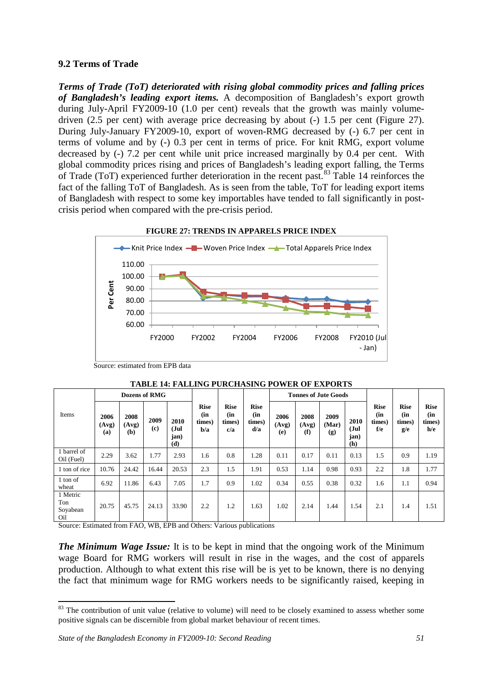#### **9.2 Terms of Trade**

*Terms of Trade (ToT) deteriorated with rising global commodity prices and falling prices of Bangladesh's leading export items.* A decomposition of Bangladesh's export growth during July-April FY2009-10 (1.0 per cent) reveals that the growth was mainly volumedriven (2.5 per cent) with average price decreasing by about (-) 1.5 per cent (Figure 27). During July-January FY2009-10, export of woven-RMG decreased by (-) 6.7 per cent in terms of volume and by (-) 0.3 per cent in terms of price. For knit RMG, export volume decreased by (-) 7.2 per cent while unit price increased marginally by 0.4 per cent. With global commodity prices rising and prices of Bangladesh's leading export falling, the Terms of Trade (ToT) experienced further deterioration in the recent past.<sup>[83](#page-57-0)</sup> Table 14 reinforces the fact of the falling ToT of Bangladesh. As is seen from the table, ToT for leading export items of Bangladesh with respect to some key importables have tended to fall significantly in postcrisis period when compared with the pre-crisis period.



|                                    |                      |                      | Dozens of RMG |                             |                                     |                                     |                                     | <b>Tonnes of Jute Goods</b> |                      |                      |                                   |                                     |                                     |                                     |
|------------------------------------|----------------------|----------------------|---------------|-----------------------------|-------------------------------------|-------------------------------------|-------------------------------------|-----------------------------|----------------------|----------------------|-----------------------------------|-------------------------------------|-------------------------------------|-------------------------------------|
| Items                              | 2006<br>(Avg)<br>(a) | 2008<br>(Avg)<br>(b) | 2009<br>(c)   | 2010<br>(Jul<br>jan)<br>(d) | <b>Rise</b><br>(in<br>times)<br>b/a | <b>Rise</b><br>(in<br>times)<br>c/a | <b>Rise</b><br>(in<br>times)<br>d/a | 2006<br>(Avg)<br>(e)        | 2008<br>(Avg)<br>(f) | 2009<br>(Mar)<br>(g) | <b>2010</b><br>Jul<br>jan)<br>(h) | <b>Rise</b><br>(in<br>times)<br>f/e | <b>Rise</b><br>(in<br>times)<br>g/e | <b>Rise</b><br>(in<br>times)<br>h/e |
| barrel of<br>Oil (Fuel)            | 2.29                 | 3.62                 | 1.77          | 2.93                        | 1.6                                 | 0.8                                 | 1.28                                | 0.11                        | 0.17                 | 0.11                 | 0.13                              | 1.5                                 | 0.9                                 | 1.19                                |
| 1 ton of rice                      | 10.76                | 24.42                | 16.44         | 20.53                       | 2.3                                 | 1.5                                 | 1.91                                | 0.53                        | 1.14                 | 0.98                 | 0.93                              | 2.2                                 | 1.8                                 | 1.77                                |
| 1 ton of<br>wheat                  | 6.92                 | 11.86                | 6.43          | 7.05                        | 1.7                                 | 0.9                                 | 1.02                                | 0.34                        | 0.55                 | 0.38                 | 0.32                              | 1.6                                 | 1.1                                 | 0.94                                |
| 1 Metric<br>Ton<br>Soyabean<br>Oil | 20.75                | 45.75                | 24.13         | 33.90                       | 2.2                                 | 1.2                                 | 1.63                                | 1.02                        | 2.14                 | 1.44                 | 1.54                              | 2.1                                 | 1.4                                 | 1.51                                |

|  |  |  |  | <b>TABLE 14: FALLING PURCHASING POWER OF EXPORTS</b> |
|--|--|--|--|------------------------------------------------------|
|--|--|--|--|------------------------------------------------------|

Source: Estimated from FAO, WB, EPB and Others: Various publications

*The Minimum Wage Issue:* It is to be kept in mind that the ongoing work of the Minimum wage Board for RMG workers will result in rise in the wages, and the cost of apparels production. Although to what extent this rise will be is yet to be known, there is no denying the fact that minimum wage for RMG workers needs to be significantly raised, keeping in

<span id="page-57-0"></span><sup>&</sup>lt;sup>83</sup> The contribution of unit value (relative to volume) will need to be closely examined to assess whether some positive signals can be discernible from global market behaviour of recent times.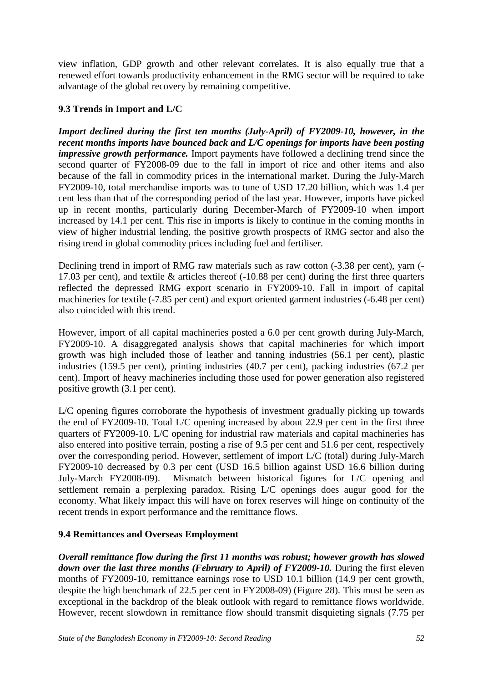view inflation, GDP growth and other relevant correlates. It is also equally true that a renewed effort towards productivity enhancement in the RMG sector will be required to take advantage of the global recovery by remaining competitive.

# **9.3 Trends in Import and L/C**

*Import declined during the first ten months (July-April) of FY2009-10, however, in the recent months imports have bounced back and L/C openings for imports have been posting impressive growth performance.* Import payments have followed a declining trend since the second quarter of FY2008-09 due to the fall in import of rice and other items and also because of the fall in commodity prices in the international market. During the July-March FY2009-10, total merchandise imports was to tune of USD 17.20 billion, which was 1.4 per cent less than that of the corresponding period of the last year. However, imports have picked up in recent months, particularly during December-March of FY2009-10 when import increased by 14.1 per cent. This rise in imports is likely to continue in the coming months in view of higher industrial lending, the positive growth prospects of RMG sector and also the rising trend in global commodity prices including fuel and fertiliser.

Declining trend in import of RMG raw materials such as raw cotton (-3.38 per cent), yarn (- 17.03 per cent), and textile & articles thereof (-10.88 per cent) during the first three quarters reflected the depressed RMG export scenario in FY2009-10. Fall in import of capital machineries for textile (-7.85 per cent) and export oriented garment industries (-6.48 per cent) also coincided with this trend.

However, import of all capital machineries posted a 6.0 per cent growth during July-March, FY2009-10. A disaggregated analysis shows that capital machineries for which import growth was high included those of leather and tanning industries (56.1 per cent), plastic industries (159.5 per cent), printing industries (40.7 per cent), packing industries (67.2 per cent). Import of heavy machineries including those used for power generation also registered positive growth (3.1 per cent).

L/C opening figures corroborate the hypothesis of investment gradually picking up towards the end of FY2009-10. Total L/C opening increased by about 22.9 per cent in the first three quarters of FY2009-10. L/C opening for industrial raw materials and capital machineries has also entered into positive terrain, posting a rise of 9.5 per cent and 51.6 per cent, respectively over the corresponding period. However, settlement of import L/C (total) during July-March FY2009-10 decreased by 0.3 per cent (USD 16.5 billion against USD 16.6 billion during July-March FY2008-09). Mismatch between historical figures for L/C opening and settlement remain a perplexing paradox. Rising L/C openings does augur good for the economy. What likely impact this will have on forex reserves will hinge on continuity of the recent trends in export performance and the remittance flows.

# **9.4 Remittances and Overseas Employment**

*Overall remittance flow during the first 11 months was robust; however growth has slowed down over the last three months (February to April) of FY2009-10.* During the first eleven months of FY2009-10, remittance earnings rose to USD 10.1 billion (14.9 per cent growth, despite the high benchmark of 22.5 per cent in FY2008-09) (Figure 28). This must be seen as exceptional in the backdrop of the bleak outlook with regard to remittance flows worldwide. However, recent slowdown in remittance flow should transmit disquieting signals (7.75 per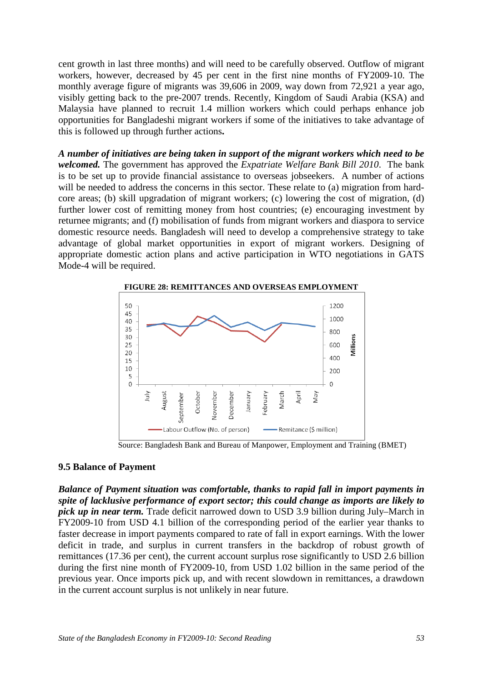cent growth in last three months) and will need to be carefully observed. Outflow of migrant workers, however, decreased by 45 per cent in the first nine months of FY2009-10. The monthly average figure of migrants was 39,606 in 2009, way down from 72,921 a year ago, visibly getting back to the pre-2007 trends. Recently, Kingdom of Saudi Arabia (KSA) and Malaysia have planned to recruit 1.4 million workers which could perhaps enhance job opportunities for Bangladeshi migrant workers if some of the initiatives to take advantage of this is followed up through further actions**.**

*A number of initiatives are being taken in support of the migrant workers which need to be welcomed.* The government has approved the *Expatriate Welfare Bank Bill 2010*. The bank is to be set up to provide financial assistance to overseas jobseekers. A number of actions will be needed to address the concerns in this sector. These relate to (a) migration from hardcore areas; (b) skill upgradation of migrant workers; (c) lowering the cost of migration, (d) further lower cost of remitting money from host countries; (e) encouraging investment by returnee migrants; and (f) mobilisation of funds from migrant workers and diaspora to service domestic resource needs. Bangladesh will need to develop a comprehensive strategy to take advantage of global market opportunities in export of migrant workers. Designing of appropriate domestic action plans and active participation in WTO negotiations in GATS Mode-4 will be required.



Source: Bangladesh Bank and Bureau of Manpower, Employment and Training (BMET)

#### **9.5 Balance of Payment**

*Balance of Payment situation was comfortable, thanks to rapid fall in import payments in spite of lacklusive performance of export sector; this could change as imports are likely to pick up in near term.* Trade deficit narrowed down to USD 3.9 billion during July–March in FY2009-10 from USD 4.1 billion of the corresponding period of the earlier year thanks to faster decrease in import payments compared to rate of fall in export earnings. With the lower deficit in trade, and surplus in current transfers in the backdrop of robust growth of remittances (17.36 per cent), the current account surplus rose significantly to USD 2.6 billion during the first nine month of FY2009-10, from USD 1.02 billion in the same period of the previous year. Once imports pick up, and with recent slowdown in remittances, a drawdown in the current account surplus is not unlikely in near future.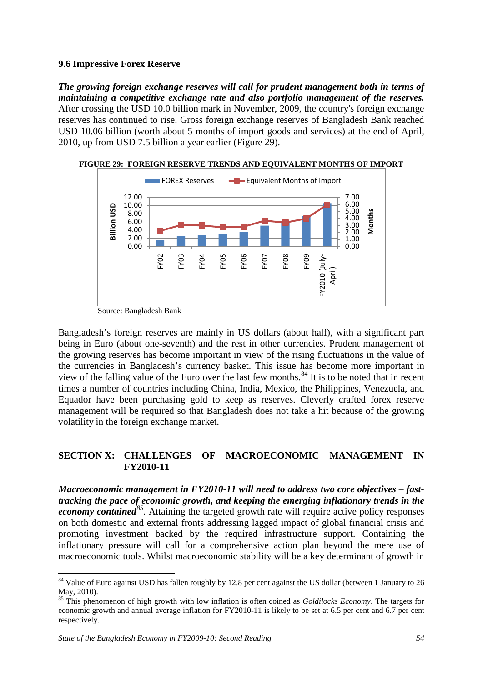#### **9.6 Impressive Forex Reserve**

*The growing foreign exchange reserves will call for prudent management both in terms of maintaining a competitive exchange rate and also portfolio management of the reserves.*  After crossing the USD 10.0 billion mark in November, 2009, the country's foreign exchange reserves has continued to rise. Gross foreign exchange reserves of Bangladesh Bank reached USD 10.06 billion (worth about 5 months of import goods and services) at the end of April, 2010, up from USD 7.5 billion a year earlier (Figure 29).



**FIGURE 29: FOREIGN RESERVE TRENDS AND EQUIVALENT MONTHS OF IMPORT**

Bangladesh's foreign reserves are mainly in US dollars (about half), with a significant part being in Euro (about one-seventh) and the rest in other currencies. Prudent management of the growing reserves has become important in view of the rising fluctuations in the value of the currencies in Bangladesh's currency basket. This issue has become more important in view of the falling value of the Euro over the last few months.<sup>[84](#page-60-0)</sup> It is to be noted that in recent times a number of countries including China, India, Mexico, the Philippines, Venezuela, and Equador have been purchasing gold to keep as reserves. Cleverly crafted forex reserve management will be required so that Bangladesh does not take a hit because of the growing volatility in the foreign exchange market.

#### **SECTION X: CHALLENGES OF MACROECONOMIC MANAGEMENT IN FY2010-11**

*Macroeconomic management in FY2010-11 will need to address two core objectives – fasttracking the pace of economic growth, and keeping the emerging inflationary trends in the*  economy contained<sup>[85](#page-60-1)</sup>. Attaining the targeted growth rate will require active policy responses on both domestic and external fronts addressing lagged impact of global financial crisis and promoting investment backed by the required infrastructure support. Containing the inflationary pressure will call for a comprehensive action plan beyond the mere use of macroeconomic tools. Whilst macroeconomic stability will be a key determinant of growth in

<u>.</u>

Source: Bangladesh Bank

<span id="page-60-0"></span> $84$  Value of Euro against USD has fallen roughly by 12.8 per cent against the US dollar (between 1 January to 26 May, 2010).

<span id="page-60-1"></span><sup>85</sup> This phenomenon of high growth with low inflation is often coined as *Goldilocks Economy*. The targets for economic growth and annual average inflation for FY2010-11 is likely to be set at 6.5 per cent and 6.7 per cent respectively.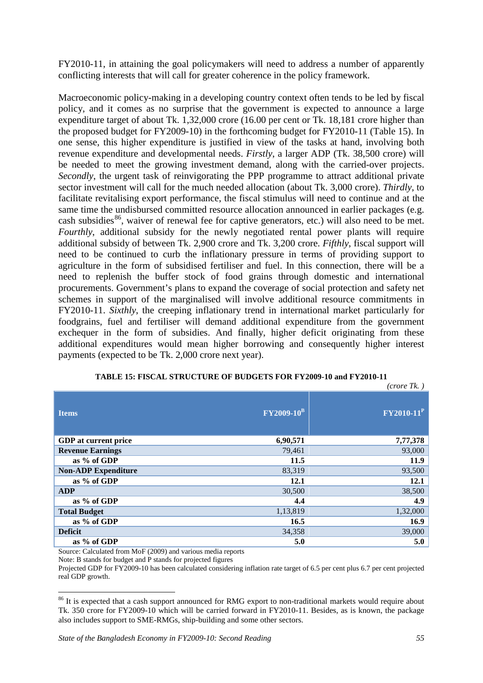FY2010-11, in attaining the goal policymakers will need to address a number of apparently conflicting interests that will call for greater coherence in the policy framework.

Macroeconomic policy-making in a developing country context often tends to be led by fiscal policy, and it comes as no surprise that the government is expected to announce a large expenditure target of about Tk. 1,32,000 crore (16.00 per cent or Tk. 18,181 crore higher than the proposed budget for FY2009-10) in the forthcoming budget for FY2010-11 (Table 15). In one sense, this higher expenditure is justified in view of the tasks at hand, involving both revenue expenditure and developmental needs. *Firstly*, a larger ADP (Tk. 38,500 crore) will be needed to meet the growing investment demand, along with the carried-over projects. *Secondly*, the urgent task of reinvigorating the PPP programme to attract additional private sector investment will call for the much needed allocation (about Tk. 3,000 crore). *Thirdly*, to facilitate revitalising export performance, the fiscal stimulus will need to continue and at the same time the undisbursed committed resource allocation announced in earlier packages (e.g. cash subsidies<sup>86</sup>, waiver of renewal fee for captive generators, etc.) will also need to be met. *Fourthly*, additional subsidy for the newly negotiated rental power plants will require additional subsidy of between Tk. 2,900 crore and Tk. 3,200 crore. *Fifthly*, fiscal support will need to be continued to curb the inflationary pressure in terms of providing support to agriculture in the form of subsidised fertiliser and fuel. In this connection, there will be a need to replenish the buffer stock of food grains through domestic and international procurements. Government's plans to expand the coverage of social protection and safety net schemes in support of the marginalised will involve additional resource commitments in FY2010-11. *Sixthly*, the creeping inflationary trend in international market particularly for foodgrains, fuel and fertiliser will demand additional expenditure from the government exchequer in the form of subsidies. And finally, higher deficit originating from these additional expenditures would mean higher borrowing and consequently higher interest payments (expected to be Tk. 2,000 crore next year).

| <b>Items</b>                | $FY2009-10^{B}$ | $FY2010-11^P$ |
|-----------------------------|-----------------|---------------|
| <b>GDP</b> at current price | 6,90,571        | 7,77,378      |
| <b>Revenue Earnings</b>     | 79,461          | 93,000        |
| as % of GDP                 | 11.5            | 11.9          |
| <b>Non-ADP Expenditure</b>  | 83,319          | 93,500        |
| as % of GDP                 | 12.1            | 12.1          |
| <b>ADP</b>                  | 30,500          | 38,500        |
| as % of GDP                 | 4.4             | 4.9           |
| <b>Total Budget</b>         | 1,13,819        | 1,32,000      |
| as % of GDP                 | 16.5            | 16.9          |
| <b>Deficit</b>              | 34,358          | 39,000        |
| as % of GDP                 | 5.0             | 5.0           |

#### **TABLE 15: FISCAL STRUCTURE OF BUDGETS FOR FY2009-10 and FY2010-11** *(crore Tk. )*

Source: Calculated from MoF (2009) and various media reports

Note: B stands for budget and P stands for projected figures

.<br>-

Projected GDP for FY2009-10 has been calculated considering inflation rate target of 6.5 per cent plus 6.7 per cent projected real GDP growth.

<span id="page-61-0"></span><sup>&</sup>lt;sup>86</sup> It is expected that a cash support announced for RMG export to non-traditional markets would require about Tk. 350 crore for FY2009-10 which will be carried forward in FY2010-11. Besides, as is known, the package also includes support to SME-RMGs, ship-building and some other sectors.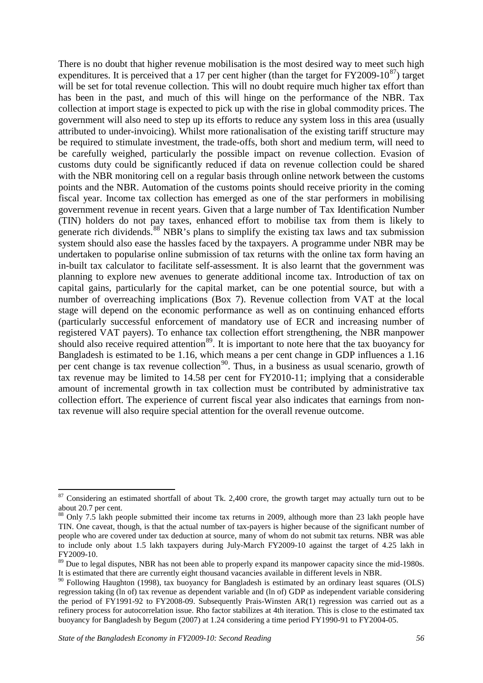There is no doubt that higher revenue mobilisation is the most desired way to meet such high expenditures. It is perceived that a 17 per cent higher (than the target for  $FY2009-10^{87}$  $FY2009-10^{87}$  $FY2009-10^{87}$ ) target will be set for total revenue collection. This will no doubt require much higher tax effort than has been in the past, and much of this will hinge on the performance of the NBR. Tax collection at import stage is expected to pick up with the rise in global commodity prices. The government will also need to step up its efforts to reduce any system loss in this area (usually attributed to under-invoicing). Whilst more rationalisation of the existing tariff structure may be required to stimulate investment, the trade-offs, both short and medium term, will need to be carefully weighed, particularly the possible impact on revenue collection. Evasion of customs duty could be significantly reduced if data on revenue collection could be shared with the NBR monitoring cell on a regular basis through online network between the customs points and the NBR. Automation of the customs points should receive priority in the coming fiscal year. Income tax collection has emerged as one of the star performers in mobilising government revenue in recent years. Given that a large number of Tax Identification Number (TIN) holders do not pay taxes, enhanced effort to mobilise tax from them is likely to generate rich dividends.<sup>[88](#page-62-1)</sup> NBR's plans to simplify the existing tax laws and tax submission system should also ease the hassles faced by the taxpayers. A programme under NBR may be undertaken to popularise online submission of tax returns with the online tax form having an in-built tax calculator to facilitate self-assessment. It is also learnt that the government was planning to explore new avenues to generate additional income tax. Introduction of tax on capital gains, particularly for the capital market, can be one potential source, but with a number of overreaching implications (Box 7). Revenue collection from VAT at the local stage will depend on the economic performance as well as on continuing enhanced efforts (particularly successful enforcement of mandatory use of ECR and increasing number of registered VAT payers). To enhance tax collection effort strengthening, the NBR manpower should also receive required attention<sup>[89](#page-62-2)</sup>. It is important to note here that the tax buoyancy for Bangladesh is estimated to be 1.16, which means a per cent change in GDP influences a 1.16 per cent change is tax revenue collection<sup>[90](#page-62-3)</sup>. Thus, in a business as usual scenario, growth of tax revenue may be limited to 14.58 per cent for FY2010-11; implying that a considerable amount of incremental growth in tax collection must be contributed by administrative tax collection effort. The experience of current fiscal year also indicates that earnings from nontax revenue will also require special attention for the overall revenue outcome.

<span id="page-62-0"></span> $87$  Considering an estimated shortfall of about Tk. 2,400 crore, the growth target may actually turn out to be about 20.7 per cent.<br><sup>88</sup> Only 7.5 lakh people submitted their income tax returns in 2009, although more than 23 lakh people have

<span id="page-62-1"></span>TIN. One caveat, though, is that the actual number of tax-payers is higher because of the significant number of people who are covered under tax deduction at source, many of whom do not submit tax returns. NBR was able to include only about 1.5 lakh taxpayers during July-March FY2009-10 against the target of 4.25 lakh in FY2009-10.

<span id="page-62-2"></span><sup>&</sup>lt;sup>89</sup> Due to legal disputes, NBR has not been able to properly expand its manpower capacity since the mid-1980s. It is estimated that there are currently eight thousand vacancies available in different levels in NBR.

<span id="page-62-3"></span> $90$  Following Haughton (1998), tax buoyancy for Bangladesh is estimated by an ordinary least squares (OLS) regression taking (ln of) tax revenue as dependent variable and (ln of) GDP as independent variable considering the period of FY1991-92 to FY2008-09. Subsequently Prais-Winsten AR(1) regression was carried out as a refinery process for autocorrelation issue. Rho factor stabilizes at 4th iteration. This is close to the estimated tax buoyancy for Bangladesh by Begum (2007) at 1.24 considering a time period FY1990-91 to FY2004-05.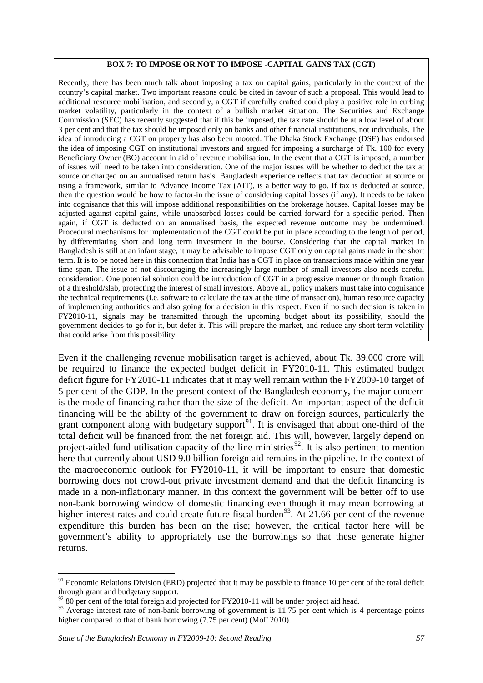#### **BOX 7: TO IMPOSE OR NOT TO IMPOSE -CAPITAL GAINS TAX (CGT)**

Recently, there has been much talk about imposing a tax on capital gains, particularly in the context of the country's capital market. Two important reasons could be cited in favour of such a proposal. This would lead to additional resource mobilisation, and secondly, a CGT if carefully crafted could play a positive role in curbing market volatility, particularly in the context of a bullish market situation. The Securities and Exchange Commission (SEC) has recently suggested that if this be imposed, the tax rate should be at a low level of about 3 per cent and that the tax should be imposed only on banks and other financial institutions, not individuals. The idea of introducing a CGT on property has also been mooted. The Dhaka Stock Exchange (DSE) has endorsed the idea of imposing CGT on institutional investors and argued for imposing a surcharge of Tk. 100 for every Beneficiary Owner (BO) account in aid of revenue mobilisation. In the event that a CGT is imposed, a number of issues will need to be taken into consideration. One of the major issues will be whether to deduct the tax at source or charged on an annualised return basis. Bangladesh experience reflects that tax deduction at source or using a framework, similar to Advance Income Tax (AIT), is a better way to go. If tax is deducted at source, then the question would be how to factor-in the issue of considering capital losses (if any). It needs to be taken into cognisance that this will impose additional responsibilities on the brokerage houses. Capital losses may be adjusted against capital gains, while unabsorbed losses could be carried forward for a specific period. Then again, if CGT is deducted on an annualised basis, the expected revenue outcome may be undermined. Procedural mechanisms for implementation of the CGT could be put in place according to the length of period, by differentiating short and long term investment in the bourse. Considering that the capital market in Bangladesh is still at an infant stage, it may be advisable to impose CGT only on capital gains made in the short term. It is to be noted here in this connection that India has a CGT in place on transactions made within one year time span. The issue of not discouraging the increasingly large number of small investors also needs careful consideration. One potential solution could be introduction of CGT in a progressive manner or through fixation of a threshold/slab, protecting the interest of small investors. Above all, policy makers must take into cognisance the technical requirements (i.e. software to calculate the tax at the time of transaction), human resource capacity of implementing authorities and also going for a decision in this respect. Even if no such decision is taken in FY2010-11, signals may be transmitted through the upcoming budget about its possibility, should the government decides to go for it, but defer it. This will prepare the market, and reduce any short term volatility that could arise from this possibility.

Even if the challenging revenue mobilisation target is achieved, about Tk. 39,000 crore will be required to finance the expected budget deficit in FY2010-11. This estimated budget deficit figure for FY2010-11 indicates that it may well remain within the FY2009-10 target of 5 per cent of the GDP. In the present context of the Bangladesh economy, the major concern is the mode of financing rather than the size of the deficit. An important aspect of the deficit financing will be the ability of the government to draw on foreign sources, particularly the grant component along with budgetary support $91$ . It is envisaged that about one-third of the total deficit will be financed from the net foreign aid. This will, however, largely depend on project-aided fund utilisation capacity of the line ministries<sup>[92](#page-63-1)</sup>. It is also pertinent to mention here that currently about USD 9.0 billion foreign aid remains in the pipeline. In the context of the macroeconomic outlook for FY2010-11, it will be important to ensure that domestic borrowing does not crowd-out private investment demand and that the deficit financing is made in a non-inflationary manner. In this context the government will be better off to use non-bank borrowing window of domestic financing even though it may mean borrowing at higher interest rates and could create future fiscal burden<sup>[93](#page-63-2)</sup>. At 21.66 per cent of the revenue expenditure this burden has been on the rise; however, the critical factor here will be government's ability to appropriately use the borrowings so that these generate higher returns.

<u>.</u>

<span id="page-63-0"></span> $91$  Economic Relations Division (ERD) projected that it may be possible to finance 10 per cent of the total deficit through grant and budgetary support.

 $\frac{92}{280}$  per cent of the total foreign aid projected for FY2010-11 will be under project aid head.

<span id="page-63-2"></span><span id="page-63-1"></span><sup>&</sup>lt;sup>93</sup> Average interest rate of non-bank borrowing of government is 11.75 per cent which is 4 percentage points higher compared to that of bank borrowing (7.75 per cent) (MoF 2010).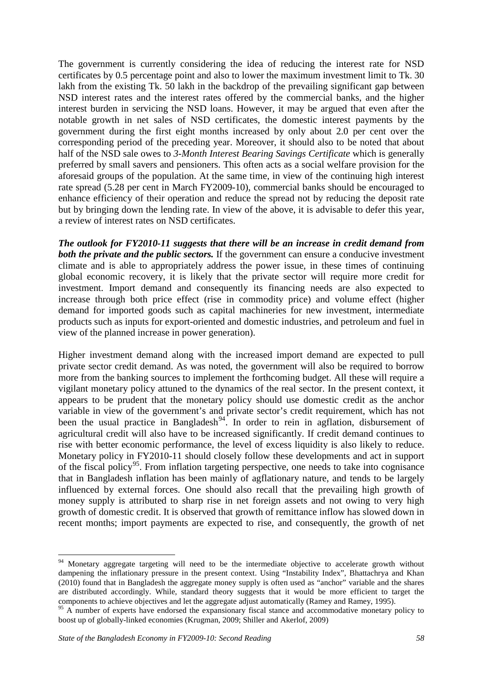The government is currently considering the idea of reducing the interest rate for NSD certificates by 0.5 percentage point and also to lower the maximum investment limit to Tk. 30 lakh from the existing Tk. 50 lakh in the backdrop of the prevailing significant gap between NSD interest rates and the interest rates offered by the commercial banks, and the higher interest burden in servicing the NSD loans. However, it may be argued that even after the notable growth in net sales of NSD certificates, the domestic interest payments by the government during the first eight months increased by only about 2.0 per cent over the corresponding period of the preceding year. Moreover, it should also to be noted that about half of the NSD sale owes to *3-Month Interest Bearing Savings Certificate* which is generally preferred by small savers and pensioners. This often acts as a social welfare provision for the aforesaid groups of the population. At the same time, in view of the continuing high interest rate spread (5.28 per cent in March FY2009-10), commercial banks should be encouraged to enhance efficiency of their operation and reduce the spread not by reducing the deposit rate but by bringing down the lending rate. In view of the above, it is advisable to defer this year, a review of interest rates on NSD certificates.

*The outlook for FY2010-11 suggests that there will be an increase in credit demand from both the private and the public sectors.* If the government can ensure a conducive investment climate and is able to appropriately address the power issue, in these times of continuing global economic recovery, it is likely that the private sector will require more credit for investment. Import demand and consequently its financing needs are also expected to increase through both price effect (rise in commodity price) and volume effect (higher demand for imported goods such as capital machineries for new investment, intermediate products such as inputs for export-oriented and domestic industries, and petroleum and fuel in view of the planned increase in power generation).

Higher investment demand along with the increased import demand are expected to pull private sector credit demand. As was noted, the government will also be required to borrow more from the banking sources to implement the forthcoming budget. All these will require a vigilant monetary policy attuned to the dynamics of the real sector. In the present context, it appears to be prudent that the monetary policy should use domestic credit as the anchor variable in view of the government's and private sector's credit requirement, which has not been the usual practice in Bangladesh<sup>[94](#page-64-0)</sup>. In order to rein in agflation, disbursement of agricultural credit will also have to be increased significantly. If credit demand continues to rise with better economic performance, the level of excess liquidity is also likely to reduce. Monetary policy in FY2010-11 should closely follow these developments and act in support of the fiscal policy<sup>[95](#page-64-1)</sup>. From inflation targeting perspective, one needs to take into cognisance that in Bangladesh inflation has been mainly of agflationary nature, and tends to be largely influenced by external forces. One should also recall that the prevailing high growth of money supply is attributed to sharp rise in net foreign assets and not owing to very high growth of domestic credit. It is observed that growth of remittance inflow has slowed down in recent months; import payments are expected to rise, and consequently, the growth of net

-

<span id="page-64-0"></span>Monetary aggregate targeting will need to be the intermediate objective to accelerate growth without dampening the inflationary pressure in the present context. Using "Instability Index", Bhattachrya and Khan (2010) found that in Bangladesh the aggregate money supply is often used as "anchor" variable and the shares are distributed accordingly. While, standard theory suggests that it would be more efficient to target the components to achieve objectives and let the aggregate adjust automatically (Ramey and Ramey, 1995).

<span id="page-64-1"></span><sup>&</sup>lt;sup>95</sup> A number of experts have endorsed the expansionary fiscal stance and accommodative monetary policy to boost up of globally-linked economies (Krugman, 2009; Shiller and Akerlof, 2009)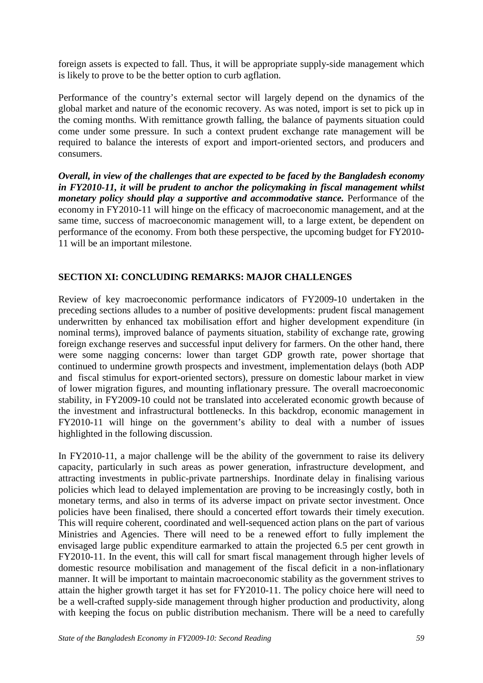foreign assets is expected to fall. Thus, it will be appropriate supply-side management which is likely to prove to be the better option to curb agflation.

Performance of the country's external sector will largely depend on the dynamics of the global market and nature of the economic recovery. As was noted, import is set to pick up in the coming months. With remittance growth falling, the balance of payments situation could come under some pressure. In such a context prudent exchange rate management will be required to balance the interests of export and import-oriented sectors, and producers and consumers.

*Overall, in view of the challenges that are expected to be faced by the Bangladesh economy in FY2010-11, it will be prudent to anchor the policymaking in fiscal management whilst monetary policy should play a supportive and accommodative stance.* Performance of the economy in FY2010-11 will hinge on the efficacy of macroeconomic management, and at the same time, success of macroeconomic management will, to a large extent, be dependent on performance of the economy. From both these perspective, the upcoming budget for FY2010- 11 will be an important milestone.

# **SECTION XI: CONCLUDING REMARKS: MAJOR CHALLENGES**

Review of key macroeconomic performance indicators of FY2009-10 undertaken in the preceding sections alludes to a number of positive developments: prudent fiscal management underwritten by enhanced tax mobilisation effort and higher development expenditure (in nominal terms), improved balance of payments situation, stability of exchange rate, growing foreign exchange reserves and successful input delivery for farmers. On the other hand, there were some nagging concerns: lower than target GDP growth rate, power shortage that continued to undermine growth prospects and investment, implementation delays (both ADP and fiscal stimulus for export-oriented sectors), pressure on domestic labour market in view of lower migration figures, and mounting inflationary pressure. The overall macroeconomic stability, in FY2009-10 could not be translated into accelerated economic growth because of the investment and infrastructural bottlenecks. In this backdrop, economic management in FY2010-11 will hinge on the government's ability to deal with a number of issues highlighted in the following discussion.

In FY2010-11, a major challenge will be the ability of the government to raise its delivery capacity, particularly in such areas as power generation, infrastructure development, and attracting investments in public-private partnerships. Inordinate delay in finalising various policies which lead to delayed implementation are proving to be increasingly costly, both in monetary terms, and also in terms of its adverse impact on private sector investment. Once policies have been finalised, there should a concerted effort towards their timely execution. This will require coherent, coordinated and well-sequenced action plans on the part of various Ministries and Agencies. There will need to be a renewed effort to fully implement the envisaged large public expenditure earmarked to attain the projected 6.5 per cent growth in FY2010-11. In the event, this will call for smart fiscal management through higher levels of domestic resource mobilisation and management of the fiscal deficit in a non-inflationary manner. It will be important to maintain macroeconomic stability as the government strives to attain the higher growth target it has set for FY2010-11. The policy choice here will need to be a well-crafted supply-side management through higher production and productivity, along with keeping the focus on public distribution mechanism. There will be a need to carefully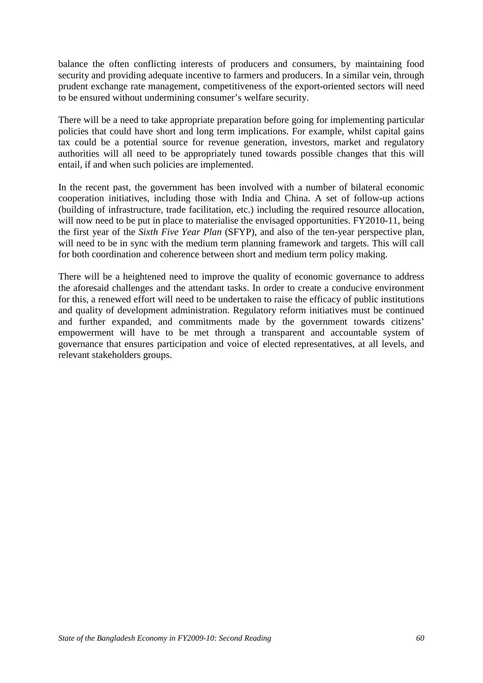balance the often conflicting interests of producers and consumers, by maintaining food security and providing adequate incentive to farmers and producers. In a similar vein, through prudent exchange rate management, competitiveness of the export-oriented sectors will need to be ensured without undermining consumer's welfare security.

There will be a need to take appropriate preparation before going for implementing particular policies that could have short and long term implications. For example, whilst capital gains tax could be a potential source for revenue generation, investors, market and regulatory authorities will all need to be appropriately tuned towards possible changes that this will entail, if and when such policies are implemented.

In the recent past, the government has been involved with a number of bilateral economic cooperation initiatives, including those with India and China. A set of follow-up actions (building of infrastructure, trade facilitation, etc.) including the required resource allocation, will now need to be put in place to materialise the envisaged opportunities. FY2010-11, being the first year of the *Sixth Five Year Plan* (SFYP), and also of the ten-year perspective plan, will need to be in sync with the medium term planning framework and targets. This will call for both coordination and coherence between short and medium term policy making.

There will be a heightened need to improve the quality of economic governance to address the aforesaid challenges and the attendant tasks. In order to create a conducive environment for this, a renewed effort will need to be undertaken to raise the efficacy of public institutions and quality of development administration. Regulatory reform initiatives must be continued and further expanded, and commitments made by the government towards citizens' empowerment will have to be met through a transparent and accountable system of governance that ensures participation and voice of elected representatives, at all levels, and relevant stakeholders groups.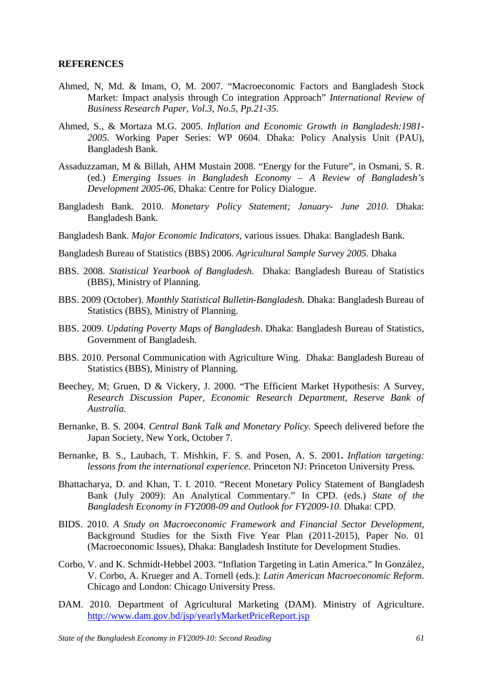#### **REFERENCES**

- Ahmed, N, Md. & Imam, O, M. 2007. "Macroeconomic Factors and Bangladesh Stock Market: Impact analysis through Co integration Approach" *International Review of Business Research Paper, Vol.3, No.5, Pp.21-35.*
- Ahmed, S., & Mortaza M.G. 2005. *Inflation and Economic Growth in Bangladesh:1981- 2005*. Working Paper Series: WP 0604. Dhaka: Policy Analysis Unit (PAU), Bangladesh Bank.
- Assaduzzaman, M & Billah, AHM Mustain 2008. "Energy for the Future", in Osmani, S. R. (ed.) *Emerging Issues in Bangladesh Economy – A Review of Bangladesh's Development 2005-06*, Dhaka: Centre for Policy Dialogue.
- Bangladesh Bank. 2010. *Monetary Policy Statement; January- June 2010*. Dhaka: Bangladesh Bank.
- Bangladesh Bank. *Major Economic Indicators*, various issues. Dhaka: Bangladesh Bank.
- Bangladesh Bureau of Statistics (BBS) 2006. *Agricultural Sample Survey 2005*. Dhaka
- BBS. 2008. *Statistical Yearbook of Bangladesh.* Dhaka: Bangladesh Bureau of Statistics (BBS), Ministry of Planning.
- BBS. 2009 (October). *Monthly Statistical Bulletin-Bangladesh.* Dhaka: Bangladesh Bureau of Statistics (BBS), Ministry of Planning.
- BBS. 2009. *Updating Poverty Maps of Bangladesh*. Dhaka: Bangladesh Bureau of Statistics, Government of Bangladesh.
- BBS. 2010. Personal Communication with Agriculture Wing.Dhaka: Bangladesh Bureau of Statistics (BBS), Ministry of Planning.
- Beechey, M; Gruen, D & Vickery, J. 2000. "The Efficient Market Hypothesis: A Survey, *Research Discussion Paper, Economic Research Department, Reserve Bank of Australia.*
- Bernanke, B. S. 2004. *Central Bank Talk and Monetary Policy.* Speech delivered before the Japan Society, New York, October 7.
- Bernanke, B. S., Laubach, T. Mishkin, F. S. and Posen, A. S. 2001**.** *Inflation targeting: lessons from the international experience.* Princeton NJ: Princeton University Press*.*
- Bhattacharya, D. and Khan, T. I. 2010. "Recent Monetary Policy Statement of Bangladesh Bank (July 2009): An Analytical Commentary." In CPD. (eds.) *State of the Bangladesh Economy in FY2008-09 and Outlook for FY2009-10.* Dhaka: CPD.
- BIDS. 2010. *A Study on Macroeconomic Framework and Financial Sector Development*, Background Studies for the Sixth Five Year Plan (2011-2015), Paper No. 01 (Macroeconomic Issues), Dhaka: Bangladesh Institute for Development Studies.
- Corbo, V. and K. Schmidt-Hebbel 2003. "Inflation Targeting in Latin America." In González, V. Corbo, A. Krueger and A. Tornell (eds.): *Latin American Macroeconomic Reform*. Chicago and London: Chicago University Press.
- DAM. 2010. Department of Agricultural Marketing (DAM). Ministry of Agriculture. <http://www.dam.gov.bd/jsp/yearlyMarketPriceReport.jsp>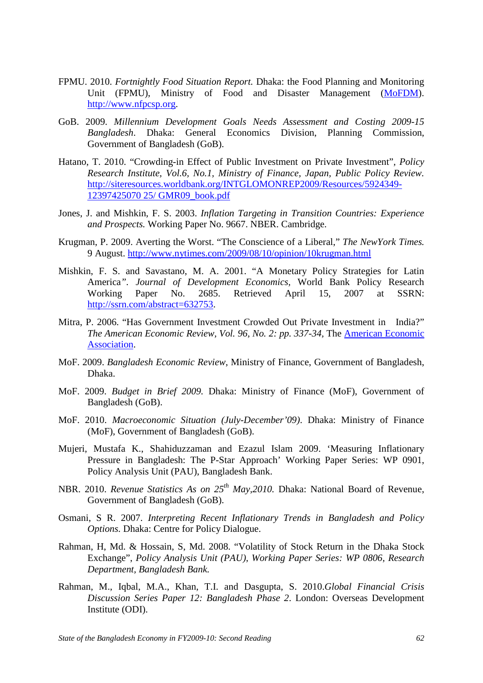- FPMU. 2010. *Fortnightly Food Situation Report.* Dhaka: the Food Planning and Monitoring Unit (FPMU), Ministry of Food and Disaster Management [\(MoFDM\)](http://www.mofdm.gov.bd/). [http://www.nfpcsp.org.](http://www.nfpcsp.org/)
- GoB. 2009. *Millennium Development Goals Needs Assessment and Costing 2009-15 Bangladesh*. Dhaka: General Economics Division, Planning Commission, Government of Bangladesh (GoB).
- Hatano, T. 2010. "Crowding-in Effect of Public Investment on Private Investment"*, Policy Research Institute, Vol.6, No.1, Ministry of Finance, Japan, Public Policy Review.* [http://siteresources.worldbank.org/INTGLOMONREP2009/Resources/5924349-](http://siteresources.worldbank.org/INTGLOMONREP2009/Resources/5924349-12397425070%2025/%20GMR09_book.pdf) [12397425070 25/ GMR09\\_book.pdf](http://siteresources.worldbank.org/INTGLOMONREP2009/Resources/5924349-12397425070%2025/%20GMR09_book.pdf)
- Jones, J. and [Mishkin,](http://papers.ssrn.com/sol3/cf_dev/AbsByAuth.cfm?per_id=75048) F. S. 2003. *Inflation Targeting in Transition Countries: Experience and Prospects.* Working Paper No. 9667. NBER. Cambridge.
- Krugman, P. 2009. Averting the Worst. "The Conscience of a Liberal," *The NewYork Times.* 9 August. http://www.nytimes.com/2009/08/10/opinion/10krugman.html
- Mishkin, F. S. and Savastano, M. A. 2001. "A Monetary Policy Strategies for Latin America*". Journal of Development Economics,* World Bank Policy Research Working Paper No. 2685. Retrieved April 15, 2007 at SSRN: [http://ssrn.com/abstract=632753.](http://ssrn.com/abstract=632753)
- Mitra, P. 2006. "Has Government Investment Crowded Out Private Investment in India?" *The [American Economic](http://www.jstor.org/action/showPublisher?publisherCode=aea) Review, Vol. 96, No. 2: pp. 337-34, The American Economic* [Association.](http://www.jstor.org/action/showPublisher?publisherCode=aea)
- MoF. 2009. *Bangladesh Economic Review*, Ministry of Finance, Government of Bangladesh, Dhaka.
- MoF. 2009. *Budget in Brief 2009.* Dhaka: Ministry of Finance (MoF), Government of Bangladesh (GoB).
- MoF. 2010. *Macroeconomic Situation (July-December'09)*. Dhaka: Ministry of Finance (MoF), Government of Bangladesh (GoB).
- Mujeri, Mustafa K., Shahiduzzaman and Ezazul Islam 2009. 'Measuring Inflationary Pressure in Bangladesh: The P-Star Approach' Working Paper Series: WP 0901, Policy Analysis Unit (PAU), Bangladesh Bank.
- NBR. 2010. *Revenue Statistics As on 25<sup>th</sup> May, 2010*. Dhaka: National Board of Revenue, Government of Bangladesh (GoB).
- Osmani, S R. 2007. *Interpreting Recent Inflationary Trends in Bangladesh and Policy Options.* Dhaka: Centre for Policy Dialogue.
- Rahman, H, Md. & Hossain, S, Md. 2008. "Volatility of Stock Return in the Dhaka Stock Exchange", *Policy Analysis Unit (PAU), Working Paper Series: WP 0806, Research Department, Bangladesh Bank.*
- Rahman, M., Iqbal, M.A., Khan, T.I. and Dasgupta, S. 2010.*Global Financial Crisis Discussion Series Paper 12: Bangladesh Phase 2*. London: Overseas Development Institute (ODI).